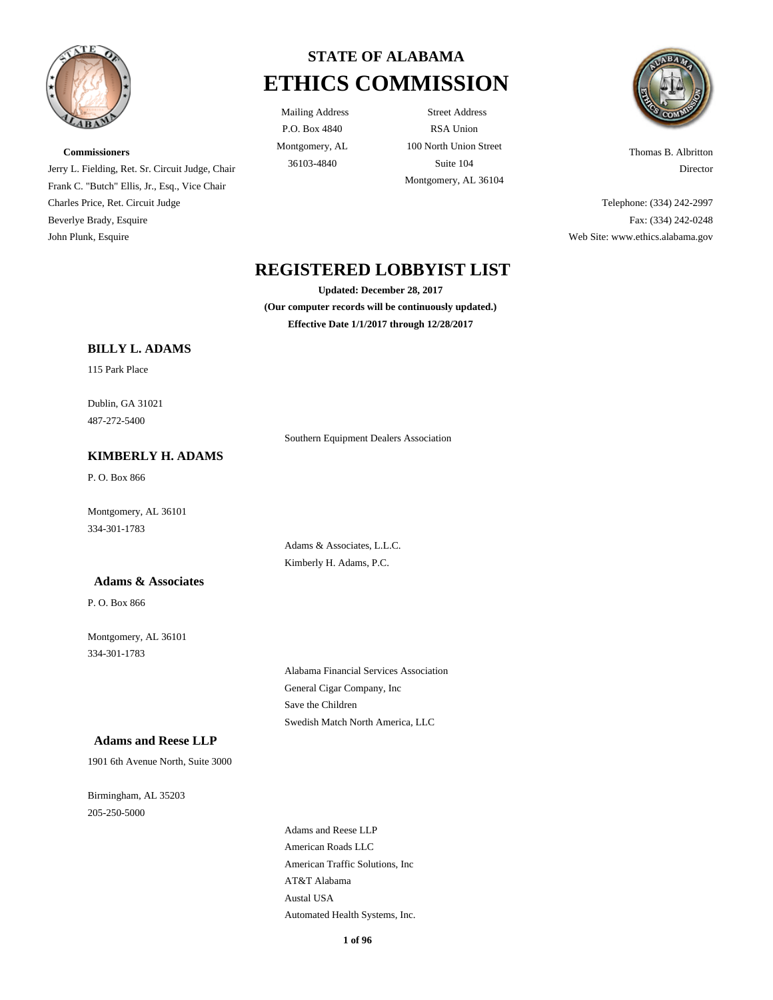

**Commissioners**

Charles Price, Ret. Circuit Judge Beverlye Brady, Esquire John Plunk, Esquire

# **STATE OF ALABAMA ETHICS COMMISSION**

P.O. Box 4840 Montgomery, AL

Mailing Address Street Address RSA Union 100 North Union Street 36103-4840 Suite 104 Montgomery, AL 36104



Thomas B. Albritton Director

Telephone: (334) 242-2997 Fax: (334) 242-0248 Web Site: www.ethics.alabama.gov

## **REGISTERED LOBBYIST LIST**

**Updated: December 28, 2017 (Our computer records will be continuously updated.) Effective Date 1/1/2017 through 12/28/2017**

Southern Equipment Dealers Association

Adams & Associates, L.L.C. Kimberly H. Adams, P.C.

#### **BILLY L. ADAMS**

Jerry L. Fielding, Ret. Sr. Circuit Judge, Chair Frank C. "Butch" Ellis, Jr., Esq., Vice Chair

115 Park Place

Dublin, GA 31021 487-272-5400

#### **KIMBERLY H. ADAMS**

P. O. Box 866

Montgomery, AL 36101 334-301-1783

#### **Adams & Associates**

P. O. Box 866

Montgomery, AL 36101 334-301-1783

Alabama Financial Services Association General Cigar Company, Inc Save the Children Swedish Match North America, LLC

#### **Adams and Reese LLP**

1901 6th Avenue North, Suite 3000

Birmingham, AL 35203 205-250-5000

> Adams and Reese LLP American Roads LLC American Traffic Solutions, Inc AT&T Alabama Austal USA Automated Health Systems, Inc.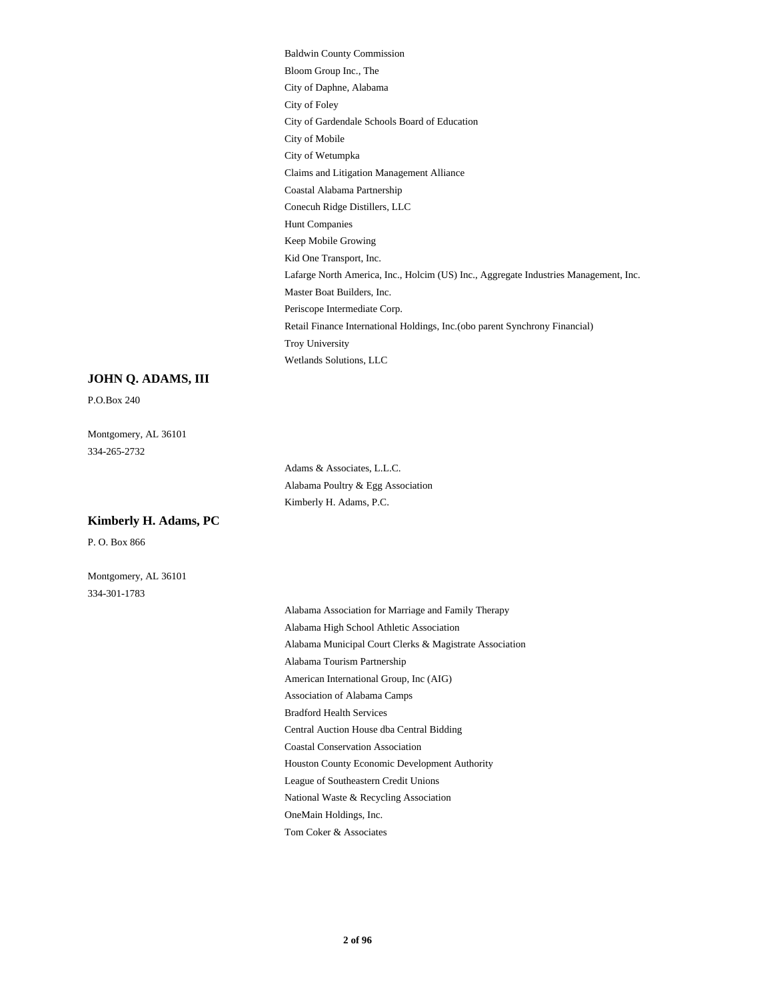Baldwin County Commission Bloom Group Inc., The City of Daphne, Alabama City of Foley City of Gardendale Schools Board of Education City of Mobile City of Wetumpka Claims and Litigation Management Alliance Coastal Alabama Partnership Conecuh Ridge Distillers, LLC Hunt Companies Keep Mobile Growing Kid One Transport, Inc. Lafarge North America, Inc., Holcim (US) Inc., Aggregate Industries Management, Inc. Master Boat Builders, Inc. Periscope Intermediate Corp. Retail Finance International Holdings, Inc.(obo parent Synchrony Financial) Troy University Wetlands Solutions, LLC

#### **JOHN Q. ADAMS, III**

P.O.Box 240

Montgomery, AL 36101 334-265-2732

> Adams & Associates, L.L.C. Alabama Poultry & Egg Association Kimberly H. Adams, P.C.

#### **Kimberly H. Adams, PC**

P. O. Box 866

Montgomery, AL 36101 334-301-1783

> Alabama Association for Marriage and Family Therapy Alabama High School Athletic Association Alabama Municipal Court Clerks & Magistrate Association Alabama Tourism Partnership American International Group, Inc (AIG) Association of Alabama Camps Bradford Health Services Central Auction House dba Central Bidding Coastal Conservation Association Houston County Economic Development Authority League of Southeastern Credit Unions National Waste & Recycling Association OneMain Holdings, Inc.

Tom Coker & Associates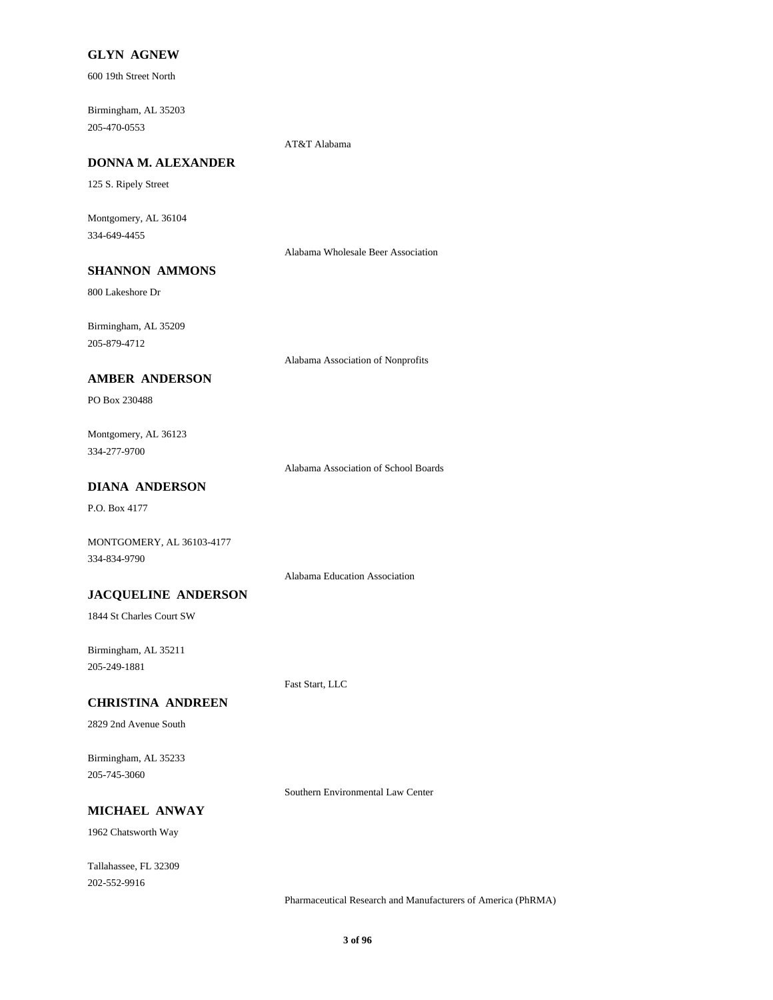#### **GLYN AGNEW**

600 19th Street North

Birmingham, AL 35203 205-470-0553

AT&T Alabama

### **DONNA M. ALEXANDER**

125 S. Ripely Street

Montgomery, AL 36104 334-649-4455

Alabama Wholesale Beer Association

## **SHANNON AMMONS**

800 Lakeshore Dr

Birmingham, AL 35209 205-879-4712

Alabama Association of Nonprofits

#### **AMBER ANDERSON**

PO Box 230488

Montgomery, AL 36123 334-277-9700

Alabama Association of School Boards

#### **DIANA ANDERSON**

P.O. Box 4177

MONTGOMERY, AL 36103-4177 334-834-9790

Alabama Education Association

#### **JACQUELINE ANDERSON**

1844 St Charles Court SW

Birmingham, AL 35211 205-249-1881

Fast Start, LLC

## **CHRISTINA ANDREEN**

2829 2nd Avenue South

Birmingham, AL 35233 205-745-3060

Southern Environmental Law Center

## **MICHAEL ANWAY**

1962 Chatsworth Way

Tallahassee, FL 32309 202-552-9916

Pharmaceutical Research and Manufacturers of America (PhRMA)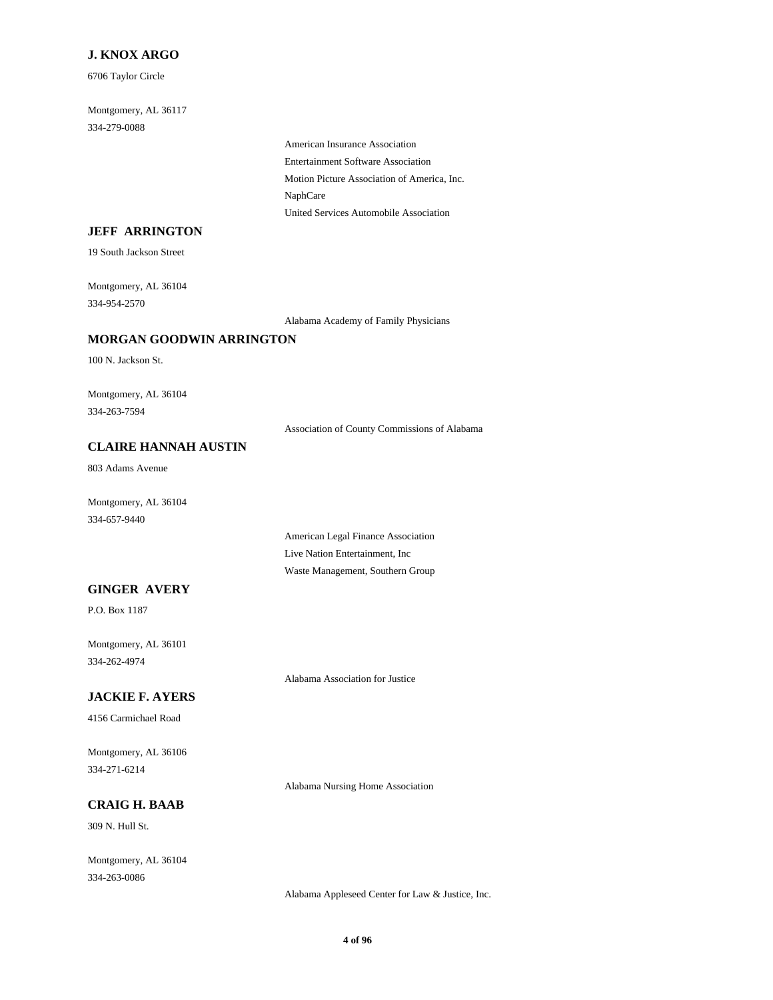### **J. KNOX ARGO**

6706 Taylor Circle

Montgomery, AL 36117 334-279-0088

> American Insurance Association Entertainment Software Association Motion Picture Association of America, Inc. NaphCare United Services Automobile Association

### **JEFF ARRINGTON**

19 South Jackson Street

Montgomery, AL 36104 334-954-2570

Alabama Academy of Family Physicians

#### **MORGAN GOODWIN ARRINGTON**

100 N. Jackson St.

Montgomery, AL 36104 334-263-7594

Association of County Commissions of Alabama

## **CLAIRE HANNAH AUSTIN**

803 Adams Avenue

Montgomery, AL 36104 334-657-9440

**GINGER AVERY**

P.O. Box 1187

Montgomery, AL 36101 334-262-4974

Alabama Association for Justice

American Legal Finance Association Live Nation Entertainment, Inc Waste Management, Southern Group

## **JACKIE F. AYERS**

4156 Carmichael Road

Montgomery, AL 36106 334-271-6214

Alabama Nursing Home Association

## **CRAIG H. BAAB**

309 N. Hull St.

Montgomery, AL 36104 334-263-0086

Alabama Appleseed Center for Law & Justice, Inc.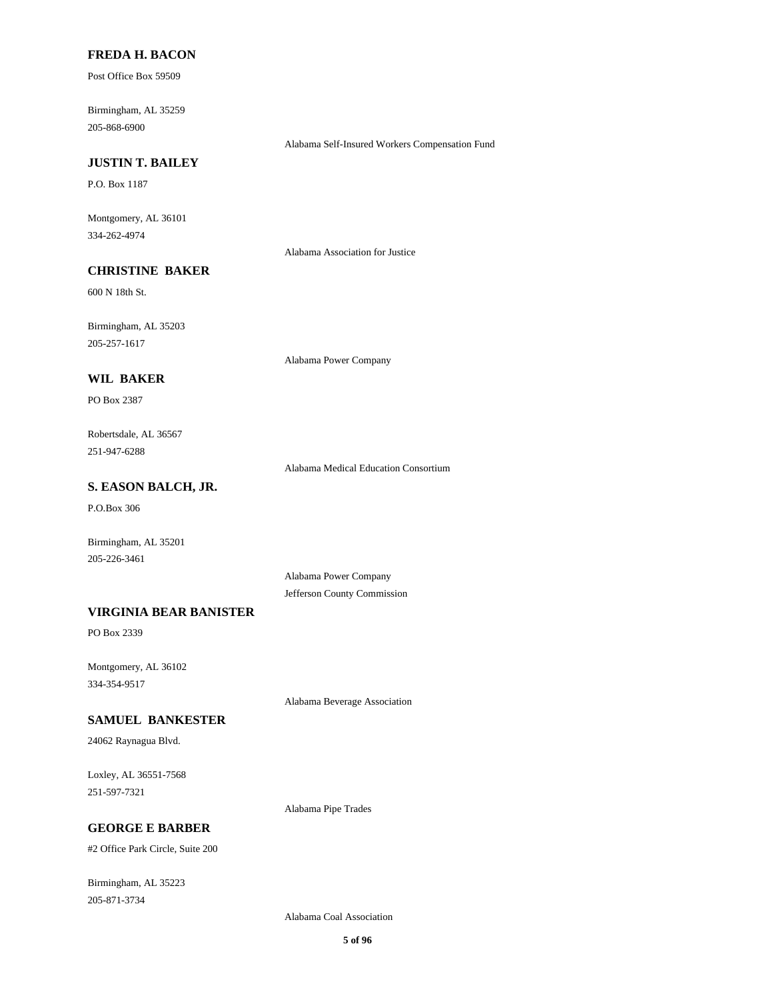#### **FREDA H. BACON**

Post Office Box 59509

Birmingham, AL 35259 205-868-6900

Alabama Self-Insured Workers Compensation Fund

## **JUSTIN T. BAILEY**

P.O. Box 1187

Montgomery, AL 36101 334-262-4974

Alabama Association for Justice

## **CHRISTINE BAKER**

600 N 18th St.

Birmingham, AL 35203 205-257-1617

Alabama Power Company

#### **WIL BAKER**

PO Box 2387

Robertsdale, AL 36567 251-947-6288

Alabama Medical Education Consortium

## **S. EASON BALCH, JR.**

P.O.Box 306

Birmingham, AL 35201 205-226-3461

> Alabama Power Company Jefferson County Commission

#### **VIRGINIA BEAR BANISTER**

PO Box 2339

Montgomery, AL 36102 334-354-9517

Alabama Beverage Association

#### **SAMUEL BANKESTER**

24062 Raynagua Blvd.

Loxley, AL 36551-7568 251-597-7321

Alabama Pipe Trades

## **GEORGE E BARBER**

#2 Office Park Circle, Suite 200

Birmingham, AL 35223 205-871-3734

Alabama Coal Association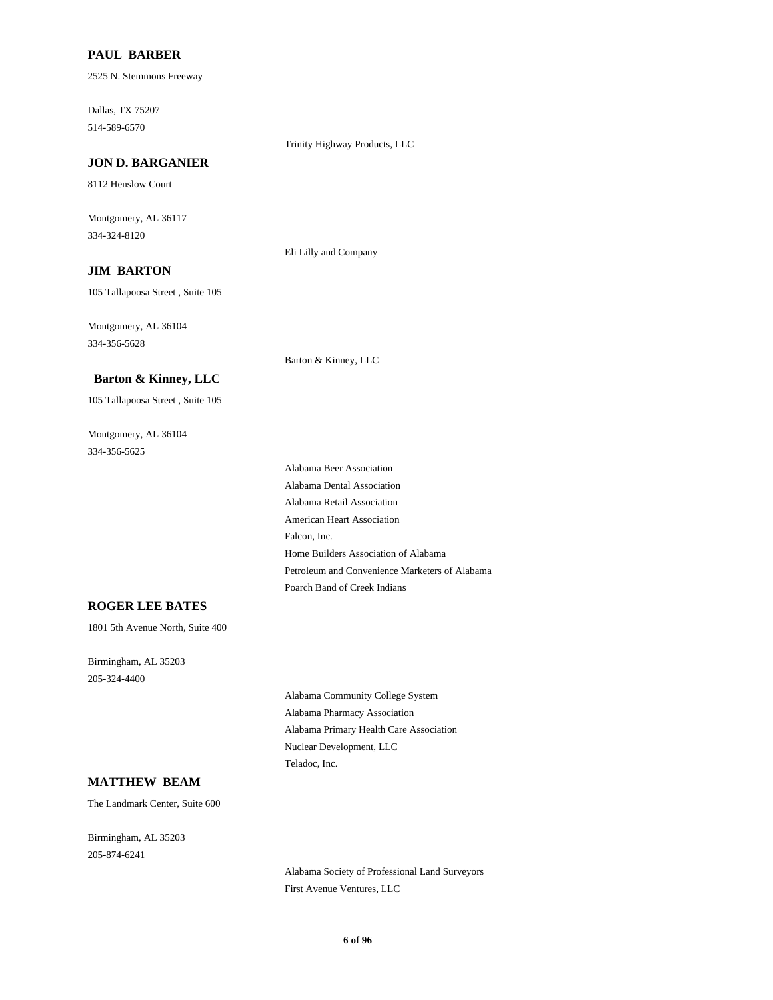#### **PAUL BARBER**

2525 N. Stemmons Freeway

Dallas, TX 75207 514-589-6570

Trinity Highway Products, LLC

**JON D. BARGANIER**

8112 Henslow Court

Montgomery, AL 36117 334-324-8120

Eli Lilly and Company

## **JIM BARTON**

105 Tallapoosa Street , Suite 105

Montgomery, AL 36104 334-356-5628

Barton & Kinney, LLC

#### **Barton & Kinney, LLC**

105 Tallapoosa Street , Suite 105

Montgomery, AL 36104 334-356-5625

> Alabama Beer Association Alabama Dental Association Alabama Retail Association American Heart Association Falcon, Inc. Home Builders Association of Alabama Petroleum and Convenience Marketers of Alabama Poarch Band of Creek Indians

#### **ROGER LEE BATES**

1801 5th Avenue North, Suite 400

Birmingham, AL 35203 205-324-4400

> Alabama Community College System Alabama Pharmacy Association Alabama Primary Health Care Association Nuclear Development, LLC Teladoc, Inc.

#### **MATTHEW BEAM**

The Landmark Center, Suite 600

Birmingham, AL 35203 205-874-6241

> Alabama Society of Professional Land Surveyors First Avenue Ventures, LLC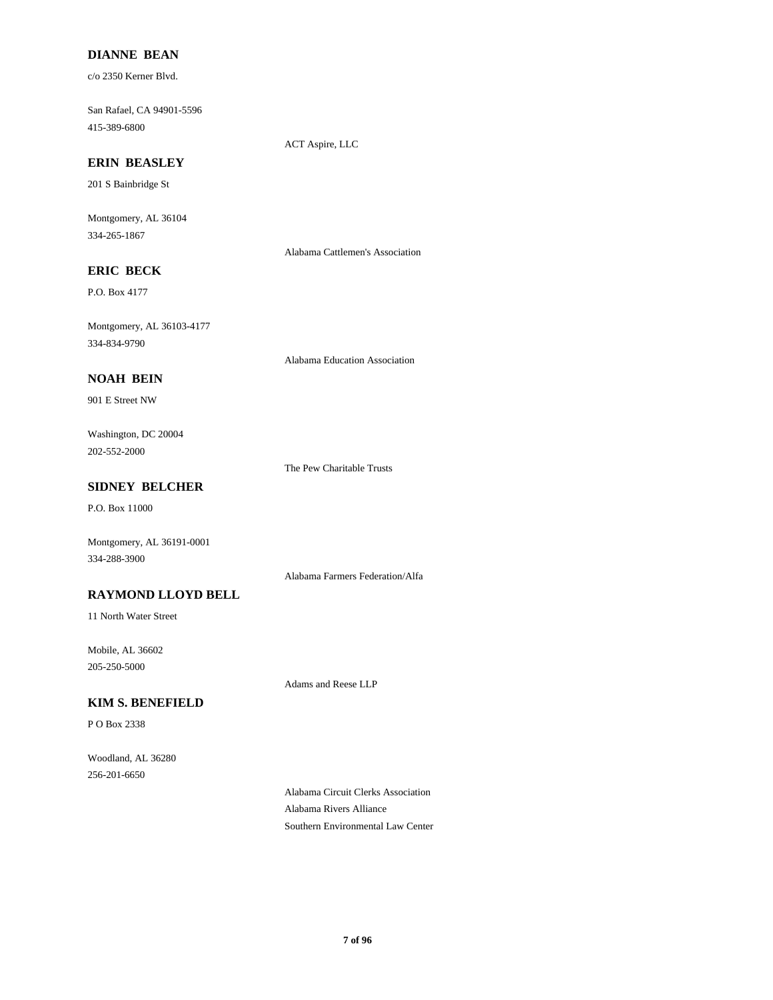## **DIANNE BEAN**

c/o 2350 Kerner Blvd.

San Rafael, CA 94901-5596 415-389-6800

ACT Aspire, LLC

## **ERIN BEASLEY**

201 S Bainbridge St

Montgomery, AL 36104 334-265-1867

Alabama Cattlemen's Association

## **ERIC BECK**

P.O. Box 4177

Montgomery, AL 36103-4177 334-834-9790

Alabama Education Association

#### **NOAH BEIN**

901 E Street NW

Washington, DC 20004 202-552-2000

The Pew Charitable Trusts

## **SIDNEY BELCHER**

P.O. Box 11000

Montgomery, AL 36191-0001 334-288-3900

Alabama Farmers Federation/Alfa

## **RAYMOND LLOYD BELL**

11 North Water Street

Mobile, AL 36602 205-250-5000

Adams and Reese LLP

## **KIM S. BENEFIELD**

P O Box 2338

Woodland, AL 36280 256-201-6650

> Alabama Circuit Clerks Association Alabama Rivers Alliance Southern Environmental Law Center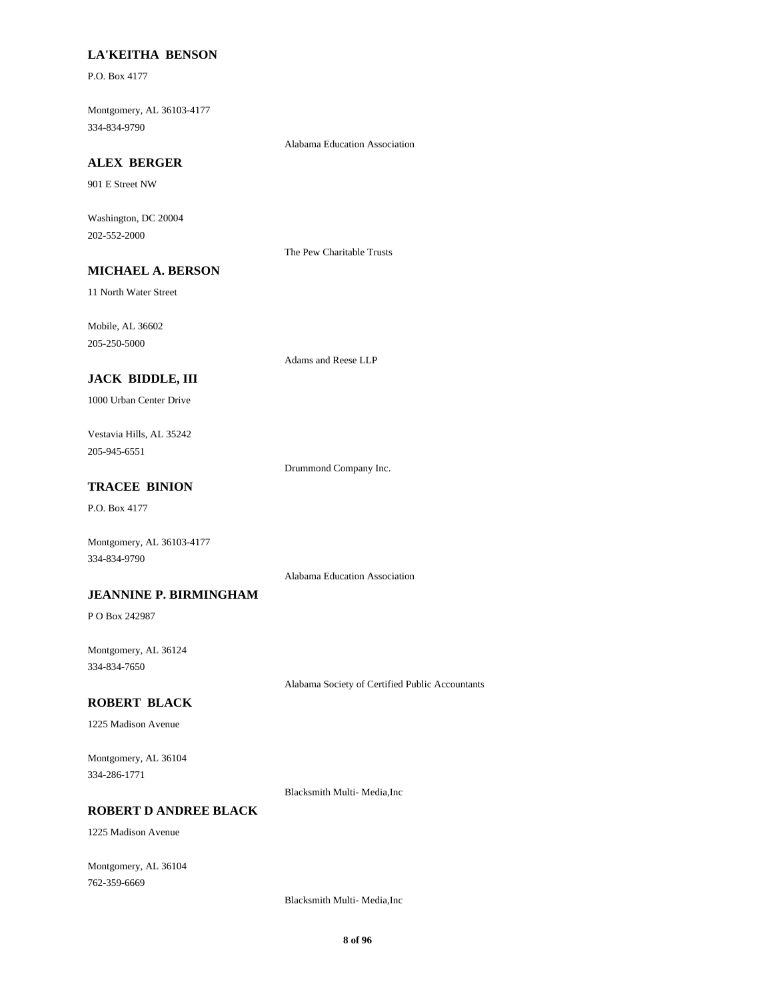#### **LA'KEITHA BENSON**

P.O. Box 4177

Montgomery, AL 36103-4177 334-834-9790

Alabama Education Association

## **ALEX BERGER**

901 E Street NW

Washington, DC 20004 202-552-2000

The Pew Charitable Trusts

## **MICHAEL A. BERSON**

11 North Water Street

Mobile, AL 36602 205-250-5000

Adams and Reese LLP

## **JACK BIDDLE, III**

1000 Urban Center Drive

Vestavia Hills, AL 35242 205-945-6551

Drummond Company Inc.

## **TRACEE BINION**

P.O. Box 4177

Montgomery, AL 36103-4177 334-834-9790

Alabama Education Association

#### **JEANNINE P. BIRMINGHAM**

P O Box 242987

Montgomery, AL 36124 334-834-7650

Alabama Society of Certified Public Accountants

## **ROBERT BLACK**

1225 Madison Avenue

Montgomery, AL 36104 334-286-1771

Blacksmith Multi- Media,Inc

## **ROBERT D ANDREE BLACK**

1225 Madison Avenue

Montgomery, AL 36104 762-359-6669

Blacksmith Multi- Media,Inc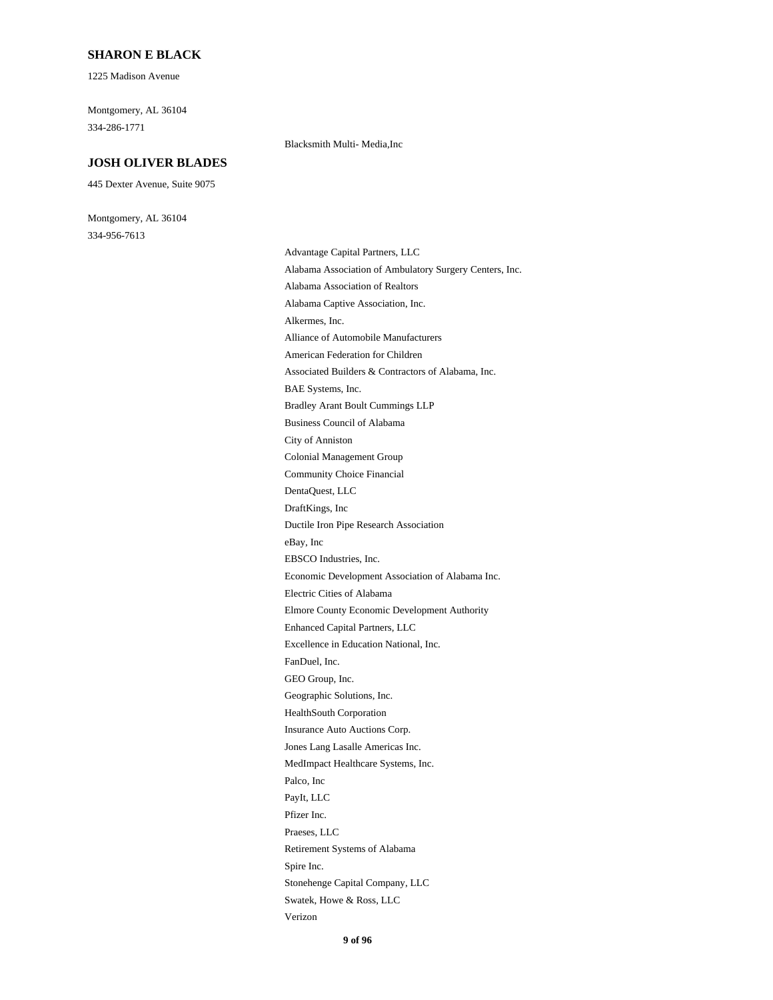#### **SHARON E BLACK**

1225 Madison Avenue

Montgomery, AL 36104 334-286-1771

#### **JOSH OLIVER BLADES**

445 Dexter Avenue, Suite 9075

Montgomery, AL 36104 334-956-7613

#### Blacksmith Multi- Media,Inc

Advantage Capital Partners, LLC Alabama Association of Ambulatory Surgery Centers, Inc. Alabama Association of Realtors Alabama Captive Association, Inc. Alkermes, Inc. Alliance of Automobile Manufacturers American Federation for Children Associated Builders & Contractors of Alabama, Inc. BAE Systems, Inc. Bradley Arant Boult Cummings LLP Business Council of Alabama City of Anniston Colonial Management Group Community Choice Financial DentaQuest, LLC DraftKings, Inc Ductile Iron Pipe Research Association eBay, Inc EBSCO Industries, Inc. Economic Development Association of Alabama Inc. Electric Cities of Alabama Elmore County Economic Development Authority Enhanced Capital Partners, LLC Excellence in Education National, Inc. FanDuel, Inc. GEO Group, Inc. Geographic Solutions, Inc. HealthSouth Corporation Insurance Auto Auctions Corp. Jones Lang Lasalle Americas Inc. MedImpact Healthcare Systems, Inc. Palco, Inc PayIt, LLC Pfizer Inc. Praeses, LLC Retirement Systems of Alabama Spire Inc. Stonehenge Capital Company, LLC Swatek, Howe & Ross, LLC Verizon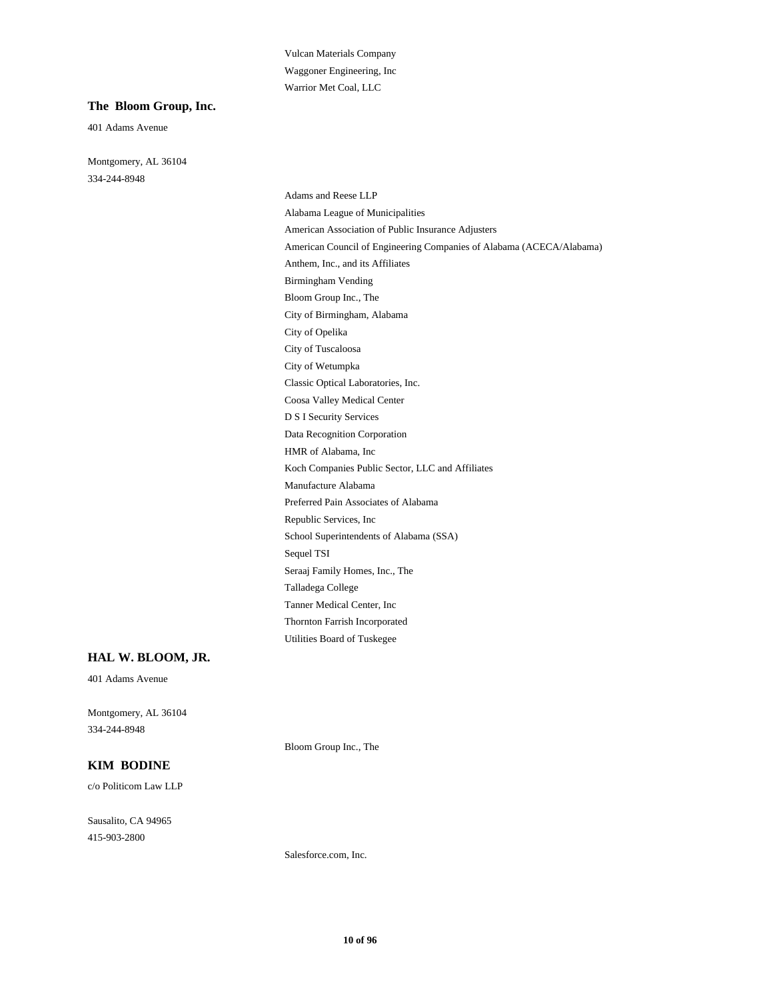Vulcan Materials Company Waggoner Engineering, Inc Warrior Met Coal, LLC

#### **The Bloom Group, Inc.**

401 Adams Avenue

Montgomery, AL 36104 334-244-8948

> Adams and Reese LLP Alabama League of Municipalities American Association of Public Insurance Adjusters American Council of Engineering Companies of Alabama (ACECA/Alabama) Anthem, Inc., and its Affiliates Birmingham Vending Bloom Group Inc., The City of Birmingham, Alabama City of Opelika City of Tuscaloosa City of Wetumpka Classic Optical Laboratories, Inc. Coosa Valley Medical Center D S I Security Services Data Recognition Corporation HMR of Alabama, Inc Koch Companies Public Sector, LLC and Affiliates Manufacture Alabama Preferred Pain Associates of Alabama Republic Services, Inc School Superintendents of Alabama (SSA) Sequel TSI Seraaj Family Homes, Inc., The Talladega College Tanner Medical Center, Inc Thornton Farrish Incorporated Utilities Board of Tuskegee

#### **HAL W. BLOOM, JR.**

401 Adams Avenue

Montgomery, AL 36104 334-244-8948

Bloom Group Inc., The

#### **KIM BODINE**

c/o Politicom Law LLP

Sausalito, CA 94965 415-903-2800

Salesforce.com, Inc.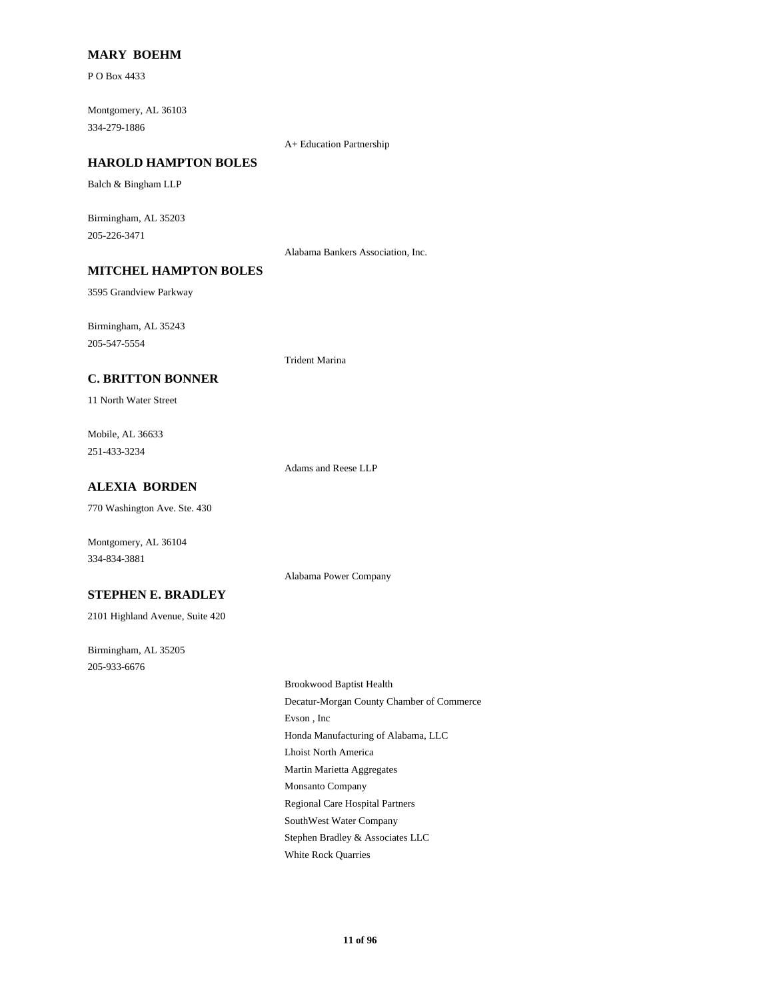#### **MARY BOEHM**

P O Box 4433

Montgomery, AL 36103 334-279-1886

A+ Education Partnership

#### **HAROLD HAMPTON BOLES**

Balch & Bingham LLP

Birmingham, AL 35203 205-226-3471

Alabama Bankers Association, Inc.

## **MITCHEL HAMPTON BOLES**

3595 Grandview Parkway

Birmingham, AL 35243 205-547-5554

#### **C. BRITTON BONNER**

11 North Water Street

Mobile, AL 36633 251-433-3234

Adams and Reese LLP

Alabama Power Company

Trident Marina

## **ALEXIA BORDEN**

770 Washington Ave. Ste. 430

Montgomery, AL 36104 334-834-3881

#### **STEPHEN E. BRADLEY**

2101 Highland Avenue, Suite 420

Birmingham, AL 35205 205-933-6676

> Brookwood Baptist Health Decatur-Morgan County Chamber of Commerce Evson , Inc Honda Manufacturing of Alabama, LLC Lhoist North America Martin Marietta Aggregates Monsanto Company Regional Care Hospital Partners SouthWest Water Company Stephen Bradley & Associates LLC White Rock Quarries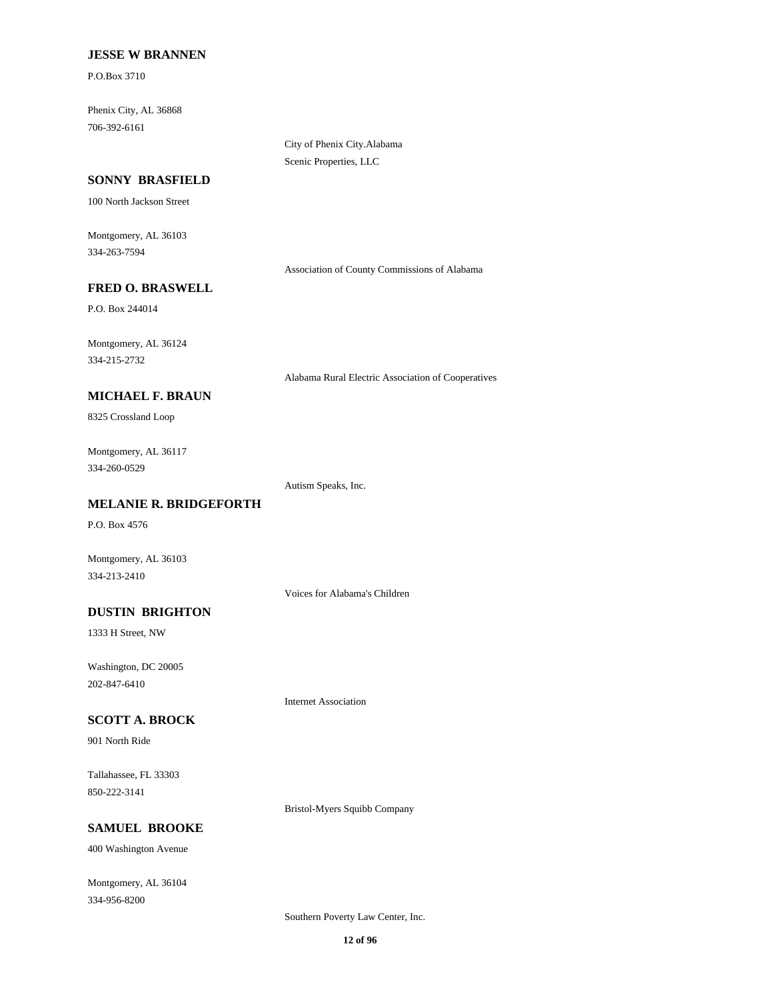#### **JESSE W BRANNEN**

P.O.Box 3710

Phenix City, AL 36868 706-392-6161

> City of Phenix City.Alabama Scenic Properties, LLC

#### **SONNY BRASFIELD**

100 North Jackson Street

Montgomery, AL 36103 334-263-7594

Association of County Commissions of Alabama

#### **FRED O. BRASWELL**

P.O. Box 244014

Montgomery, AL 36124 334-215-2732

Alabama Rural Electric Association of Cooperatives

## **MICHAEL F. BRAUN**

8325 Crossland Loop

Montgomery, AL 36117 334-260-0529

Autism Speaks, Inc.

### **MELANIE R. BRIDGEFORTH**

P.O. Box 4576

Montgomery, AL 36103 334-213-2410

Voices for Alabama's Children

Internet Association

## **DUSTIN BRIGHTON**

1333 H Street, NW

Washington, DC 20005 202-847-6410

#### **SCOTT A. BROCK**

901 North Ride

Tallahassee, FL 33303 850-222-3141

Bristol-Myers Squibb Company

## **SAMUEL BROOKE**

400 Washington Avenue

Montgomery, AL 36104 334-956-8200

Southern Poverty Law Center, Inc.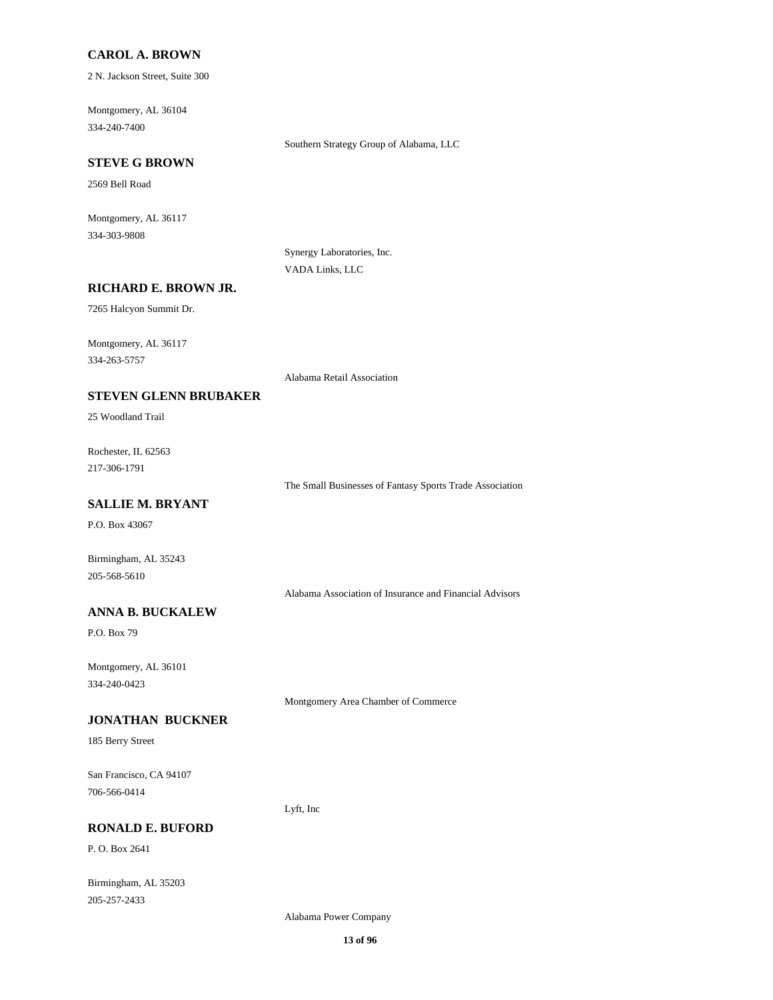#### **CAROL A. BROWN**

2 N. Jackson Street, Suite 300

Montgomery, AL 36104 334-240-7400

Southern Strategy Group of Alabama, LLC

## **STEVE G BROWN**

2569 Bell Road

Montgomery, AL 36117 334-303-9808

> Synergy Laboratories, Inc. VADA Links, LLC

#### **RICHARD E. BROWN JR.**

7265 Halcyon Summit Dr.

Montgomery, AL 36117 334-263-5757

Alabama Retail Association

## **STEVEN GLENN BRUBAKER**

25 Woodland Trail

Rochester, IL 62563 217-306-1791

The Small Businesses of Fantasy Sports Trade Association

## **SALLIE M. BRYANT**

P.O. Box 43067

Birmingham, AL 35243 205-568-5610

Alabama Association of Insurance and Financial Advisors

## **ANNA B. BUCKALEW**

P.O. Box 79

Montgomery, AL 36101 334-240-0423

Montgomery Area Chamber of Commerce

#### **JONATHAN BUCKNER**

185 Berry Street

San Francisco, CA 94107 706-566-0414

**RONALD E. BUFORD**

P. O. Box 2641

Birmingham, AL 35203 205-257-2433

Alabama Power Company

Lyft, Inc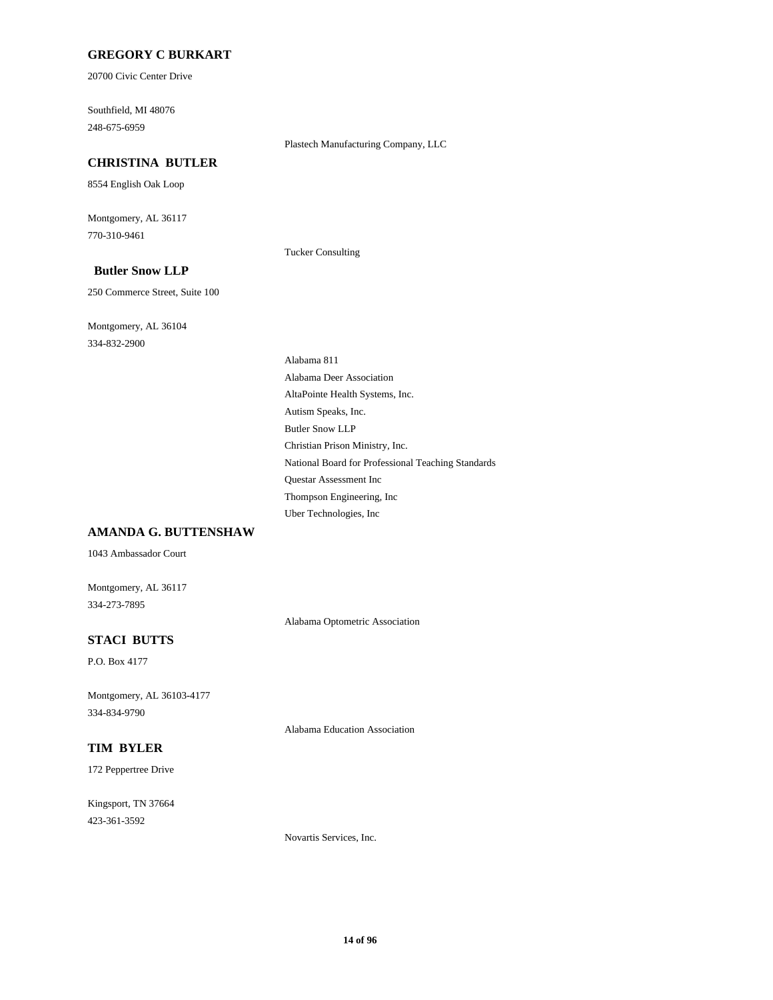### **GREGORY C BURKART**

20700 Civic Center Drive

Southfield, MI 48076 248-675-6959

#### Plastech Manufacturing Company, LLC

## **CHRISTINA BUTLER**

8554 English Oak Loop

Montgomery, AL 36117 770-310-9461

Tucker Consulting

## **Butler Snow LLP**

250 Commerce Street, Suite 100

Montgomery, AL 36104 334-832-2900

Alabama 811 Alabama Deer Association AltaPointe Health Systems, Inc. Autism Speaks, Inc. Butler Snow LLP Christian Prison Ministry, Inc. National Board for Professional Teaching Standards Questar Assessment Inc Thompson Engineering, Inc Uber Technologies, Inc

#### **AMANDA G. BUTTENSHAW**

1043 Ambassador Court

Montgomery, AL 36117 334-273-7895

Alabama Optometric Association

#### **STACI BUTTS**

P.O. Box 4177

Montgomery, AL 36103-4177 334-834-9790

Alabama Education Association

#### **TIM BYLER**

172 Peppertree Drive

Kingsport, TN 37664 423-361-3592

Novartis Services, Inc.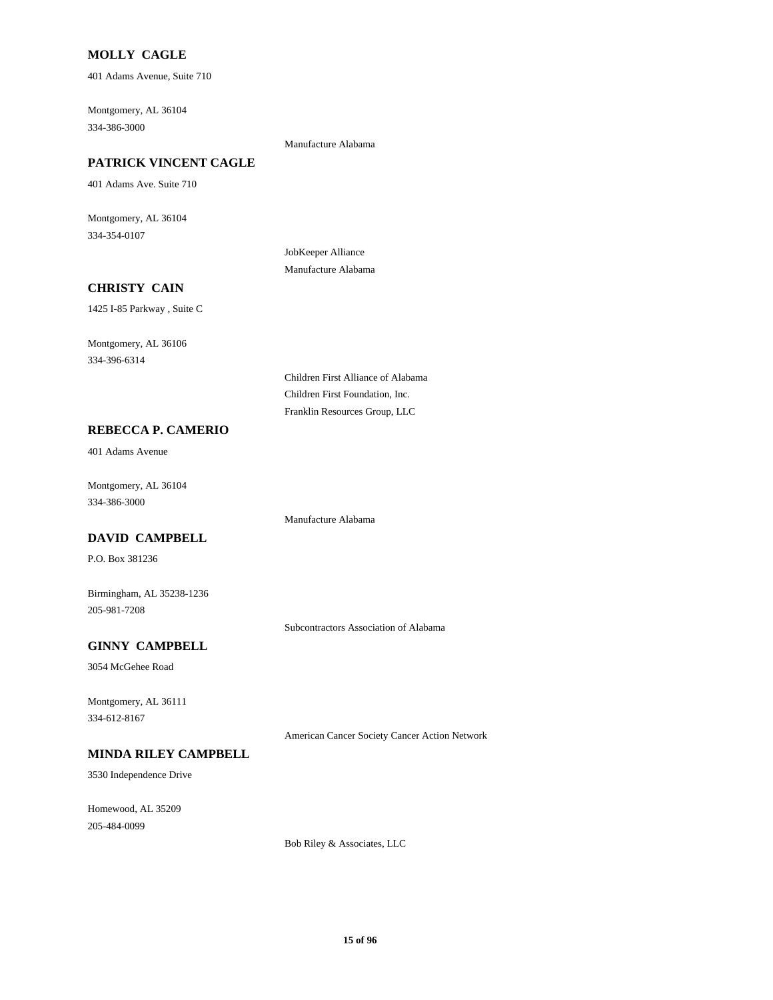## **MOLLY CAGLE**

401 Adams Avenue, Suite 710

Montgomery, AL 36104 334-386-3000

#### Manufacture Alabama

#### **PATRICK VINCENT CAGLE**

401 Adams Ave. Suite 710

Montgomery, AL 36104 334-354-0107

> JobKeeper Alliance Manufacture Alabama

## **CHRISTY CAIN**

1425 I-85 Parkway , Suite C

Montgomery, AL 36106 334-396-6314

> Children First Alliance of Alabama Children First Foundation, Inc. Franklin Resources Group, LLC

Manufacture Alabama

#### **REBECCA P. CAMERIO**

401 Adams Avenue

Montgomery, AL 36104 334-386-3000

#### **DAVID CAMPBELL**

P.O. Box 381236

Birmingham, AL 35238-1236 205-981-7208

Subcontractors Association of Alabama

## **GINNY CAMPBELL**

3054 McGehee Road

Montgomery, AL 36111 334-612-8167

American Cancer Society Cancer Action Network

## **MINDA RILEY CAMPBELL**

3530 Independence Drive

Homewood, AL 35209 205-484-0099

Bob Riley & Associates, LLC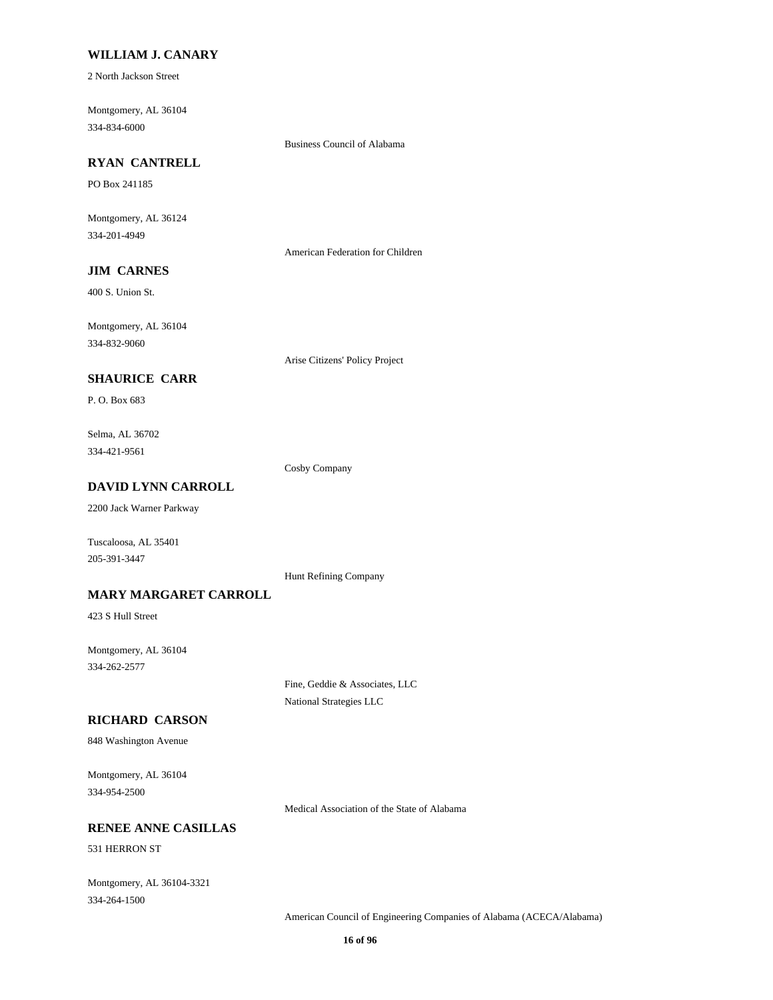#### **WILLIAM J. CANARY**

2 North Jackson Street

Montgomery, AL 36104 334-834-6000

Business Council of Alabama

## **RYAN CANTRELL**

PO Box 241185

Montgomery, AL 36124 334-201-4949

American Federation for Children

## **JIM CARNES**

400 S. Union St.

Montgomery, AL 36104 334-832-9060

Arise Citizens' Policy Project

## **SHAURICE CARR**

P. O. Box 683

Selma, AL 36702 334-421-9561

Cosby Company

## **DAVID LYNN CARROLL**

2200 Jack Warner Parkway

Tuscaloosa, AL 35401 205-391-3447

Hunt Refining Company

#### **MARY MARGARET CARROLL**

423 S Hull Street

Montgomery, AL 36104 334-262-2577

> Fine, Geddie & Associates, LLC National Strategies LLC

#### **RICHARD CARSON**

848 Washington Avenue

Montgomery, AL 36104 334-954-2500

Medical Association of the State of Alabama

## **RENEE ANNE CASILLAS**

531 HERRON ST

Montgomery, AL 36104-3321 334-264-1500

American Council of Engineering Companies of Alabama (ACECA/Alabama)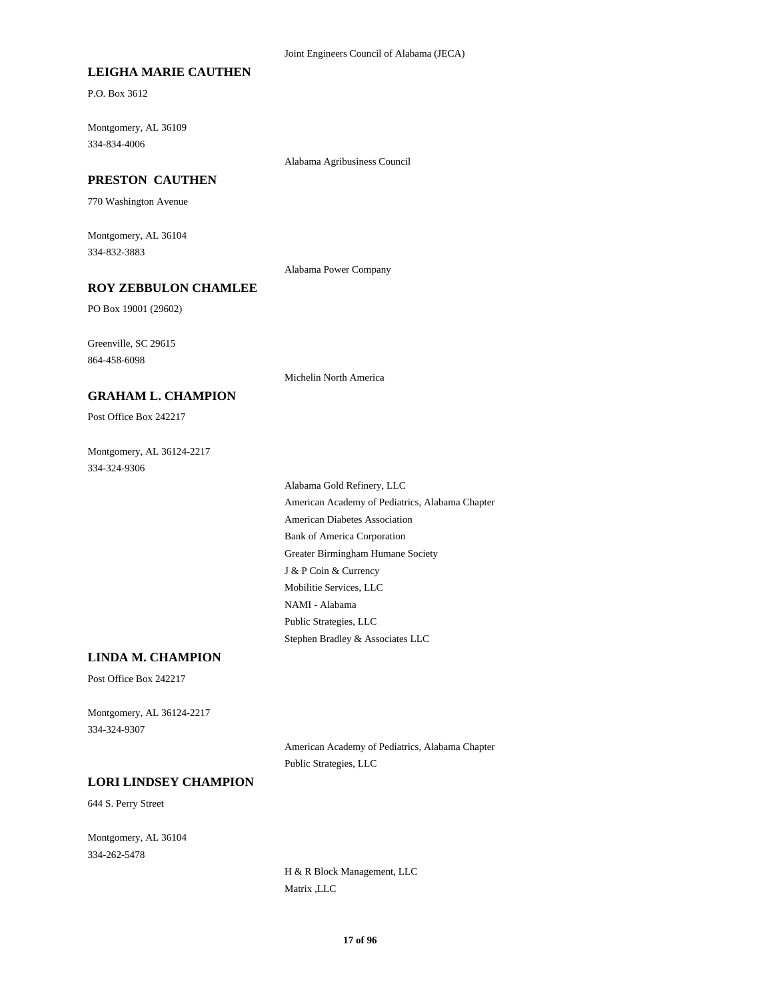#### **LEIGHA MARIE CAUTHEN**

P.O. Box 3612

Montgomery, AL 36109 334-834-4006

Alabama Agribusiness Council

#### **PRESTON CAUTHEN**

770 Washington Avenue

Montgomery, AL 36104 334-832-3883

Alabama Power Company

## **ROY ZEBBULON CHAMLEE**

PO Box 19001 (29602)

Greenville, SC 29615 864-458-6098

Michelin North America

## Post Office Box 242217

**GRAHAM L. CHAMPION**

Montgomery, AL 36124-2217 334-324-9306

> Alabama Gold Refinery, LLC American Academy of Pediatrics, Alabama Chapter American Diabetes Association Bank of America Corporation Greater Birmingham Humane Society J & P Coin & Currency Mobilitie Services, LLC NAMI - Alabama Public Strategies, LLC Stephen Bradley & Associates LLC

#### **LINDA M. CHAMPION**

Post Office Box 242217

Montgomery, AL 36124-2217 334-324-9307

> American Academy of Pediatrics, Alabama Chapter Public Strategies, LLC

#### **LORI LINDSEY CHAMPION**

644 S. Perry Street

Montgomery, AL 36104 334-262-5478

> H & R Block Management, LLC Matrix ,LLC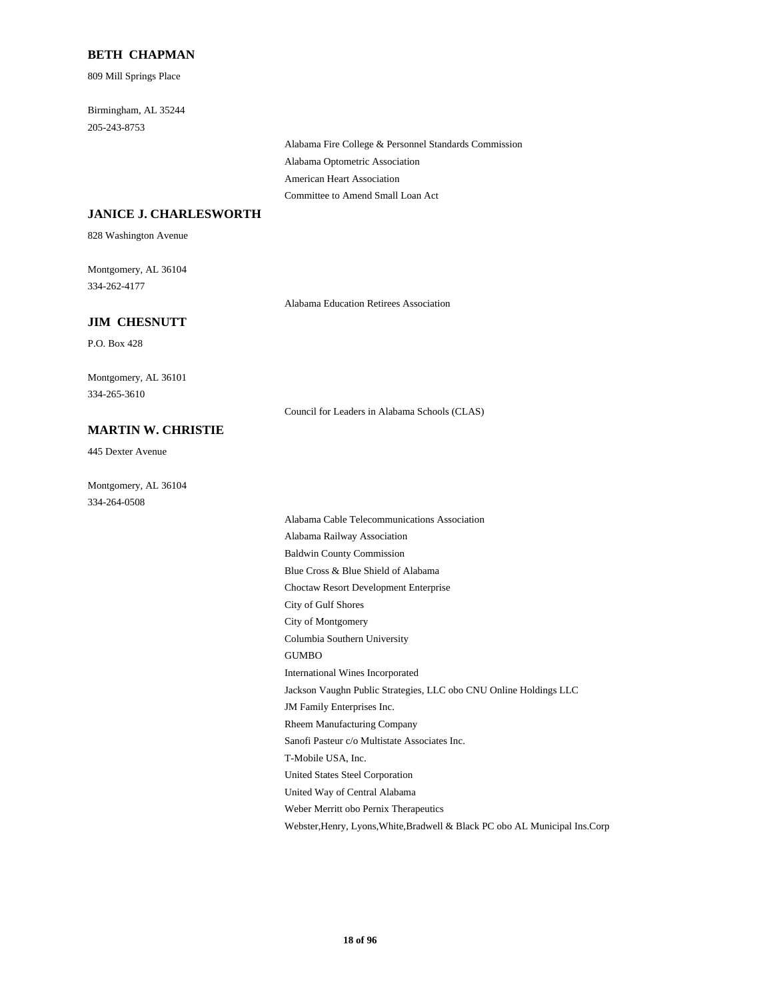#### **BETH CHAPMAN**

809 Mill Springs Place

Birmingham, AL 35244 205-243-8753

> Alabama Fire College & Personnel Standards Commission Alabama Optometric Association American Heart Association Committee to Amend Small Loan Act

#### **JANICE J. CHARLESWORTH**

828 Washington Avenue

Montgomery, AL 36104 334-262-4177

Alabama Education Retirees Association

#### **JIM CHESNUTT**

P.O. Box 428

Montgomery, AL 36101 334-265-3610

Council for Leaders in Alabama Schools (CLAS)

**MARTIN W. CHRISTIE**

Montgomery, AL 36104 334-264-0508

445 Dexter Avenue

Alabama Cable Telecommunications Association Alabama Railway Association Baldwin County Commission Blue Cross & Blue Shield of Alabama Choctaw Resort Development Enterprise City of Gulf Shores City of Montgomery Columbia Southern University GUMBO International Wines Incorporated Jackson Vaughn Public Strategies, LLC obo CNU Online Holdings LLC JM Family Enterprises Inc. Rheem Manufacturing Company Sanofi Pasteur c/o Multistate Associates Inc. T-Mobile USA, Inc. United States Steel Corporation United Way of Central Alabama Weber Merritt obo Pernix Therapeutics Webster,Henry, Lyons,White,Bradwell & Black PC obo AL Municipal Ins.Corp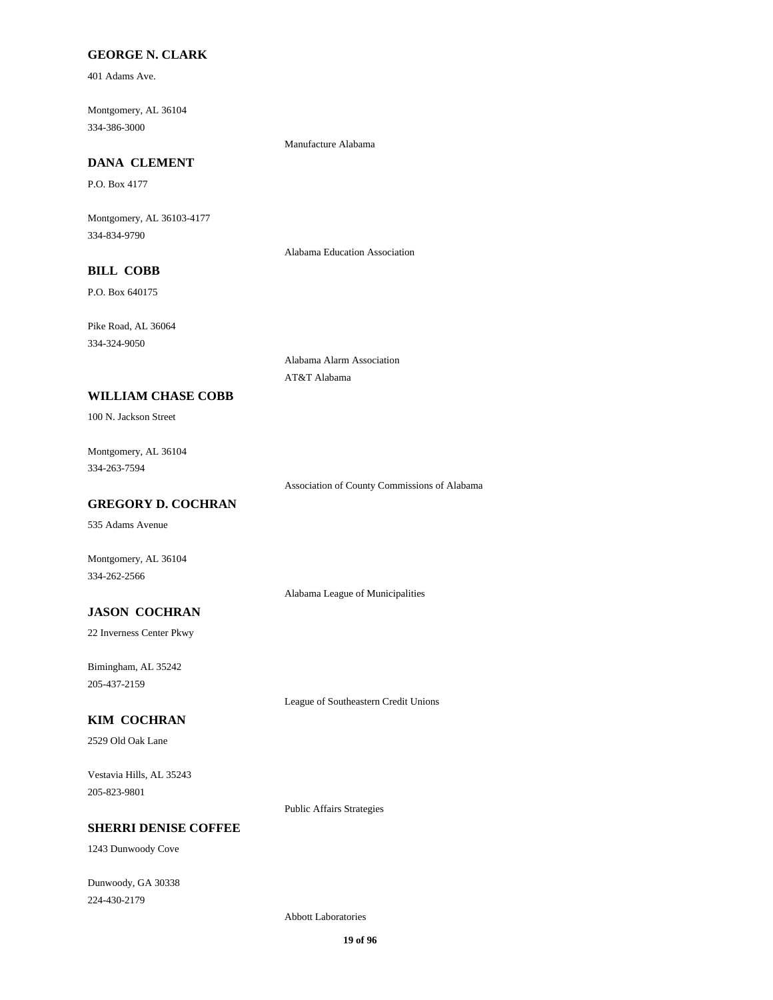## **GEORGE N. CLARK**

401 Adams Ave.

Montgomery, AL 36104 334-386-3000

Manufacture Alabama

## **DANA CLEMENT**

P.O. Box 4177

Montgomery, AL 36103-4177 334-834-9790

Alabama Education Association

## **BILL COBB**

P.O. Box 640175

Pike Road, AL 36064 334-324-9050

> Alabama Alarm Association AT&T Alabama

### **WILLIAM CHASE COBB**

100 N. Jackson Street

Montgomery, AL 36104 334-263-7594

Association of County Commissions of Alabama

## **GREGORY D. COCHRAN**

535 Adams Avenue

Montgomery, AL 36104 334-262-2566

Alabama League of Municipalities

## **JASON COCHRAN**

22 Inverness Center Pkwy

Bimingham, AL 35242 205-437-2159

League of Southeastern Credit Unions

## **KIM COCHRAN**

2529 Old Oak Lane

Vestavia Hills, AL 35243 205-823-9801

Public Affairs Strategies

## **SHERRI DENISE COFFEE**

1243 Dunwoody Cove

Dunwoody, GA 30338 224-430-2179

Abbott Laboratories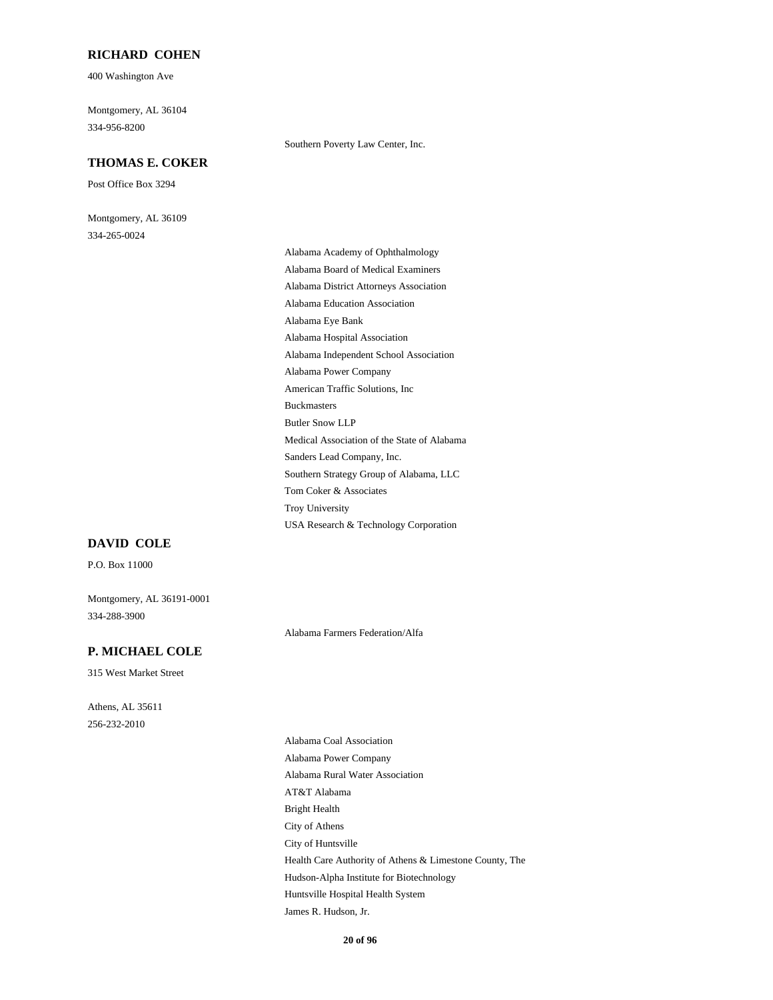#### **RICHARD COHEN**

400 Washington Ave

Montgomery, AL 36104 334-956-8200

#### **THOMAS E. COKER**

Post Office Box 3294

Montgomery, AL 36109 334-265-0024

Alabama Academy of Ophthalmology Alabama Board of Medical Examiners Alabama District Attorneys Association Alabama Education Association Alabama Eye Bank Alabama Hospital Association Alabama Independent School Association Alabama Power Company American Traffic Solutions, Inc Buckmasters Butler Snow LLP Medical Association of the State of Alabama Sanders Lead Company, Inc. Southern Strategy Group of Alabama, LLC Tom Coker & Associates Troy University USA Research & Technology Corporation

Southern Poverty Law Center, Inc.

#### **DAVID COLE**

P.O. Box 11000

Montgomery, AL 36191-0001 334-288-3900

Alabama Farmers Federation/Alfa

#### **P. MICHAEL COLE**

315 West Market Street

Athens, AL 35611 256-232-2010

> Alabama Coal Association Alabama Power Company Alabama Rural Water Association AT&T Alabama Bright Health City of Athens City of Huntsville Health Care Authority of Athens & Limestone County, The Hudson-Alpha Institute for Biotechnology Huntsville Hospital Health System James R. Hudson, Jr.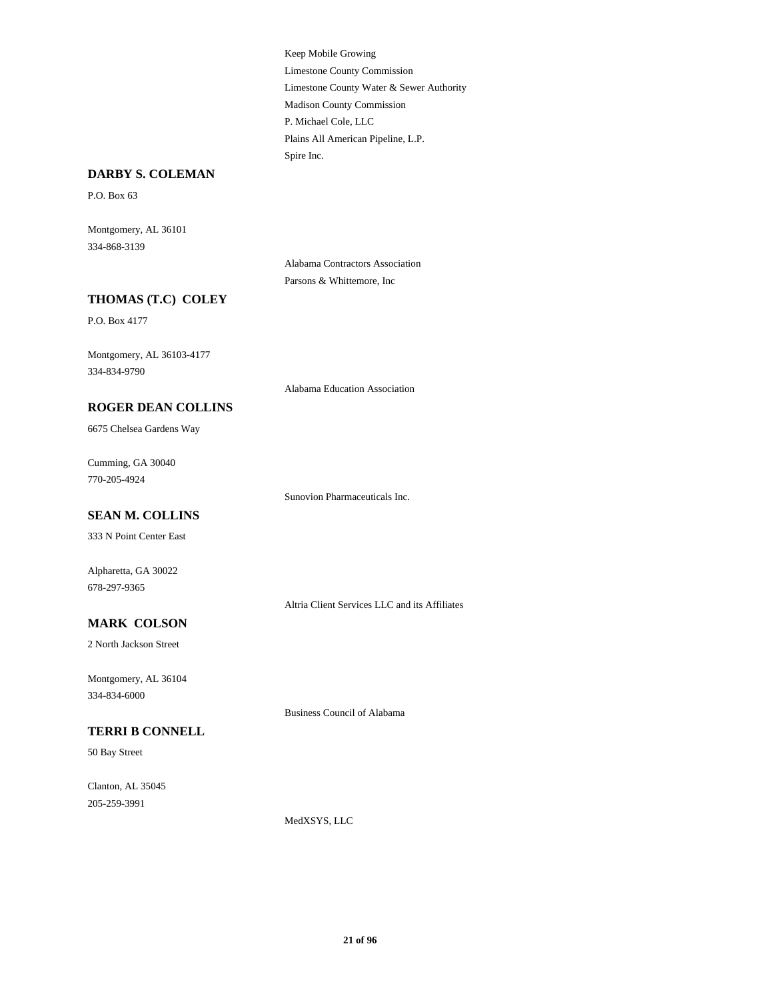Keep Mobile Growing Limestone County Commission Limestone County Water & Sewer Authority Madison County Commission P. Michael Cole, LLC Plains All American Pipeline, L.P. Spire Inc.

#### **DARBY S. COLEMAN**

P.O. Box 63

Montgomery, AL 36101 334-868-3139

> Alabama Contractors Association Parsons & Whittemore, Inc

## **THOMAS (T.C) COLEY**

P.O. Box 4177

Montgomery, AL 36103-4177 334-834-9790

Alabama Education Association

#### **ROGER DEAN COLLINS**

6675 Chelsea Gardens Way

Cumming, GA 30040 770-205-4924

Sunovion Pharmaceuticals Inc.

#### **SEAN M. COLLINS**

333 N Point Center East

Alpharetta, GA 30022 678-297-9365

Altria Client Services LLC and its Affiliates

#### **MARK COLSON**

2 North Jackson Street

Montgomery, AL 36104 334-834-6000

Business Council of Alabama

## **TERRI B CONNELL**

50 Bay Street

Clanton, AL 35045 205-259-3991

MedXSYS, LLC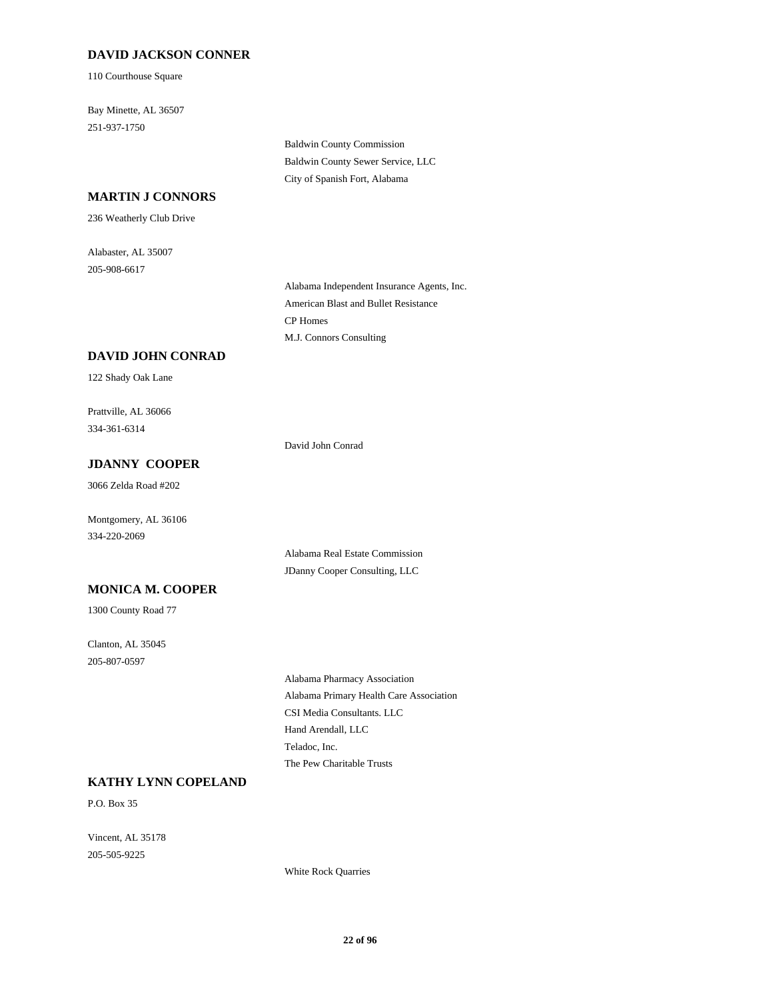#### **DAVID JACKSON CONNER**

110 Courthouse Square

Bay Minette, AL 36507 251-937-1750

> Baldwin County Commission Baldwin County Sewer Service, LLC City of Spanish Fort, Alabama

#### **MARTIN J CONNORS**

236 Weatherly Club Drive

Alabaster, AL 35007 205-908-6617

> Alabama Independent Insurance Agents, Inc. American Blast and Bullet Resistance CP Homes M.J. Connors Consulting

#### **DAVID JOHN CONRAD**

122 Shady Oak Lane

Prattville, AL 36066 334-361-6314

David John Conrad

## **JDANNY COOPER**

3066 Zelda Road #202

Montgomery, AL 36106 334-220-2069

#### **MONICA M. COOPER**

1300 County Road 77

Clanton, AL 35045 205-807-0597

Alabama Real Estate Commission JDanny Cooper Consulting, LLC

Alabama Pharmacy Association Alabama Primary Health Care Association CSI Media Consultants. LLC Hand Arendall, LLC Teladoc, Inc. The Pew Charitable Trusts

#### **KATHY LYNN COPELAND**

P.O. Box 35

Vincent, AL 35178 205-505-9225

White Rock Quarries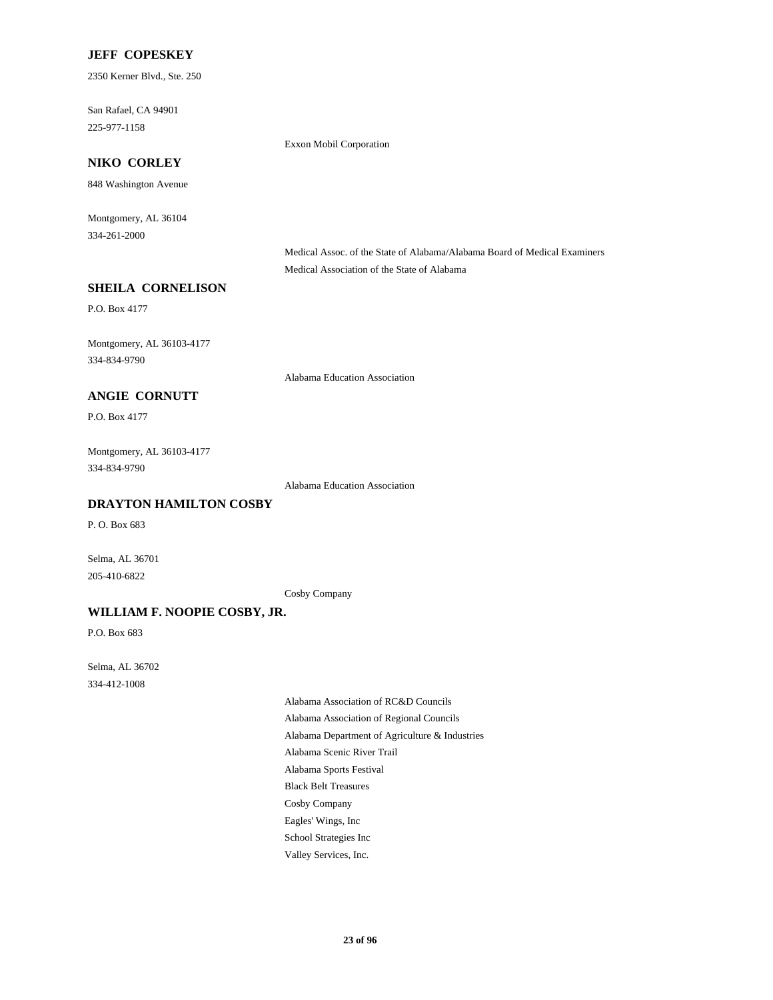#### **JEFF COPESKEY**

2350 Kerner Blvd., Ste. 250

San Rafael, CA 94901 225-977-1158

Exxon Mobil Corporation

## **NIKO CORLEY**

848 Washington Avenue

Montgomery, AL 36104 334-261-2000

> Medical Assoc. of the State of Alabama/Alabama Board of Medical Examiners Medical Association of the State of Alabama

#### **SHEILA CORNELISON**

P.O. Box 4177

Montgomery, AL 36103-4177 334-834-9790

Alabama Education Association

#### **ANGIE CORNUTT**

P.O. Box 4177

Montgomery, AL 36103-4177 334-834-9790

Alabama Education Association

## **DRAYTON HAMILTON COSBY**

P. O. Box 683

Selma, AL 36701 205-410-6822

Cosby Company

#### **WILLIAM F. NOOPIE COSBY, JR.**

P.O. Box 683

Selma, AL 36702 334-412-1008

> Alabama Association of RC&D Councils Alabama Association of Regional Councils Alabama Department of Agriculture & Industries Alabama Scenic River Trail Alabama Sports Festival Black Belt Treasures Cosby Company Eagles' Wings, Inc School Strategies Inc Valley Services, Inc.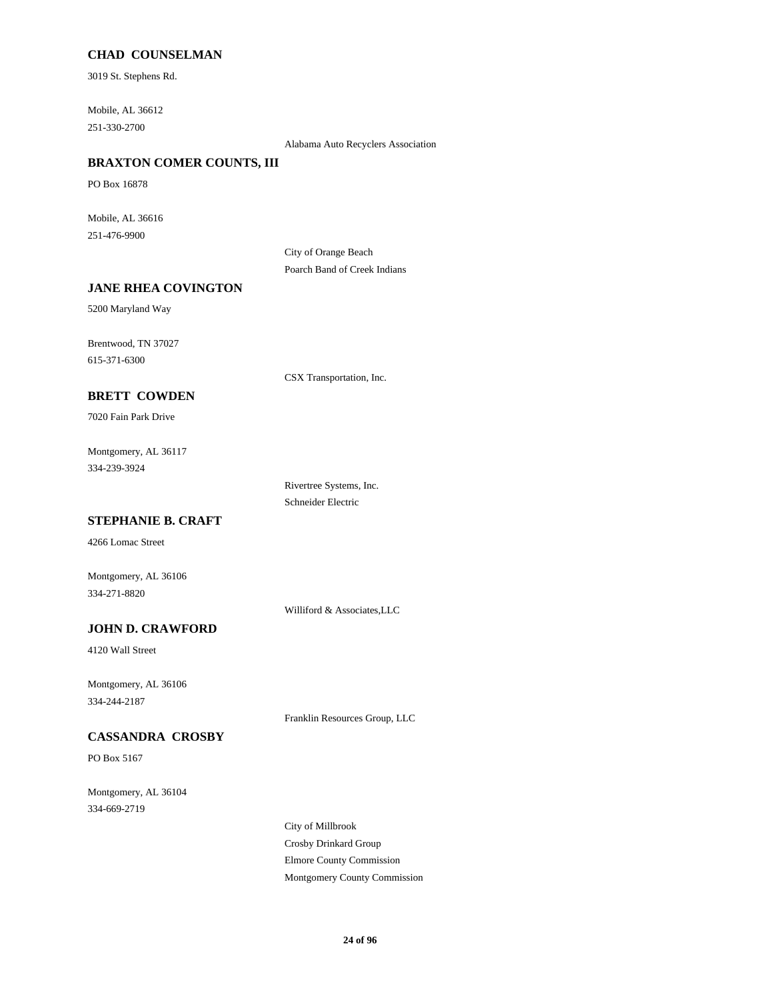#### **CHAD COUNSELMAN**

3019 St. Stephens Rd.

Mobile, AL 36612 251-330-2700

Alabama Auto Recyclers Association

## **BRAXTON COMER COUNTS, III**

PO Box 16878

Mobile, AL 36616 251-476-9900

> City of Orange Beach Poarch Band of Creek Indians

#### **JANE RHEA COVINGTON**

5200 Maryland Way

Brentwood, TN 37027 615-371-6300

CSX Transportation, Inc.

## **BRETT COWDEN**

7020 Fain Park Drive

Montgomery, AL 36117 334-239-3924

> Rivertree Systems, Inc. Schneider Electric

## **STEPHANIE B. CRAFT**

4266 Lomac Street

Montgomery, AL 36106 334-271-8820

Williford & Associates,LLC

## **JOHN D. CRAWFORD**

4120 Wall Street

Montgomery, AL 36106 334-244-2187

Franklin Resources Group, LLC

## **CASSANDRA CROSBY**

PO Box 5167

Montgomery, AL 36104 334-669-2719

> City of Millbrook Crosby Drinkard Group Elmore County Commission Montgomery County Commission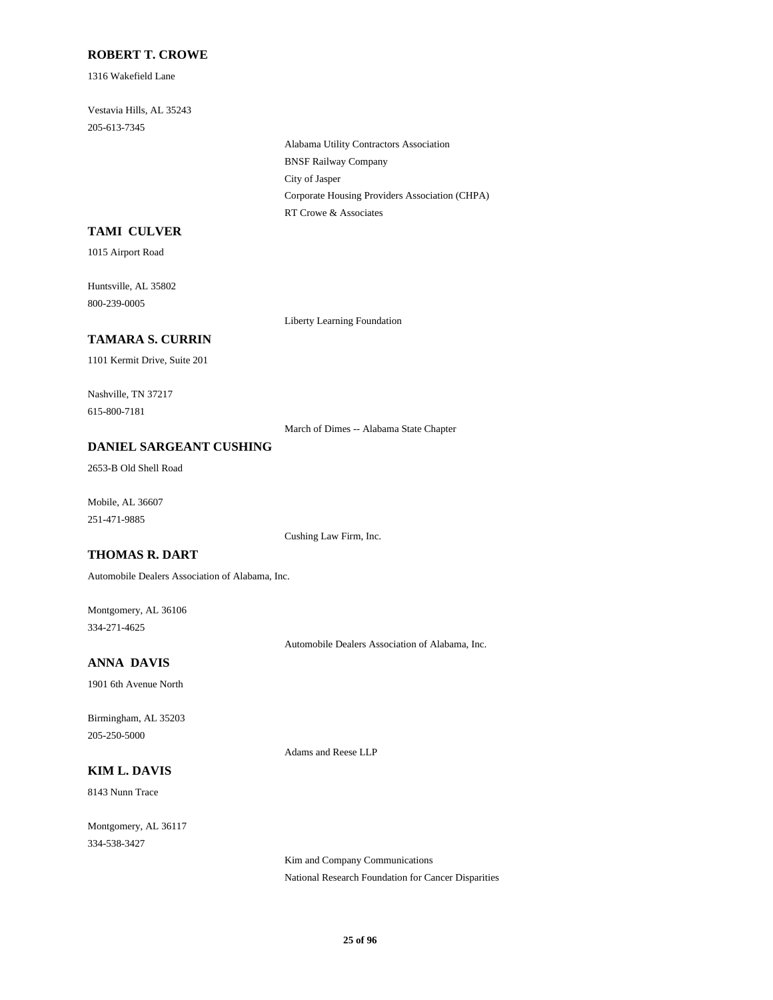#### **ROBERT T. CROWE**

1316 Wakefield Lane

Vestavia Hills, AL 35243 205-613-7345

> Alabama Utility Contractors Association BNSF Railway Company City of Jasper Corporate Housing Providers Association (CHPA) RT Crowe & Associates

#### **TAMI CULVER**

1015 Airport Road

Huntsville, AL 35802 800-239-0005

Liberty Learning Foundation

## **TAMARA S. CURRIN**

1101 Kermit Drive, Suite 201

Nashville, TN 37217 615-800-7181

March of Dimes -- Alabama State Chapter

#### **DANIEL SARGEANT CUSHING**

2653-B Old Shell Road

Mobile, AL 36607 251-471-9885

Cushing Law Firm, Inc.

## **THOMAS R. DART**

Automobile Dealers Association of Alabama, Inc.

Montgomery, AL 36106 334-271-4625

Automobile Dealers Association of Alabama, Inc.

## **ANNA DAVIS**

1901 6th Avenue North

Birmingham, AL 35203 205-250-5000

Adams and Reese LLP

## **KIM L. DAVIS**

8143 Nunn Trace

Montgomery, AL 36117 334-538-3427

> Kim and Company Communications National Research Foundation for Cancer Disparities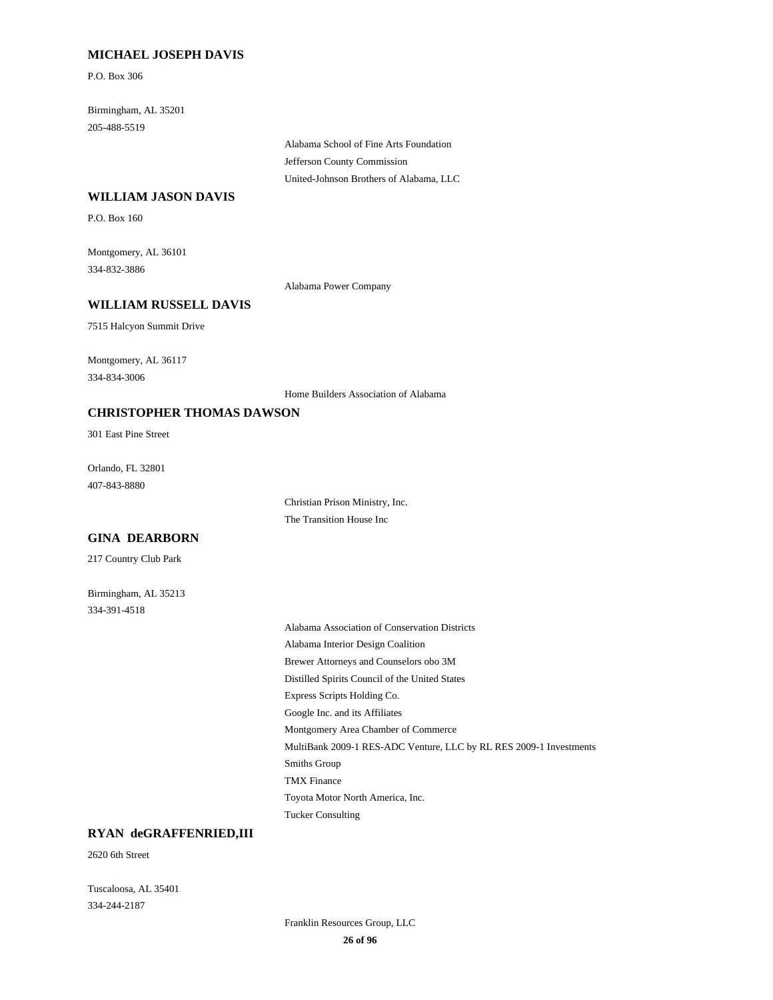#### **MICHAEL JOSEPH DAVIS**

P.O. Box 306

Birmingham, AL 35201 205-488-5519

> Alabama School of Fine Arts Foundation Jefferson County Commission United-Johnson Brothers of Alabama, LLC

#### **WILLIAM JASON DAVIS**

P.O. Box 160

Montgomery, AL 36101 334-832-3886

Alabama Power Company

## **WILLIAM RUSSELL DAVIS**

7515 Halcyon Summit Drive

Montgomery, AL 36117 334-834-3006

Home Builders Association of Alabama

#### **CHRISTOPHER THOMAS DAWSON**

301 East Pine Street

Orlando, FL 32801 407-843-8880

> Christian Prison Ministry, Inc. The Transition House Inc

#### **GINA DEARBORN**

217 Country Club Park

Birmingham, AL 35213 334-391-4518

> Alabama Association of Conservation Districts Alabama Interior Design Coalition Brewer Attorneys and Counselors obo 3M Distilled Spirits Council of the United States Express Scripts Holding Co. Google Inc. and its Affiliates Montgomery Area Chamber of Commerce MultiBank 2009-1 RES-ADC Venture, LLC by RL RES 2009-1 Investments Smiths Group TMX Finance Toyota Motor North America, Inc. Tucker Consulting

### **RYAN deGRAFFENRIED,III**

2620 6th Street

Tuscaloosa, AL 35401 334-244-2187

> Franklin Resources Group, LLC **26 of 96**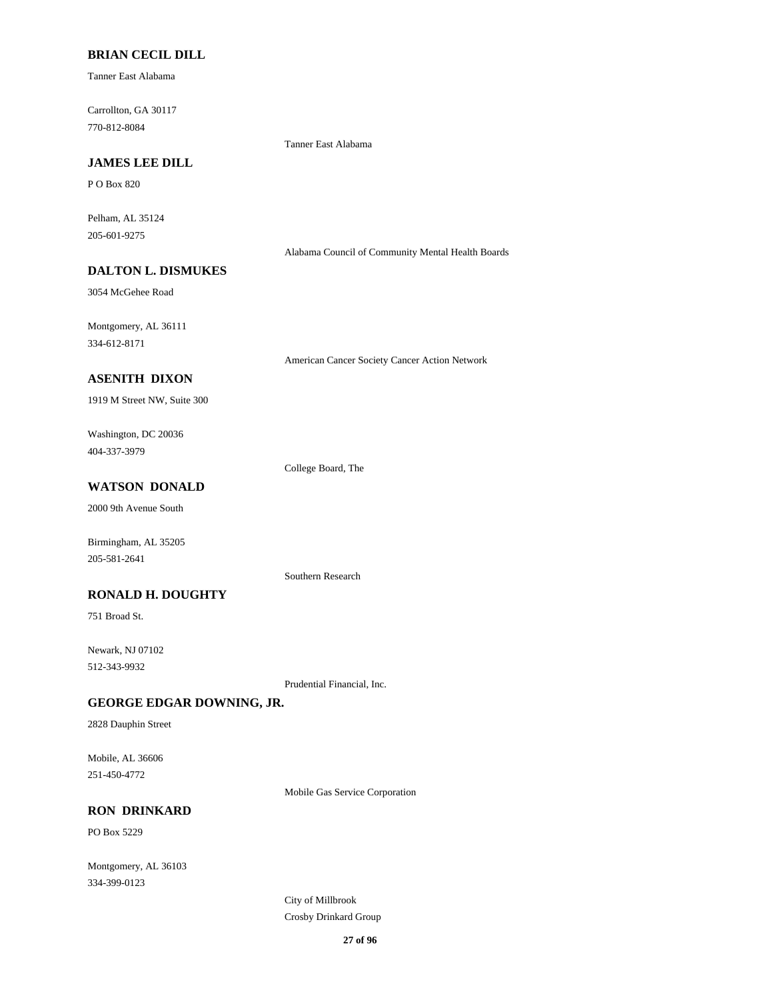#### **BRIAN CECIL DILL**

Tanner East Alabama

Carrollton, GA 30117 770-812-8084

Tanner East Alabama

## **JAMES LEE DILL**

P O Box 820

Pelham, AL 35124 205-601-9275

Alabama Council of Community Mental Health Boards

## **DALTON L. DISMUKES**

3054 McGehee Road

Montgomery, AL 36111 334-612-8171

American Cancer Society Cancer Action Network

## **ASENITH DIXON**

1919 M Street NW, Suite 300

Washington, DC 20036 404-337-3979

College Board, The

## **WATSON DONALD**

2000 9th Avenue South

Birmingham, AL 35205 205-581-2641

Southern Research

#### **RONALD H. DOUGHTY**

751 Broad St.

Newark, NJ 07102 512-343-9932

Prudential Financial, Inc.

#### **GEORGE EDGAR DOWNING, JR.**

2828 Dauphin Street

Mobile, AL 36606 251-450-4772

Mobile Gas Service Corporation

#### **RON DRINKARD**

PO Box 5229

Montgomery, AL 36103 334-399-0123

> City of Millbrook Crosby Drinkard Group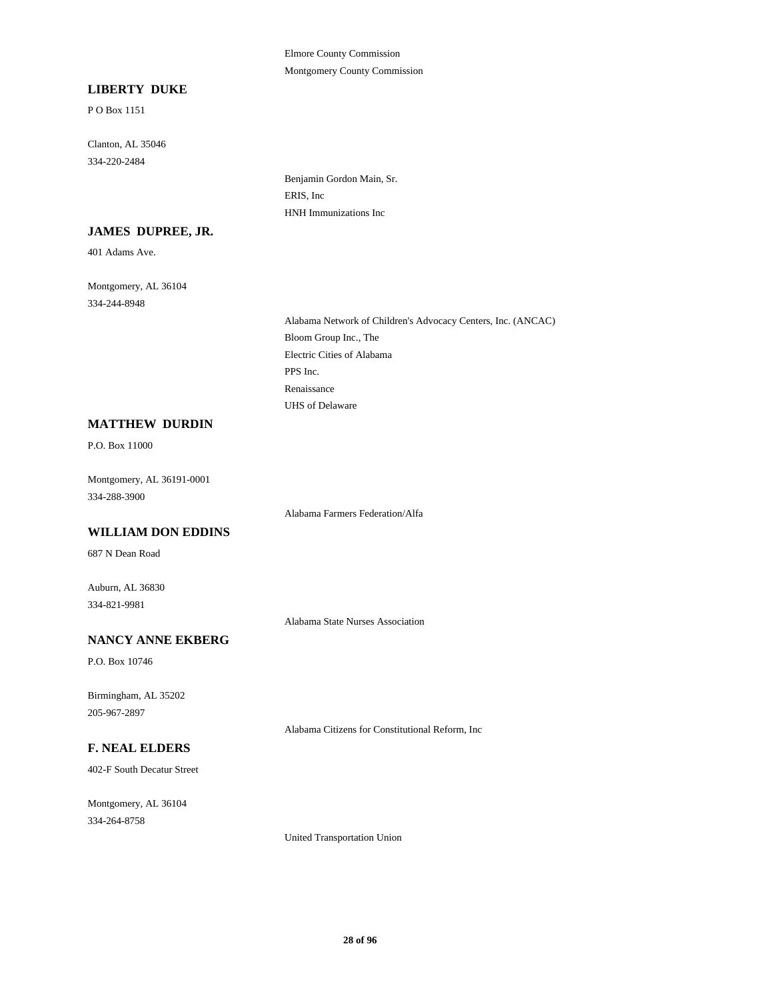#### Elmore County Commission Montgomery County Commission

#### **LIBERTY DUKE**

P O Box 1151

Clanton, AL 35046 334-220-2484

> Benjamin Gordon Main, Sr. ERIS, Inc HNH Immunizations Inc

## **JAMES DUPREE, JR.**

401 Adams Ave.

Montgomery, AL 36104 334-244-8948

> Alabama Network of Children's Advocacy Centers, Inc. (ANCAC) Bloom Group Inc., The Electric Cities of Alabama PPS Inc. Renaissance UHS of Delaware

#### **MATTHEW DURDIN**

P.O. Box 11000

Montgomery, AL 36191-0001 334-288-3900

Alabama Farmers Federation/Alfa

#### **WILLIAM DON EDDINS**

687 N Dean Road

Auburn, AL 36830 334-821-9981

Alabama State Nurses Association

#### **NANCY ANNE EKBERG**

P.O. Box 10746

Birmingham, AL 35202 205-967-2897

Alabama Citizens for Constitutional Reform, Inc

#### **F. NEAL ELDERS**

402-F South Decatur Street

Montgomery, AL 36104 334-264-8758

United Transportation Union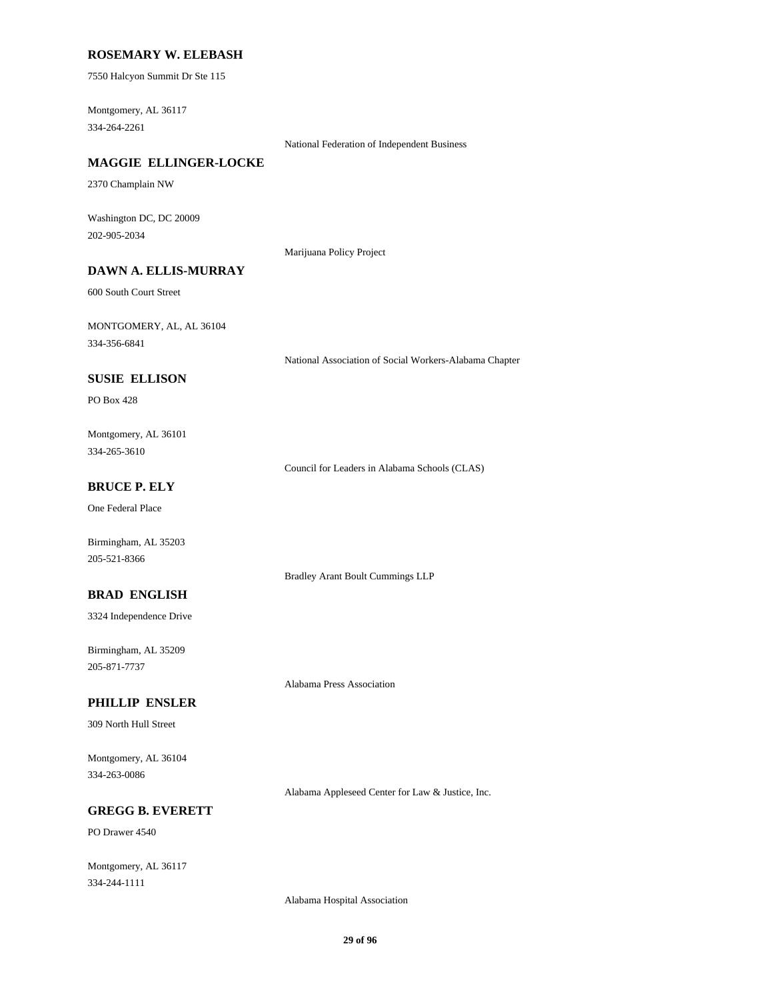#### **ROSEMARY W. ELEBASH**

7550 Halcyon Summit Dr Ste 115

Montgomery, AL 36117 334-264-2261

National Federation of Independent Business

## **MAGGIE ELLINGER-LOCKE**

2370 Champlain NW

Washington DC, DC 20009 202-905-2034

Marijuana Policy Project

## **DAWN A. ELLIS-MURRAY**

600 South Court Street

MONTGOMERY, AL, AL 36104 334-356-6841

National Association of Social Workers-Alabama Chapter

#### **SUSIE ELLISON**

PO Box 428

Montgomery, AL 36101 334-265-3610

Council for Leaders in Alabama Schools (CLAS)

Bradley Arant Boult Cummings LLP

Alabama Press Association

### **BRUCE P. ELY**

One Federal Place

Birmingham, AL 35203 205-521-8366

#### **BRAD ENGLISH**

3324 Independence Drive

Birmingham, AL 35209 205-871-7737

#### **PHILLIP ENSLER**

309 North Hull Street

Montgomery, AL 36104 334-263-0086

Alabama Appleseed Center for Law & Justice, Inc.

#### **GREGG B. EVERETT**

PO Drawer 4540

Montgomery, AL 36117 334-244-1111

Alabama Hospital Association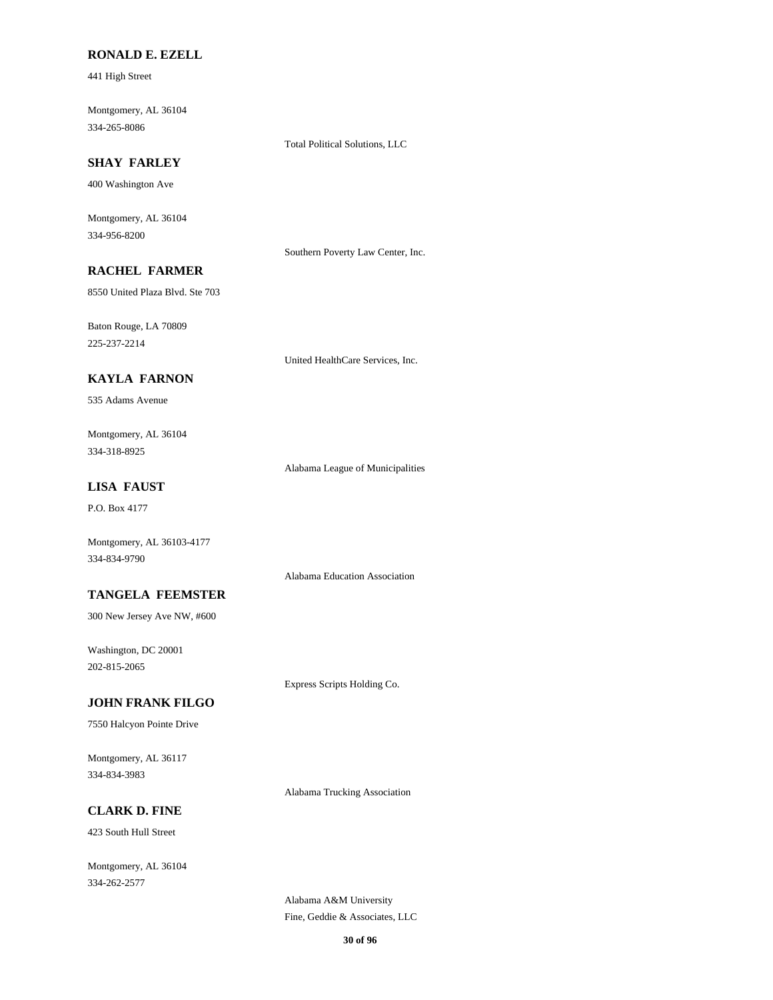#### **RONALD E. EZELL**

441 High Street

Montgomery, AL 36104 334-265-8086

Total Political Solutions, LLC

## **SHAY FARLEY**

400 Washington Ave

Montgomery, AL 36104 334-956-8200

Southern Poverty Law Center, Inc.

## **RACHEL FARMER**

8550 United Plaza Blvd. Ste 703

Baton Rouge, LA 70809 225-237-2214

United HealthCare Services, Inc.

## **KAYLA FARNON**

535 Adams Avenue

Montgomery, AL 36104 334-318-8925

Alabama League of Municipalities

## **LISA FAUST**

P.O. Box 4177

Montgomery, AL 36103-4177 334-834-9790

Alabama Education Association

#### **TANGELA FEEMSTER**

300 New Jersey Ave NW, #600

Washington, DC 20001 202-815-2065

Express Scripts Holding Co.

#### **JOHN FRANK FILGO**

7550 Halcyon Pointe Drive

Montgomery, AL 36117 334-834-3983

Alabama Trucking Association

## **CLARK D. FINE**

423 South Hull Street

Montgomery, AL 36104 334-262-2577

> Alabama A&M University Fine, Geddie & Associates, LLC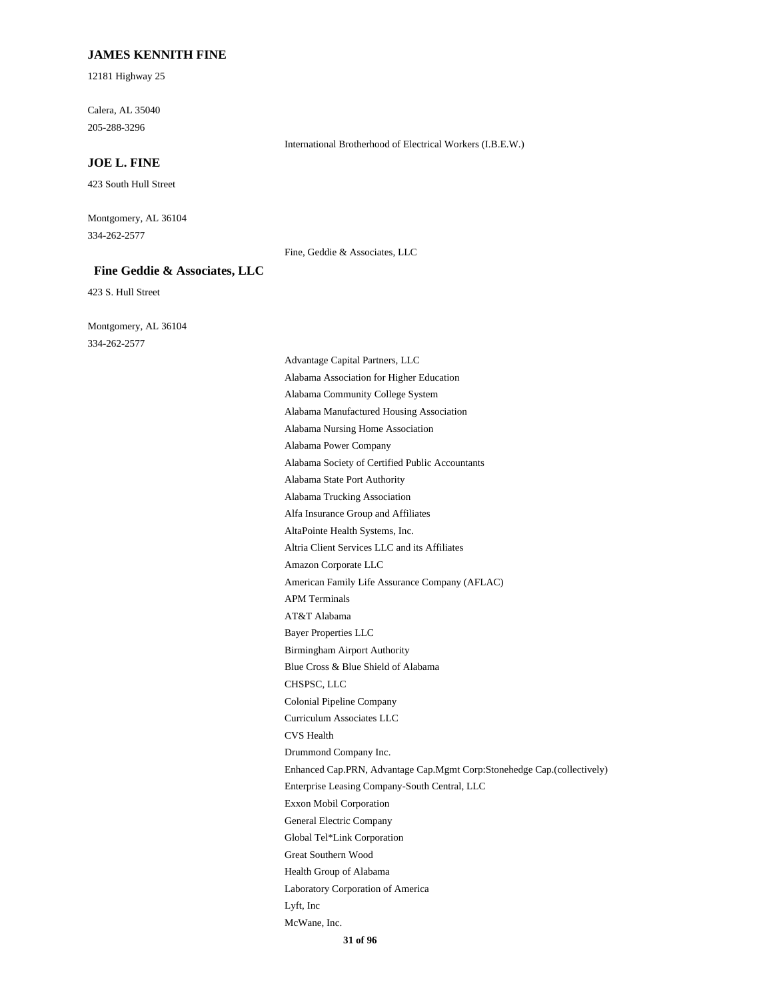#### **JAMES KENNITH FINE**

12181 Highway 25

Calera, AL 35040 205-288-3296

#### **JOE L. FINE**

423 South Hull Street

Montgomery, AL 36104 334-262-2577

Fine, Geddie & Associates, LLC

International Brotherhood of Electrical Workers (I.B.E.W.)

#### **Fine Geddie & Associates, LLC**

423 S. Hull Street

Montgomery, AL 36104 334-262-2577

> Advantage Capital Partners, LLC Alabama Association for Higher Education Alabama Community College System Alabama Manufactured Housing Association Alabama Nursing Home Association Alabama Power Company Alabama Society of Certified Public Accountants Alabama State Port Authority Alabama Trucking Association Alfa Insurance Group and Affiliates AltaPointe Health Systems, Inc. Altria Client Services LLC and its Affiliates Amazon Corporate LLC American Family Life Assurance Company (AFLAC) APM Terminals AT&T Alabama Bayer Properties LLC Birmingham Airport Authority Blue Cross & Blue Shield of Alabama CHSPSC, LLC Colonial Pipeline Company Curriculum Associates LLC CVS Health Drummond Company Inc. Enhanced Cap.PRN, Advantage Cap.Mgmt Corp:Stonehedge Cap.(collectively) Enterprise Leasing Company-South Central, LLC Exxon Mobil Corporation General Electric Company Global Tel\*Link Corporation Great Southern Wood Health Group of Alabama Laboratory Corporation of America Lyft, Inc McWane, Inc.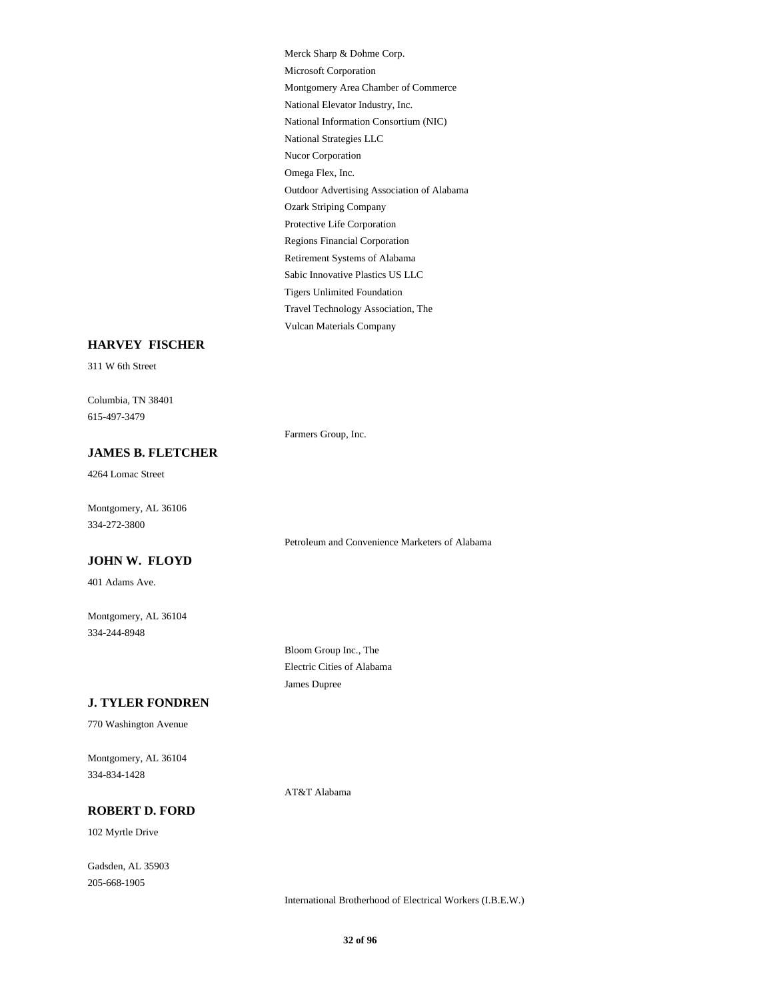Merck Sharp & Dohme Corp. Microsoft Corporation Montgomery Area Chamber of Commerce National Elevator Industry, Inc. National Information Consortium (NIC) National Strategies LLC Nucor Corporation Omega Flex, Inc. Outdoor Advertising Association of Alabama Ozark Striping Company Protective Life Corporation Regions Financial Corporation Retirement Systems of Alabama Sabic Innovative Plastics US LLC Tigers Unlimited Foundation Travel Technology Association, The Vulcan Materials Company

#### **HARVEY FISCHER**

311 W 6th Street

Columbia, TN 38401 615-497-3479

Farmers Group, Inc.

#### **JAMES B. FLETCHER**

4264 Lomac Street

Montgomery, AL 36106 334-272-3800

#### **JOHN W. FLOYD**

401 Adams Ave.

Montgomery, AL 36104 334-244-8948

> Bloom Group Inc., The Electric Cities of Alabama James Dupree

Petroleum and Convenience Marketers of Alabama

#### **J. TYLER FONDREN**

770 Washington Avenue

Montgomery, AL 36104 334-834-1428

AT&T Alabama

#### **ROBERT D. FORD**

102 Myrtle Drive

Gadsden, AL 35903 205-668-1905

International Brotherhood of Electrical Workers (I.B.E.W.)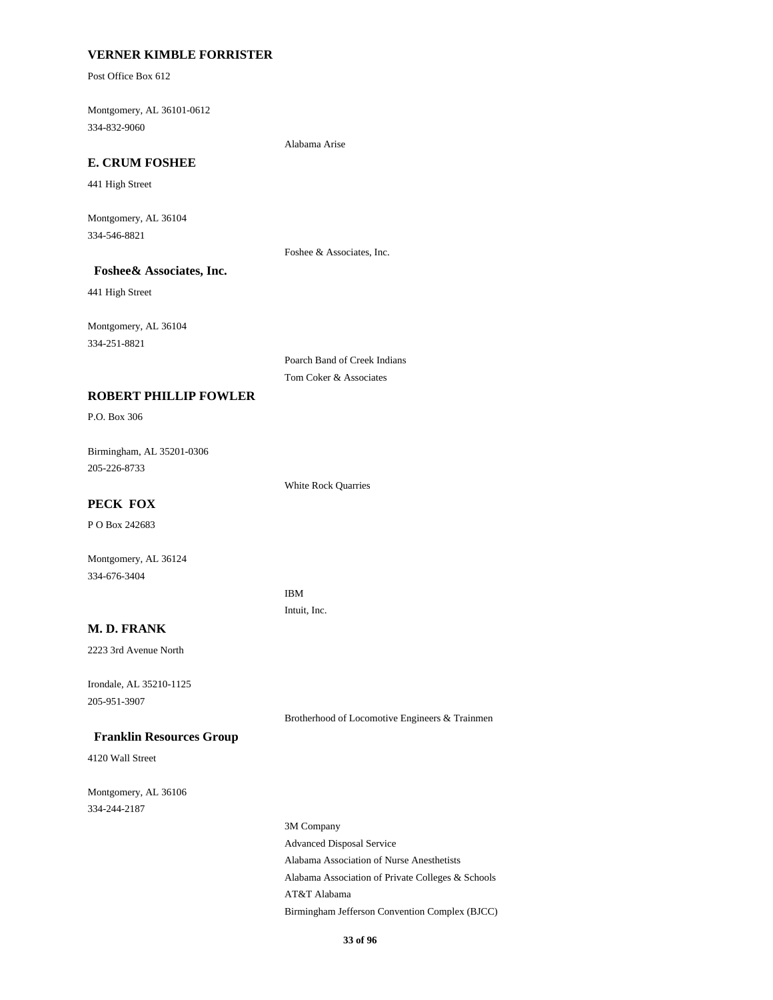#### **VERNER KIMBLE FORRISTER**

Post Office Box 612

Montgomery, AL 36101-0612 334-832-9060

Alabama Arise

## **E. CRUM FOSHEE**

441 High Street

Montgomery, AL 36104 334-546-8821

Foshee & Associates, Inc.

### **Foshee& Associates, Inc.**

441 High Street

Montgomery, AL 36104 334-251-8821

> Poarch Band of Creek Indians Tom Coker & Associates

## **ROBERT PHILLIP FOWLER**

P.O. Box 306

Birmingham, AL 35201-0306 205-226-8733

White Rock Quarries

### **PECK FOX**

P O Box 242683

Montgomery, AL 36124 334-676-3404

> IBM Intuit, Inc.

#### **M. D. FRANK**

2223 3rd Avenue North

Irondale, AL 35210-1125 205-951-3907

Brotherhood of Locomotive Engineers & Trainmen

 **Franklin Resources Group**

4120 Wall Street

Montgomery, AL 36106 334-244-2187

> 3M Company Advanced Disposal Service Alabama Association of Nurse Anesthetists Alabama Association of Private Colleges & Schools AT&T Alabama Birmingham Jefferson Convention Complex (BJCC)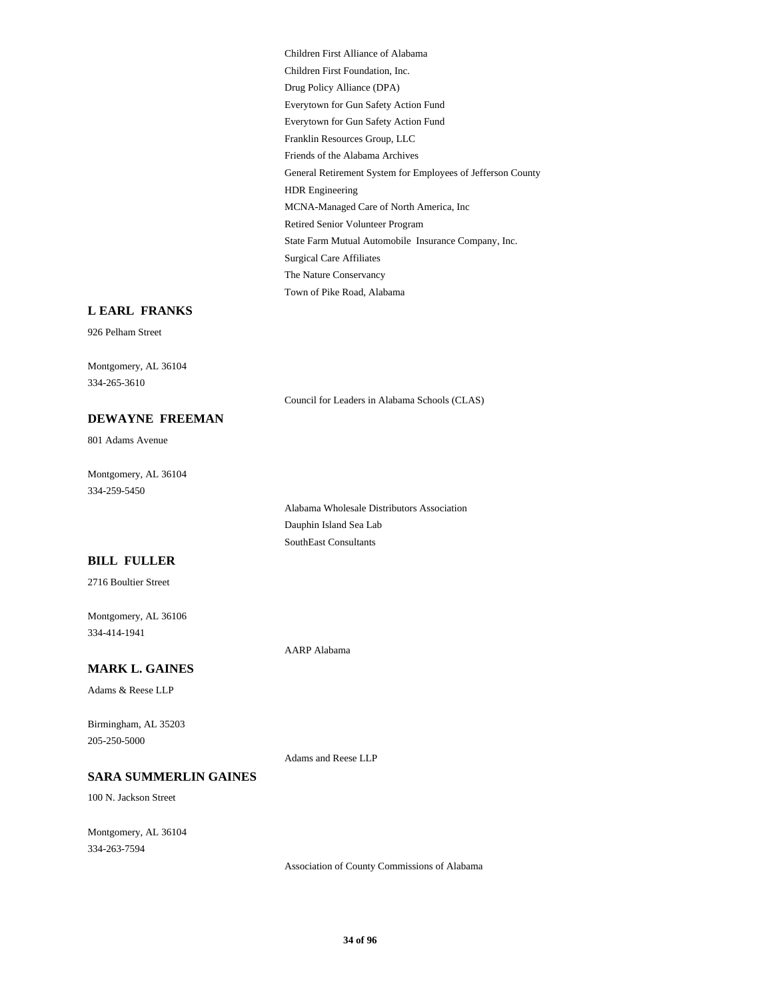Children First Alliance of Alabama Children First Foundation, Inc. Drug Policy Alliance (DPA) Everytown for Gun Safety Action Fund Everytown for Gun Safety Action Fund Franklin Resources Group, LLC Friends of the Alabama Archives General Retirement System for Employees of Jefferson County HDR Engineering MCNA-Managed Care of North America, Inc Retired Senior Volunteer Program State Farm Mutual Automobile Insurance Company, Inc. Surgical Care Affiliates The Nature Conservancy Town of Pike Road, Alabama

#### **L EARL FRANKS**

926 Pelham Street

Montgomery, AL 36104 334-265-3610

Council for Leaders in Alabama Schools (CLAS)

# **DEWAYNE FREEMAN**

801 Adams Avenue

Montgomery, AL 36104 334-259-5450

> Alabama Wholesale Distributors Association Dauphin Island Sea Lab SouthEast Consultants

#### **BILL FULLER**

2716 Boultier Street

Montgomery, AL 36106 334-414-1941

AARP Alabama

#### **MARK L. GAINES**

Adams & Reese LLP

Birmingham, AL 35203 205-250-5000

Adams and Reese LLP

#### **SARA SUMMERLIN GAINES**

100 N. Jackson Street

Montgomery, AL 36104 334-263-7594

Association of County Commissions of Alabama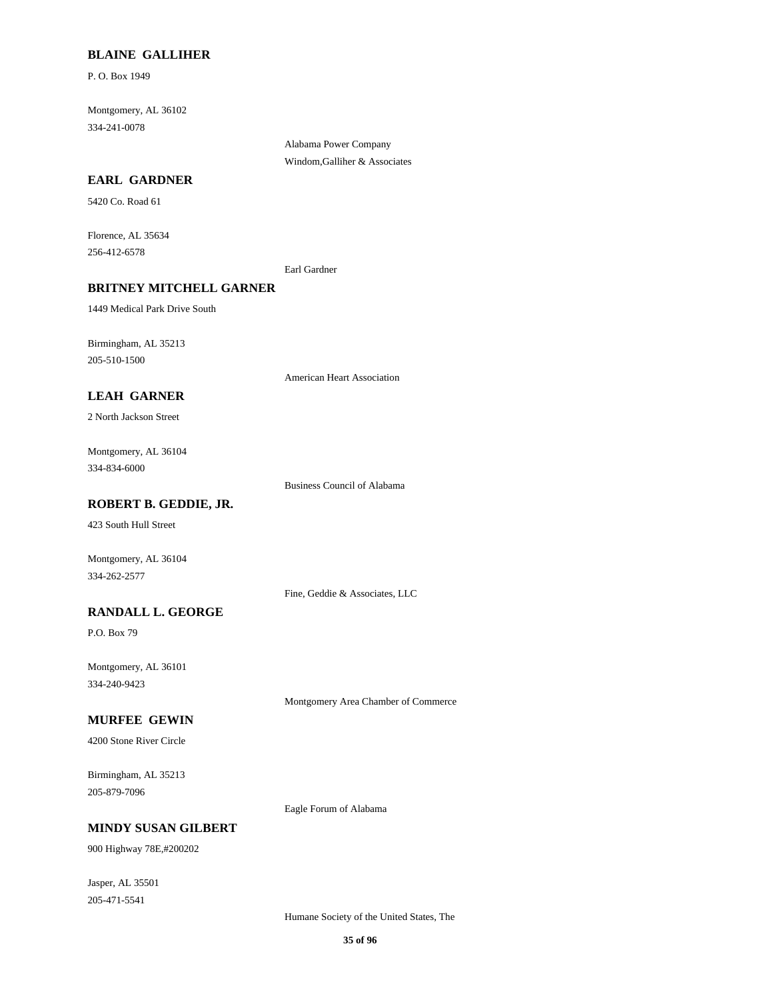#### **BLAINE GALLIHER**

P. O. Box 1949

Montgomery, AL 36102 334-241-0078

**EARL GARDNER**

5420 Co. Road 61

Florence, AL 35634 256-412-6578

Earl Gardner

Alabama Power Company Windom,Galliher & Associates

#### **BRITNEY MITCHELL GARNER**

1449 Medical Park Drive South

Birmingham, AL 35213 205-510-1500

American Heart Association

## **LEAH GARNER**

2 North Jackson Street

Montgomery, AL 36104 334-834-6000

Business Council of Alabama

## **ROBERT B. GEDDIE, JR.**

423 South Hull Street

Montgomery, AL 36104 334-262-2577

Fine, Geddie & Associates, LLC

## **RANDALL L. GEORGE**

P.O. Box 79

Montgomery, AL 36101 334-240-9423

Montgomery Area Chamber of Commerce

#### **MURFEE GEWIN**

4200 Stone River Circle

Birmingham, AL 35213 205-879-7096

Eagle Forum of Alabama

## **MINDY SUSAN GILBERT**

900 Highway 78E,#200202

Jasper, AL 35501 205-471-5541

Humane Society of the United States, The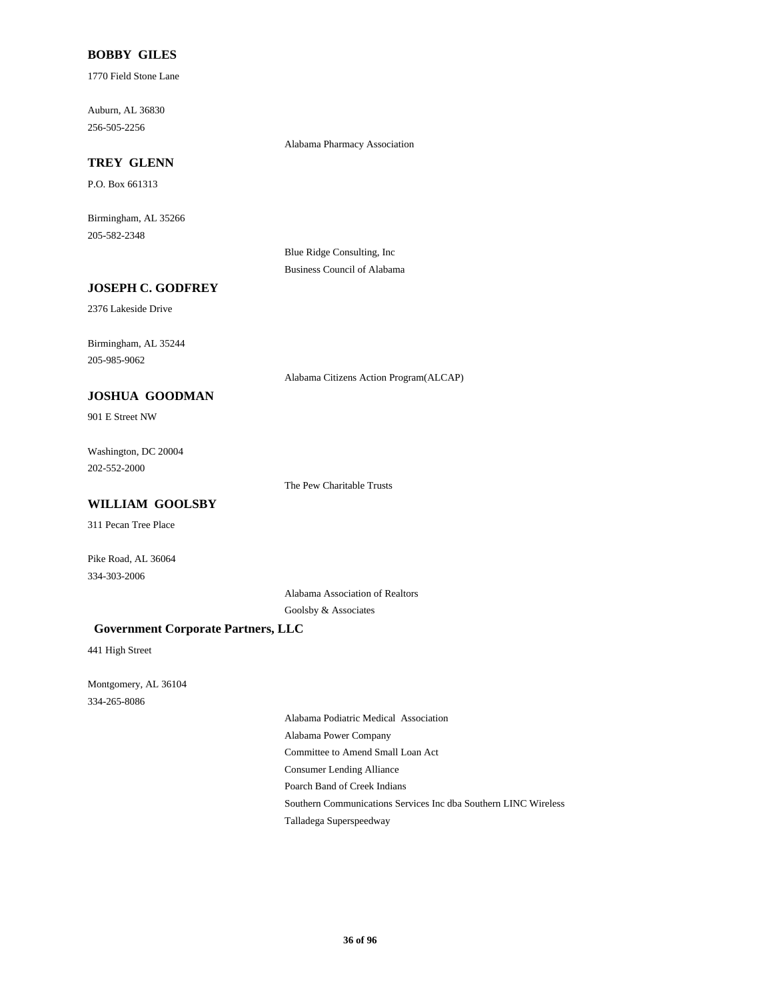### **BOBBY GILES**

1770 Field Stone Lane

Auburn, AL 36830 256-505-2256

Alabama Pharmacy Association

## **TREY GLENN**

P.O. Box 661313

Birmingham, AL 35266 205-582-2348

> Blue Ridge Consulting, Inc Business Council of Alabama

## **JOSEPH C. GODFREY**

2376 Lakeside Drive

Birmingham, AL 35244 205-985-9062

Alabama Citizens Action Program(ALCAP)

## **JOSHUA GOODMAN**

901 E Street NW

Washington, DC 20004 202-552-2000

The Pew Charitable Trusts

### **WILLIAM GOOLSBY**

311 Pecan Tree Place

Pike Road, AL 36064 334-303-2006

> Alabama Association of Realtors Goolsby & Associates

#### **Government Corporate Partners, LLC**

441 High Street

Montgomery, AL 36104 334-265-8086

> Alabama Podiatric Medical Association Alabama Power Company Committee to Amend Small Loan Act Consumer Lending Alliance Poarch Band of Creek Indians Southern Communications Services Inc dba Southern LINC Wireless Talladega Superspeedway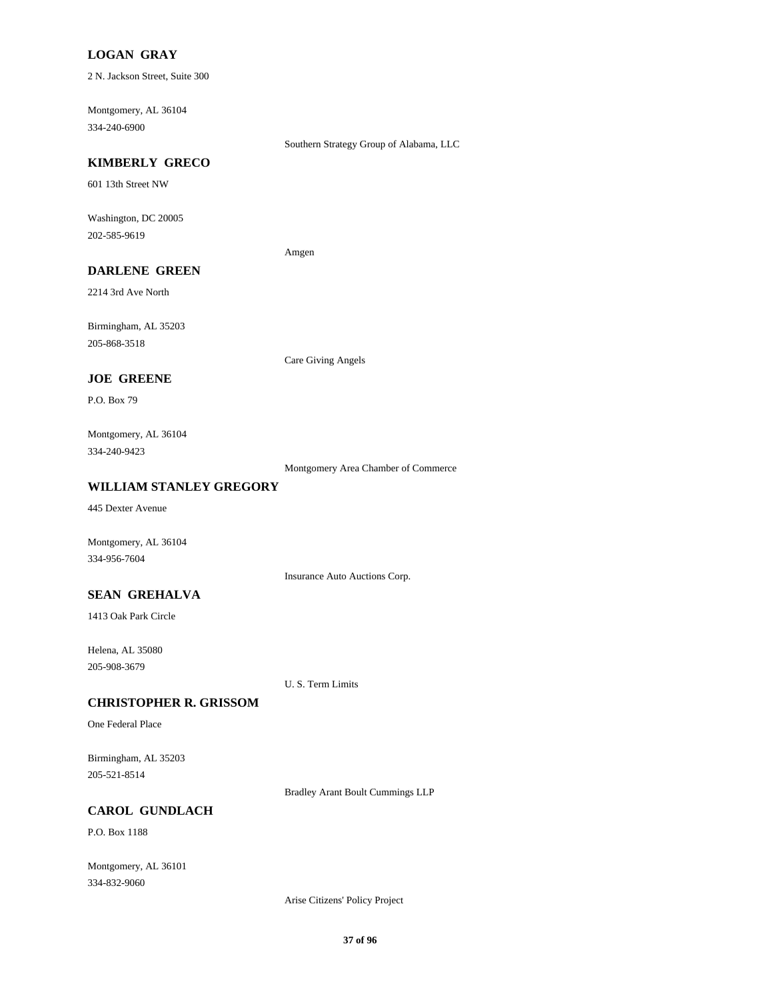## **LOGAN GRAY**

2 N. Jackson Street, Suite 300

Montgomery, AL 36104 334-240-6900

Southern Strategy Group of Alabama, LLC

#### **KIMBERLY GRECO**

601 13th Street NW

Washington, DC 20005 202-585-9619

Amgen

# **DARLENE GREEN**

2214 3rd Ave North

Birmingham, AL 35203 205-868-3518

Care Giving Angels

## **JOE GREENE**

P.O. Box 79

Montgomery, AL 36104 334-240-9423

Montgomery Area Chamber of Commerce

#### **WILLIAM STANLEY GREGORY**

445 Dexter Avenue

Montgomery, AL 36104 334-956-7604

Insurance Auto Auctions Corp.

#### **SEAN GREHALVA**

1413 Oak Park Circle

Helena, AL 35080 205-908-3679

U. S. Term Limits

#### **CHRISTOPHER R. GRISSOM**

One Federal Place

Birmingham, AL 35203 205-521-8514

Bradley Arant Boult Cummings LLP

#### **CAROL GUNDLACH**

P.O. Box 1188

Montgomery, AL 36101 334-832-9060

Arise Citizens' Policy Project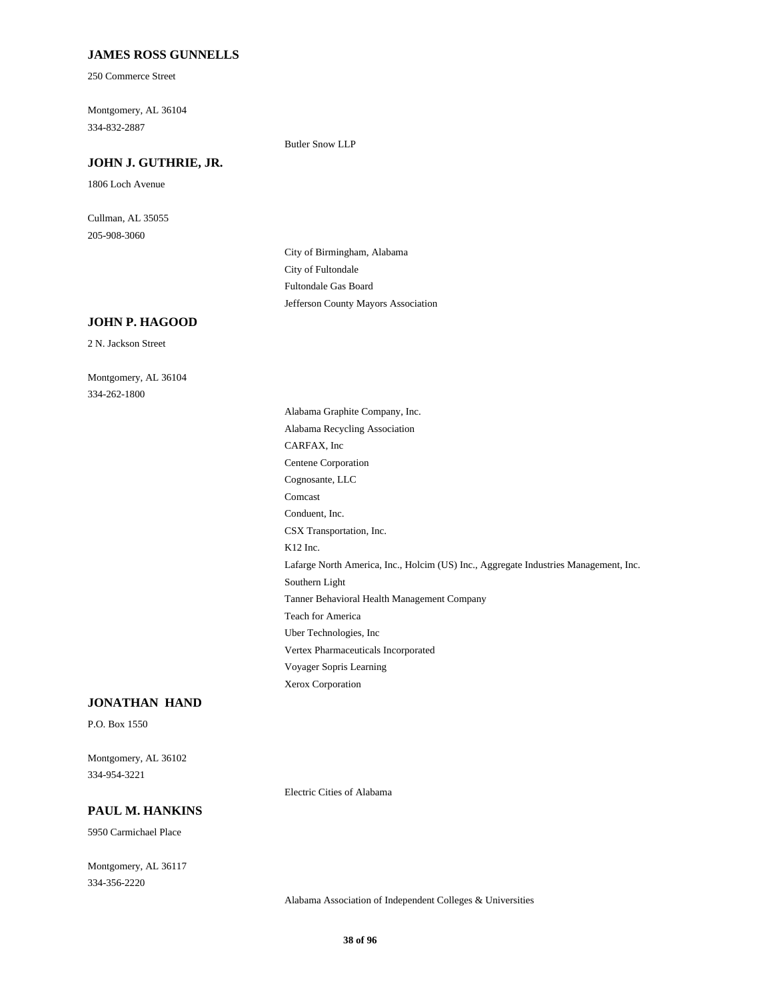#### **JAMES ROSS GUNNELLS**

250 Commerce Street

Montgomery, AL 36104 334-832-2887

Butler Snow LLP

# **JOHN J. GUTHRIE, JR.**

1806 Loch Avenue

Cullman, AL 35055 205-908-3060

> City of Birmingham, Alabama City of Fultondale Fultondale Gas Board Jefferson County Mayors Association

# **JOHN P. HAGOOD**

2 N. Jackson Street

Montgomery, AL 36104 334-262-1800

> Alabama Graphite Company, Inc. Alabama Recycling Association CARFAX, Inc Centene Corporation Cognosante, LLC Comcast Conduent, Inc. CSX Transportation, Inc. K12 Inc. Lafarge North America, Inc., Holcim (US) Inc., Aggregate Industries Management, Inc. Southern Light Tanner Behavioral Health Management Company Teach for America Uber Technologies, Inc Vertex Pharmaceuticals Incorporated Voyager Sopris Learning Xerox Corporation

#### **JONATHAN HAND**

P.O. Box 1550

Montgomery, AL 36102 334-954-3221

Electric Cities of Alabama

## **PAUL M. HANKINS**

5950 Carmichael Place

Montgomery, AL 36117 334-356-2220

Alabama Association of Independent Colleges & Universities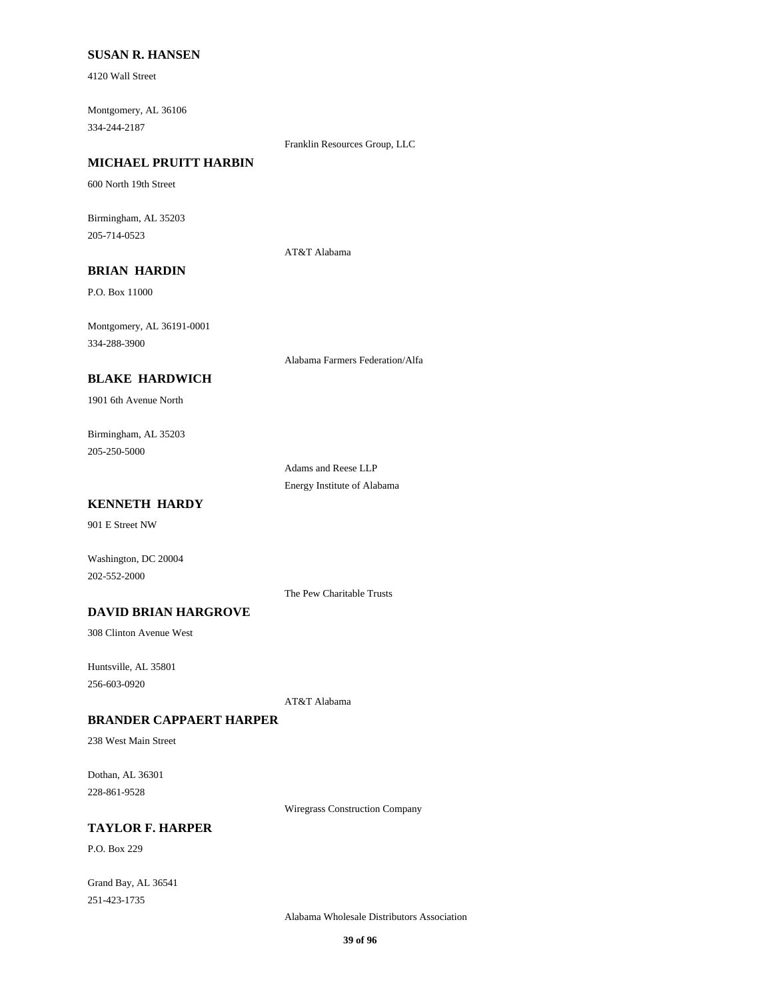#### **SUSAN R. HANSEN**

4120 Wall Street

Montgomery, AL 36106 334-244-2187

Franklin Resources Group, LLC

## **MICHAEL PRUITT HARBIN**

600 North 19th Street

Birmingham, AL 35203 205-714-0523

AT&T Alabama

# **BRIAN HARDIN**

P.O. Box 11000

Montgomery, AL 36191-0001 334-288-3900

Alabama Farmers Federation/Alfa

## **BLAKE HARDWICH**

1901 6th Avenue North

Birmingham, AL 35203 205-250-5000

> Adams and Reese LLP Energy Institute of Alabama

## **KENNETH HARDY**

901 E Street NW

Washington, DC 20004 202-552-2000

The Pew Charitable Trusts

# **DAVID BRIAN HARGROVE**

308 Clinton Avenue West

Huntsville, AL 35801 256-603-0920

AT&T Alabama

#### **BRANDER CAPPAERT HARPER**

238 West Main Street

Dothan, AL 36301 228-861-9528

Wiregrass Construction Company

# **TAYLOR F. HARPER**

P.O. Box 229

Grand Bay, AL 36541 251-423-1735

Alabama Wholesale Distributors Association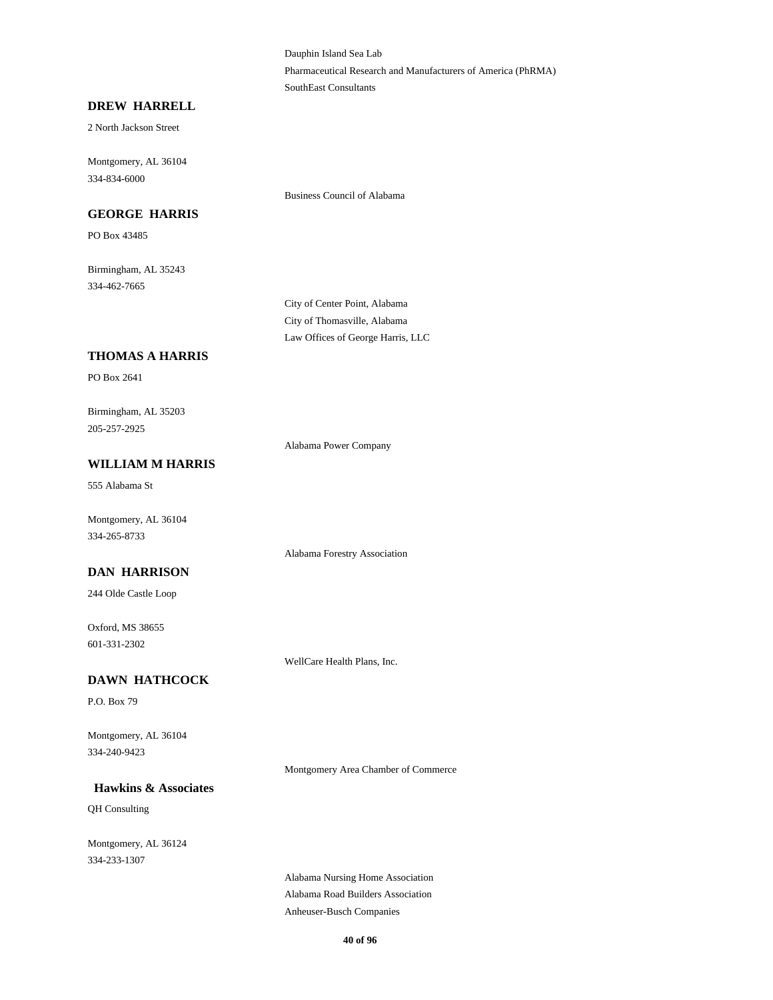Dauphin Island Sea Lab Pharmaceutical Research and Manufacturers of America (PhRMA) SouthEast Consultants

#### **DREW HARRELL**

2 North Jackson Street

Montgomery, AL 36104 334-834-6000

#### **GEORGE HARRIS**

Business Council of Alabama

Birmingham, AL 35243 334-462-7665

PO Box 43485

City of Center Point, Alabama City of Thomasville, Alabama Law Offices of George Harris, LLC

## **THOMAS A HARRIS**

PO Box 2641

Birmingham, AL 35203 205-257-2925

Alabama Power Company

# **WILLIAM M HARRIS**

555 Alabama St

Montgomery, AL 36104 334-265-8733

#### **DAN HARRISON**

244 Olde Castle Loop

Oxford, MS 38655 601-331-2302

WellCare Health Plans, Inc.

Alabama Forestry Association

## **DAWN HATHCOCK**

P.O. Box 79

Montgomery, AL 36104 334-240-9423

Montgomery Area Chamber of Commerce

#### **Hawkins & Associates**

QH Consulting

Montgomery, AL 36124 334-233-1307

> Alabama Nursing Home Association Alabama Road Builders Association Anheuser-Busch Companies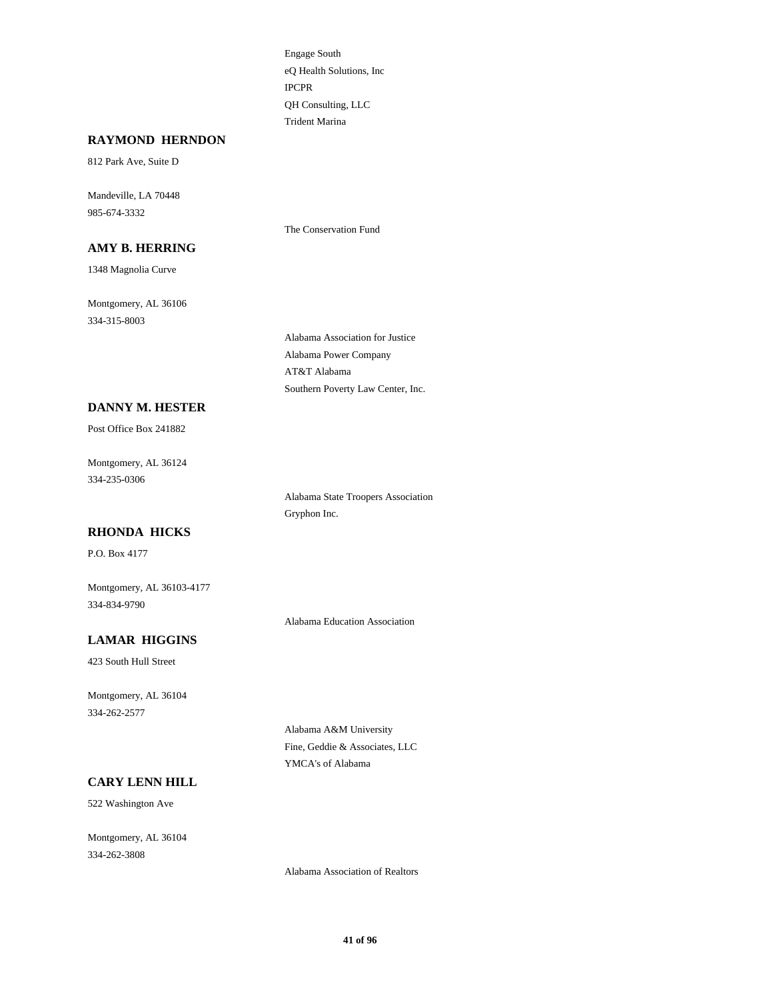Engage South eQ Health Solutions, Inc IPCPR QH Consulting, LLC Trident Marina

The Conservation Fund

#### **RAYMOND HERNDON**

812 Park Ave, Suite D

Mandeville, LA 70448 985-674-3332

**AMY B. HERRING**

1348 Magnolia Curve

Montgomery, AL 36106 334-315-8003

> Alabama Association for Justice Alabama Power Company AT&T Alabama Southern Poverty Law Center, Inc.

#### **DANNY M. HESTER**

Post Office Box 241882

Montgomery, AL 36124 334-235-0306

> Alabama State Troopers Association Gryphon Inc.

## **RHONDA HICKS**

P.O. Box 4177

Montgomery, AL 36103-4177 334-834-9790

Alabama Education Association

#### **LAMAR HIGGINS**

423 South Hull Street

Montgomery, AL 36104 334-262-2577

> Alabama A&M University Fine, Geddie & Associates, LLC YMCA's of Alabama

#### **CARY LENN HILL**

522 Washington Ave

Montgomery, AL 36104 334-262-3808

Alabama Association of Realtors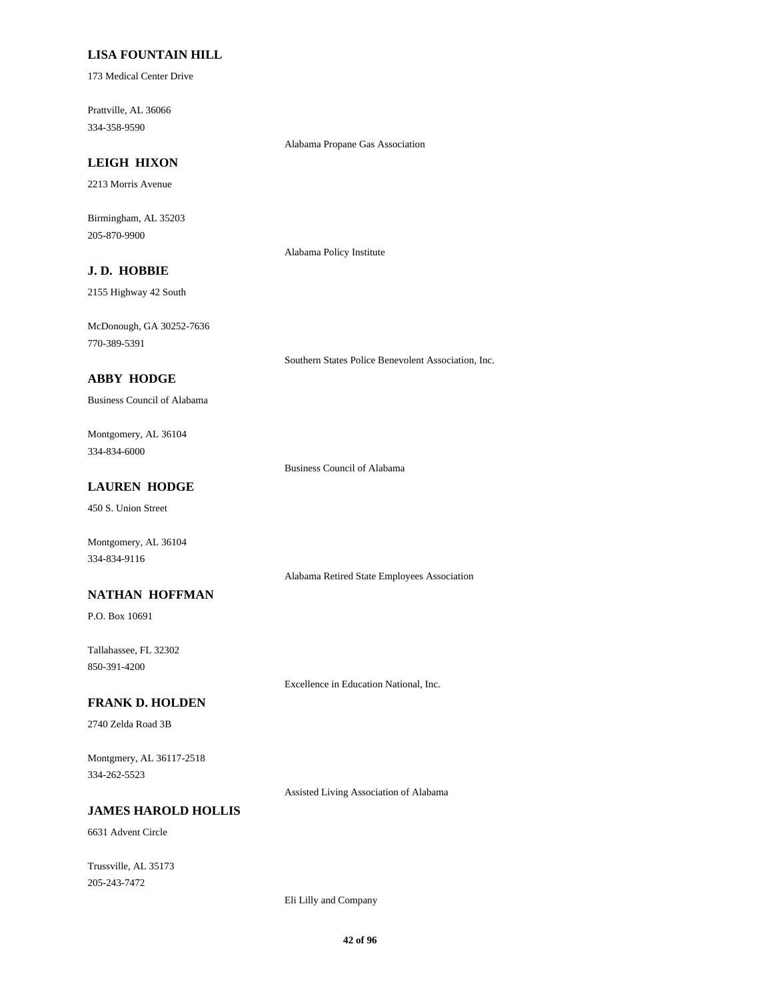## **LISA FOUNTAIN HILL**

173 Medical Center Drive

Prattville, AL 36066 334-358-9590

Alabama Propane Gas Association

# **LEIGH HIXON**

2213 Morris Avenue

Birmingham, AL 35203 205-870-9900

Alabama Policy Institute

# **J. D. HOBBIE**

2155 Highway 42 South

McDonough, GA 30252-7636 770-389-5391

Southern States Police Benevolent Association, Inc.

#### **ABBY HODGE**

Business Council of Alabama

Montgomery, AL 36104 334-834-6000

Business Council of Alabama

## **LAUREN HODGE**

450 S. Union Street

Montgomery, AL 36104 334-834-9116

Alabama Retired State Employees Association

#### **NATHAN HOFFMAN**

P.O. Box 10691

Tallahassee, FL 32302 850-391-4200

Excellence in Education National, Inc.

## **FRANK D. HOLDEN**

2740 Zelda Road 3B

Montgmery, AL 36117-2518 334-262-5523

Assisted Living Association of Alabama

#### **JAMES HAROLD HOLLIS**

6631 Advent Circle

Trussville, AL 35173 205-243-7472

Eli Lilly and Company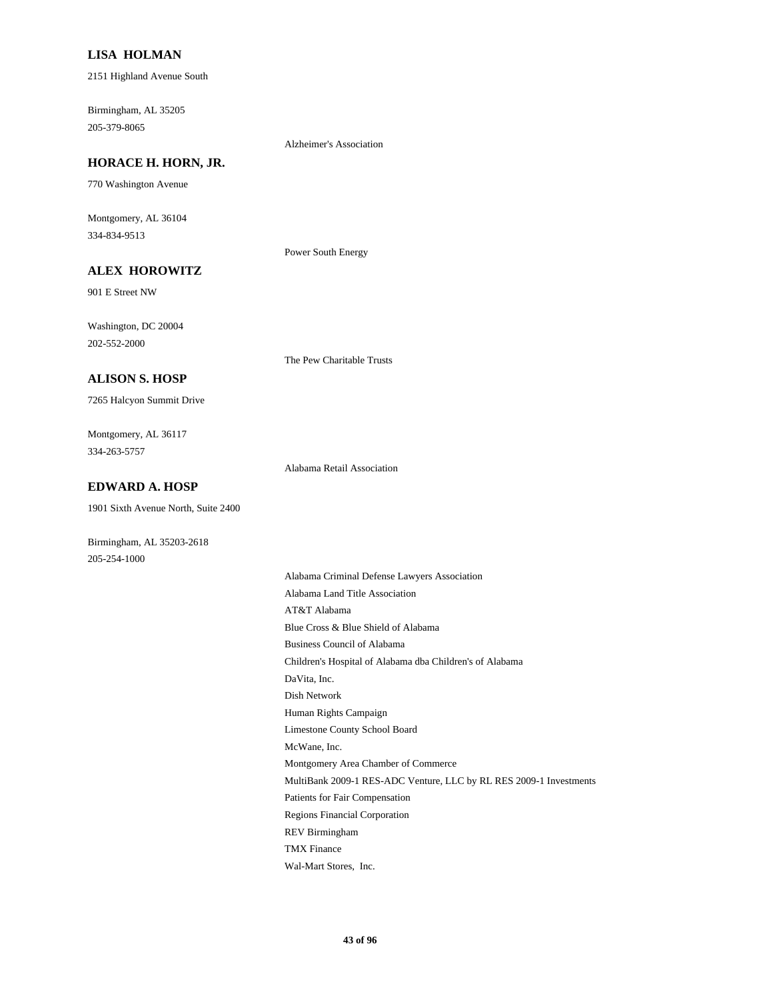#### **LISA HOLMAN**

2151 Highland Avenue South

Birmingham, AL 35205 205-379-8065

Alzheimer's Association

Power South Energy

#### **HORACE H. HORN, JR.**

770 Washington Avenue

Montgomery, AL 36104 334-834-9513

# **ALEX HOROWITZ**

901 E Street NW

Washington, DC 20004 202-552-2000

The Pew Charitable Trusts

#### **ALISON S. HOSP**

7265 Halcyon Summit Drive

Montgomery, AL 36117 334-263-5757

Alabama Retail Association

#### **EDWARD A. HOSP**

1901 Sixth Avenue North, Suite 2400

Birmingham, AL 35203-2618 205-254-1000

> Alabama Criminal Defense Lawyers Association Alabama Land Title Association AT&T Alabama Blue Cross & Blue Shield of Alabama Business Council of Alabama Children's Hospital of Alabama dba Children's of Alabama DaVita, Inc. Dish Network Human Rights Campaign Limestone County School Board McWane, Inc. Montgomery Area Chamber of Commerce MultiBank 2009-1 RES-ADC Venture, LLC by RL RES 2009-1 Investments Patients for Fair Compensation Regions Financial Corporation REV Birmingham TMX Finance

Wal-Mart Stores, Inc.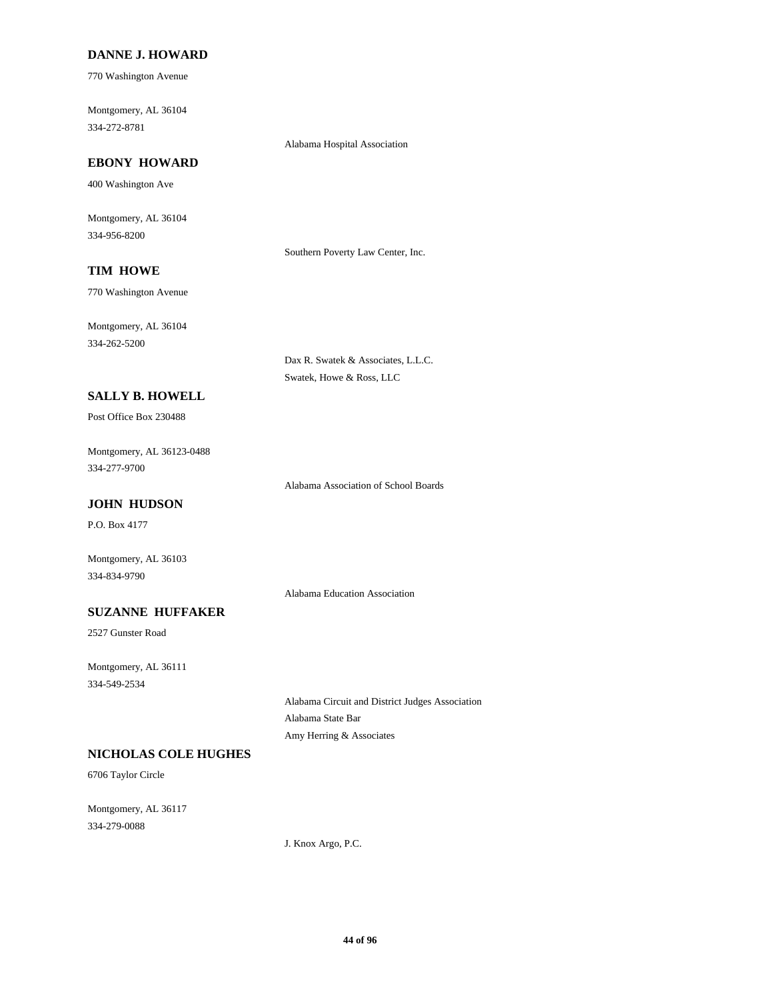## **DANNE J. HOWARD**

770 Washington Avenue

Montgomery, AL 36104 334-272-8781

Alabama Hospital Association

# **EBONY HOWARD**

400 Washington Ave

Montgomery, AL 36104 334-956-8200

Southern Poverty Law Center, Inc.

# **TIM HOWE**

770 Washington Avenue

Montgomery, AL 36104 334-262-5200

> Dax R. Swatek & Associates, L.L.C. Swatek, Howe & Ross, LLC

# **SALLY B. HOWELL**

Post Office Box 230488

Montgomery, AL 36123-0488 334-277-9700

Alabama Association of School Boards

## **JOHN HUDSON**

P.O. Box 4177

Montgomery, AL 36103 334-834-9790

Alabama Education Association

# **SUZANNE HUFFAKER**

2527 Gunster Road

Montgomery, AL 36111 334-549-2534

> Alabama Circuit and District Judges Association Alabama State Bar Amy Herring & Associates

## **NICHOLAS COLE HUGHES**

6706 Taylor Circle

Montgomery, AL 36117 334-279-0088

J. Knox Argo, P.C.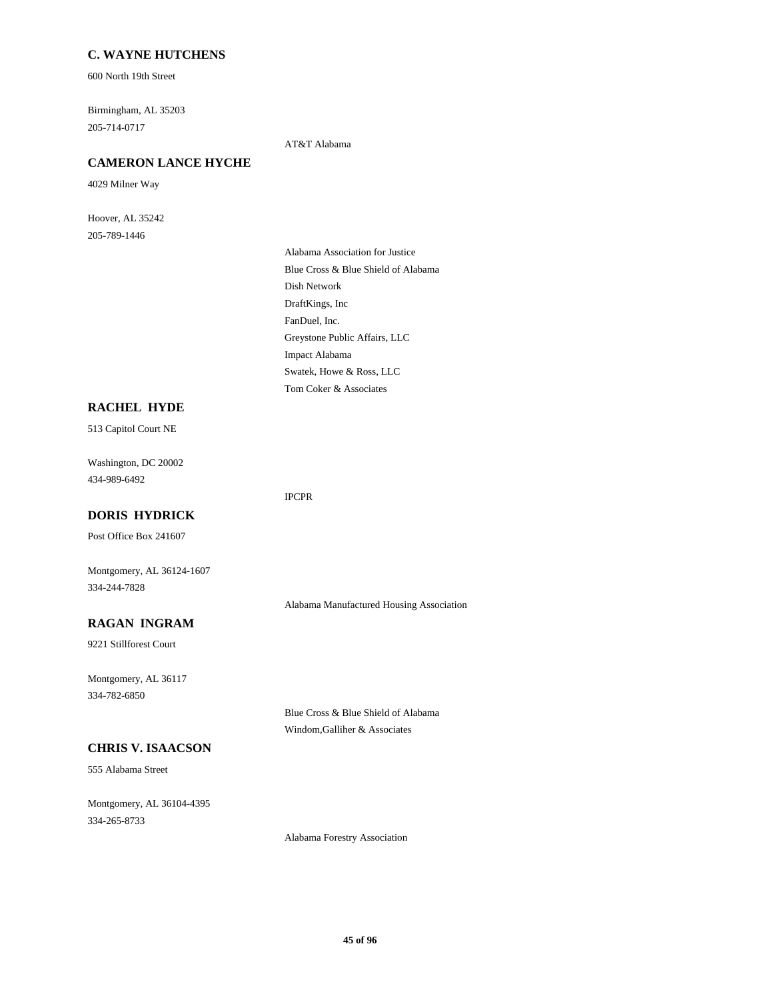#### **C. WAYNE HUTCHENS**

600 North 19th Street

Birmingham, AL 35203 205-714-0717

AT&T Alabama

# **CAMERON LANCE HYCHE**

4029 Milner Way

Hoover, AL 35242 205-789-1446

> Alabama Association for Justice Blue Cross & Blue Shield of Alabama Dish Network DraftKings, Inc FanDuel, Inc. Greystone Public Affairs, LLC Impact Alabama Swatek, Howe & Ross, LLC Tom Coker & Associates

#### **RACHEL HYDE**

513 Capitol Court NE

Washington, DC 20002 434-989-6492

#### IPCPR

**DORIS HYDRICK** Post Office Box 241607

Montgomery, AL 36124-1607 334-244-7828

Alabama Manufactured Housing Association

# **RAGAN INGRAM**

9221 Stillforest Court

Montgomery, AL 36117 334-782-6850

**CHRIS V. ISAACSON**

555 Alabama Street

Montgomery, AL 36104-4395 334-265-8733

Blue Cross & Blue Shield of Alabama Windom,Galliher & Associates

Alabama Forestry Association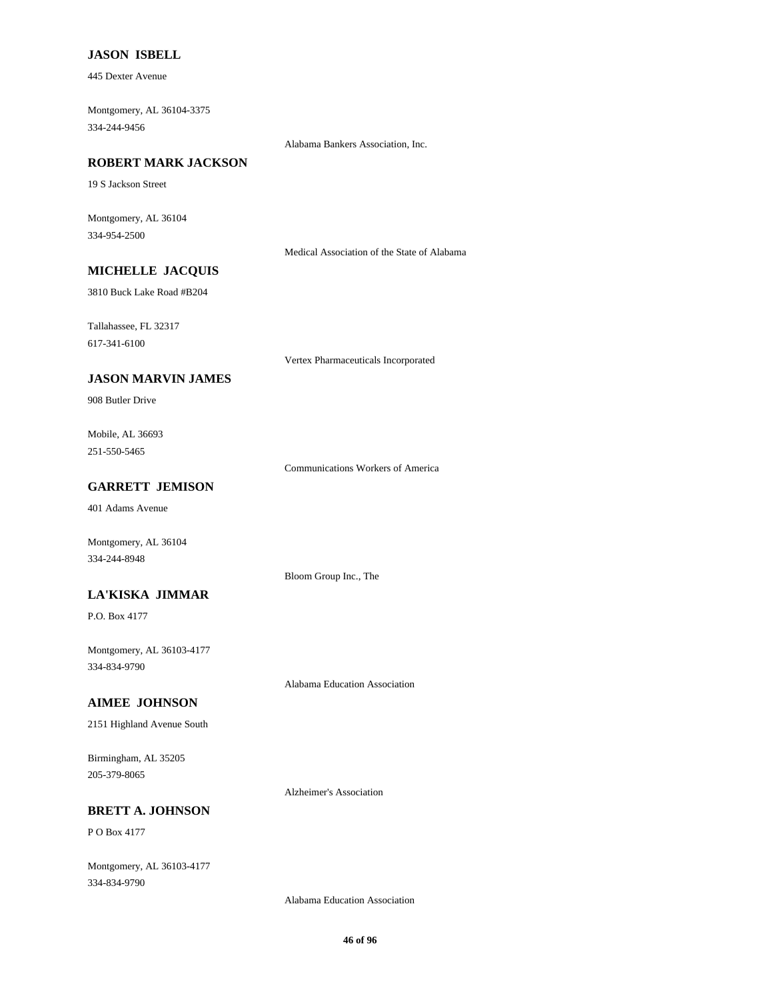#### **JASON ISBELL**

445 Dexter Avenue

Montgomery, AL 36104-3375 334-244-9456

Alabama Bankers Association, Inc.

#### **ROBERT MARK JACKSON**

19 S Jackson Street

Montgomery, AL 36104 334-954-2500

Medical Association of the State of Alabama

# **MICHELLE JACQUIS**

3810 Buck Lake Road #B204

Tallahassee, FL 32317

617-341-6100

Vertex Pharmaceuticals Incorporated

## **JASON MARVIN JAMES**

908 Butler Drive

Mobile, AL 36693 251-550-5465

Communications Workers of America

# **GARRETT JEMISON**

401 Adams Avenue

Montgomery, AL 36104 334-244-8948

#### **LA'KISKA JIMMAR**

P.O. Box 4177

Montgomery, AL 36103-4177 334-834-9790

#### **AIMEE JOHNSON**

2151 Highland Avenue South

Birmingham, AL 35205 205-379-8065

Alzheimer's Association

Alabama Education Association

Bloom Group Inc., The

## **BRETT A. JOHNSON**

P O Box 4177

Montgomery, AL 36103-4177 334-834-9790

Alabama Education Association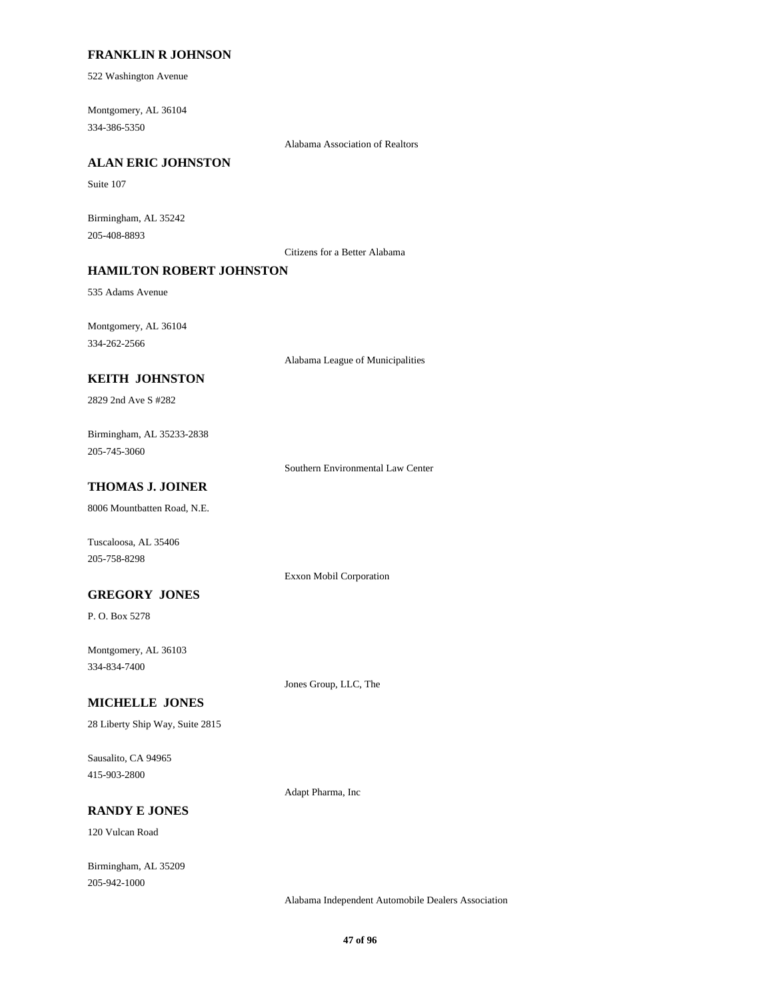#### **FRANKLIN R JOHNSON**

522 Washington Avenue

Montgomery, AL 36104 334-386-5350

Alabama Association of Realtors

#### **ALAN ERIC JOHNSTON**

Suite 107

Birmingham, AL 35242 205-408-8893

Citizens for a Better Alabama

## **HAMILTON ROBERT JOHNSTON**

535 Adams Avenue

Montgomery, AL 36104 334-262-2566

Alabama League of Municipalities

## **KEITH JOHNSTON**

2829 2nd Ave S #282

Birmingham, AL 35233-2838 205-745-3060

Southern Environmental Law Center

# **THOMAS J. JOINER**

8006 Mountbatten Road, N.E.

Tuscaloosa, AL 35406 205-758-8298

Exxon Mobil Corporation

#### **GREGORY JONES**

P. O. Box 5278

Montgomery, AL 36103 334-834-7400

Jones Group, LLC, The

## **MICHELLE JONES**

28 Liberty Ship Way, Suite 2815

Sausalito, CA 94965 415-903-2800

Adapt Pharma, Inc

## **RANDY E JONES**

120 Vulcan Road

Birmingham, AL 35209 205-942-1000

Alabama Independent Automobile Dealers Association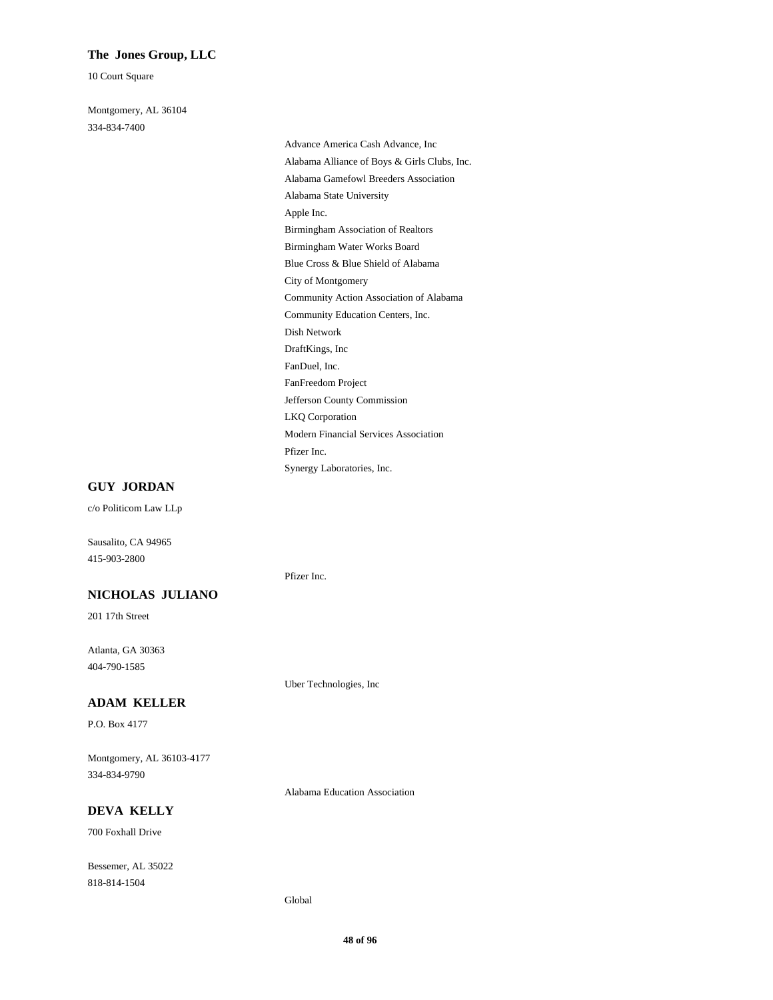#### **The Jones Group, LLC**

10 Court Square

Montgomery, AL 36104 334-834-7400

> Advance America Cash Advance, Inc Alabama Alliance of Boys & Girls Clubs, Inc. Alabama Gamefowl Breeders Association Alabama State University Apple Inc. Birmingham Association of Realtors Birmingham Water Works Board Blue Cross & Blue Shield of Alabama City of Montgomery Community Action Association of Alabama Community Education Centers, Inc. Dish Network DraftKings, Inc FanDuel, Inc. FanFreedom Project Jefferson County Commission LKQ Corporation Modern Financial Services Association Pfizer Inc. Synergy Laboratories, Inc.

#### **GUY JORDAN**

c/o Politicom Law LLp

Sausalito, CA 94965 415-903-2800

#### **NICHOLAS JULIANO**

201 17th Street

Atlanta, GA 30363 404-790-1585

#### **ADAM KELLER**

P.O. Box 4177

Montgomery, AL 36103-4177 334-834-9790

Alabama Education Association

Uber Technologies, Inc

# **DEVA KELLY**

700 Foxhall Drive

Bessemer, AL 35022 818-814-1504

#### Global

Pfizer Inc.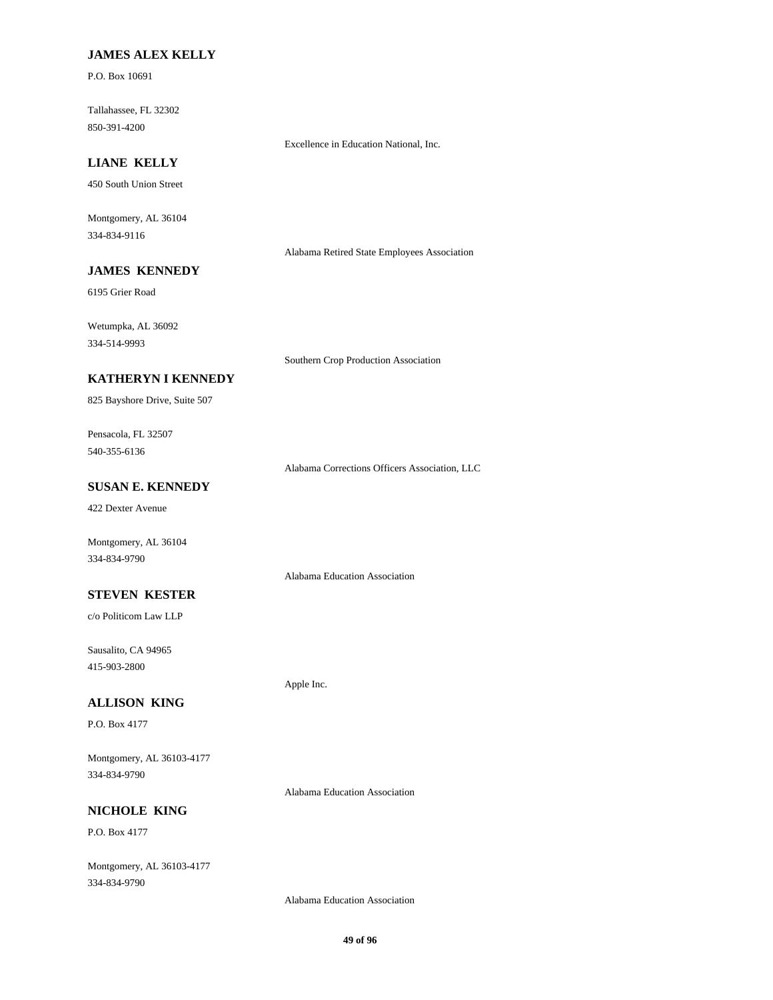## **JAMES ALEX KELLY**

P.O. Box 10691

Tallahassee, FL 32302 850-391-4200

Excellence in Education National, Inc.

# **LIANE KELLY**

450 South Union Street

Montgomery, AL 36104 334-834-9116

Alabama Retired State Employees Association

# **JAMES KENNEDY**

6195 Grier Road

Wetumpka, AL 36092 334-514-9993

Southern Crop Production Association

## **KATHERYN I KENNEDY**

825 Bayshore Drive, Suite 507

Pensacola, FL 32507 540-355-6136

Alabama Corrections Officers Association, LLC

## **SUSAN E. KENNEDY**

422 Dexter Avenue

Montgomery, AL 36104 334-834-9790

#### **STEVEN KESTER**

c/o Politicom Law LLP

Sausalito, CA 94965 415-903-2800

#### **ALLISON KING**

P.O. Box 4177

Montgomery, AL 36103-4177 334-834-9790

Alabama Education Association

Apple Inc.

Alabama Education Association

# **NICHOLE KING**

P.O. Box 4177

Montgomery, AL 36103-4177 334-834-9790

Alabama Education Association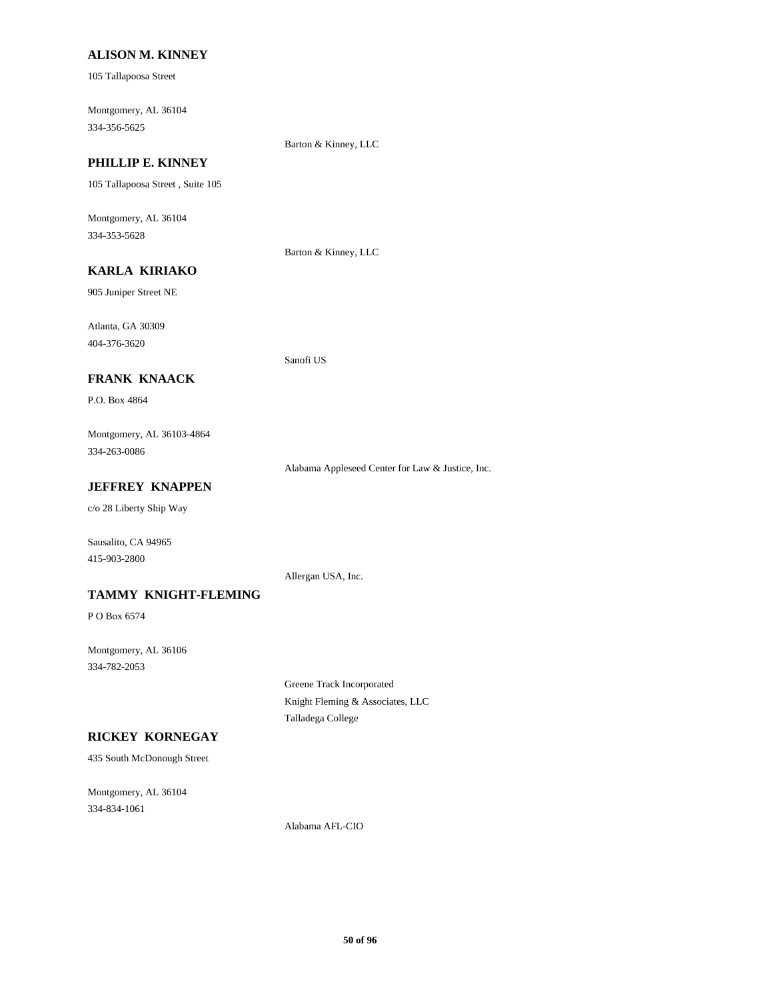#### **ALISON M. KINNEY**

105 Tallapoosa Street

Montgomery, AL 36104 334-356-5625

Barton & Kinney, LLC

# **PHILLIP E. KINNEY**

105 Tallapoosa Street , Suite 105

Montgomery, AL 36104 334-353-5628

Barton & Kinney, LLC

Sanofi US

# **KARLA KIRIAKO**

905 Juniper Street NE

Atlanta, GA 30309 404-376-3620

#### **FRANK KNAACK**

P.O. Box 4864

Montgomery, AL 36103-4864 334-263-0086

Alabama Appleseed Center for Law & Justice, Inc.

#### **JEFFREY KNAPPEN**

c/o 28 Liberty Ship Way

Sausalito, CA 94965 415-903-2800

Allergan USA, Inc.

#### **TAMMY KNIGHT-FLEMING**

P O Box 6574

Montgomery, AL 36106 334-782-2053

> Greene Track Incorporated Knight Fleming & Associates, LLC Talladega College

## **RICKEY KORNEGAY**

435 South McDonough Street

Montgomery, AL 36104 334-834-1061

Alabama AFL-CIO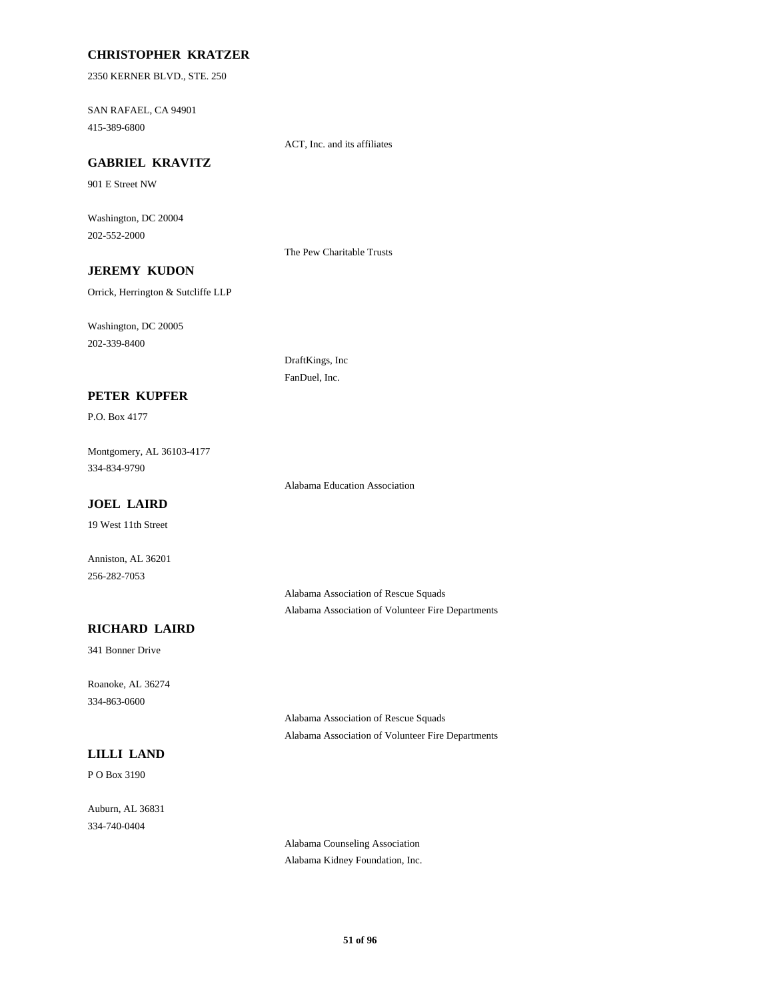#### **CHRISTOPHER KRATZER**

2350 KERNER BLVD., STE. 250

SAN RAFAEL, CA 94901 415-389-6800

ACT, Inc. and its affiliates

# **GABRIEL KRAVITZ**

901 E Street NW

Washington, DC 20004 202-552-2000

The Pew Charitable Trusts

DraftKings, Inc FanDuel, Inc.

# **JEREMY KUDON**

Orrick, Herrington & Sutcliffe LLP

Washington, DC 20005 202-339-8400

#### **PETER KUPFER**

P.O. Box 4177

Montgomery, AL 36103-4177 334-834-9790

Alabama Education Association

#### **JOEL LAIRD**

19 West 11th Street

Anniston, AL 36201 256-282-7053

> Alabama Association of Rescue Squads Alabama Association of Volunteer Fire Departments

## **RICHARD LAIRD**

341 Bonner Drive

Roanoke, AL 36274 334-863-0600

## **LILLI LAND**

P O Box 3190

Auburn, AL 36831 334-740-0404

Alabama Association of Rescue Squads Alabama Association of Volunteer Fire Departments

Alabama Counseling Association Alabama Kidney Foundation, Inc.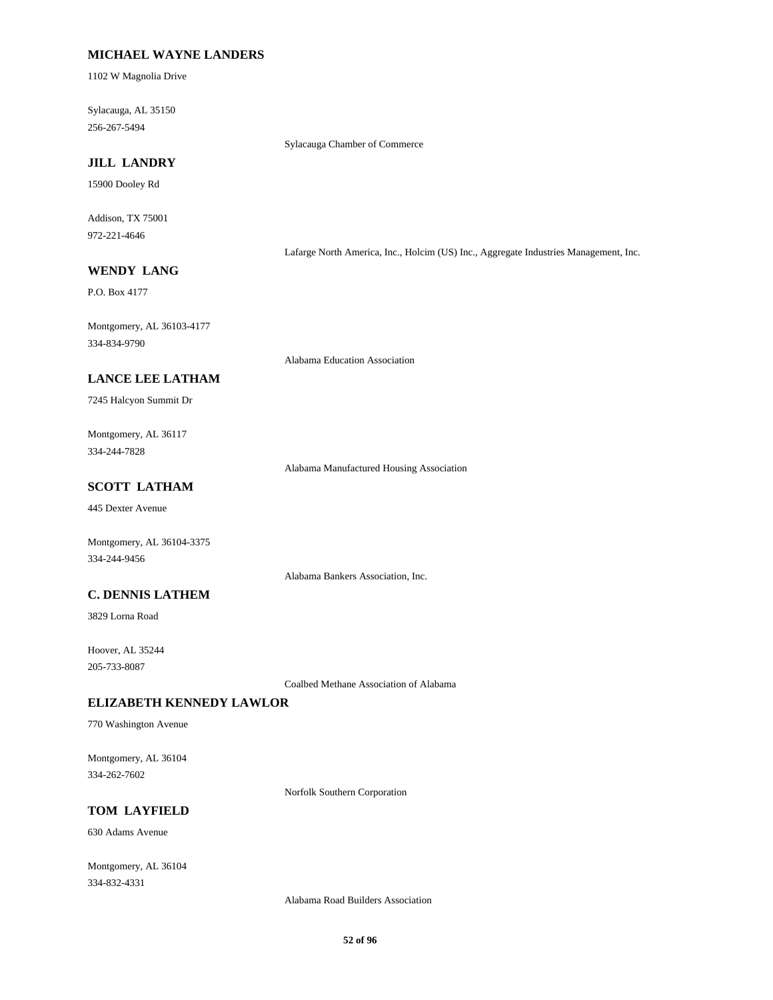## **MICHAEL WAYNE LANDERS**

1102 W Magnolia Drive

Sylacauga, AL 35150 256-267-5494

Sylacauga Chamber of Commerce

# **JILL LANDRY**

15900 Dooley Rd

Addison, TX 75001 972-221-4646

Lafarge North America, Inc., Holcim (US) Inc., Aggregate Industries Management, Inc.

# **WENDY LANG**

P.O. Box 4177

Montgomery, AL 36103-4177 334-834-9790

Alabama Education Association

#### **LANCE LEE LATHAM**

7245 Halcyon Summit Dr

Montgomery, AL 36117 334-244-7828

Alabama Manufactured Housing Association

## **SCOTT LATHAM**

445 Dexter Avenue

Montgomery, AL 36104-3375 334-244-9456

Alabama Bankers Association, Inc.

## **C. DENNIS LATHEM**

3829 Lorna Road

Hoover, AL 35244 205-733-8087

Coalbed Methane Association of Alabama

#### **ELIZABETH KENNEDY LAWLOR**

770 Washington Avenue

Montgomery, AL 36104 334-262-7602

Norfolk Southern Corporation

# **TOM LAYFIELD**

630 Adams Avenue

Montgomery, AL 36104 334-832-4331

Alabama Road Builders Association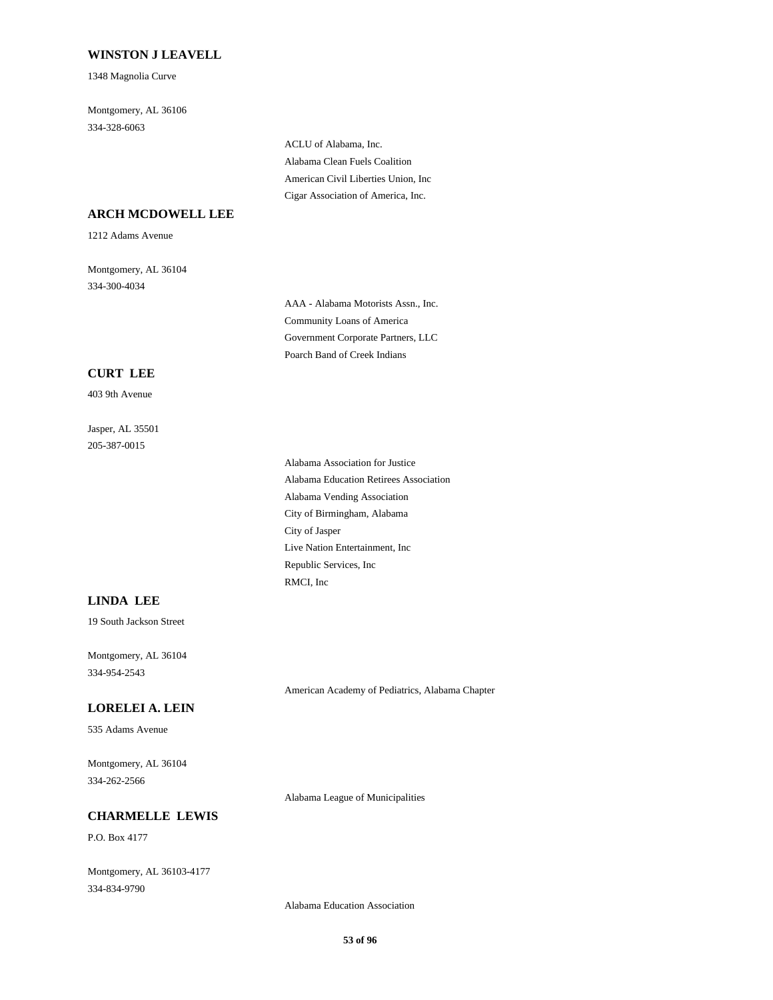## **WINSTON J LEAVELL**

1348 Magnolia Curve

Montgomery, AL 36106 334-328-6063

> ACLU of Alabama, Inc. Alabama Clean Fuels Coalition American Civil Liberties Union, Inc Cigar Association of America, Inc.

#### **ARCH MCDOWELL LEE**

1212 Adams Avenue

Montgomery, AL 36104 334-300-4034

> AAA - Alabama Motorists Assn., Inc. Community Loans of America Government Corporate Partners, LLC Poarch Band of Creek Indians

#### **CURT LEE**

403 9th Avenue

Jasper, AL 35501 205-387-0015

> Alabama Association for Justice Alabama Education Retirees Association Alabama Vending Association City of Birmingham, Alabama City of Jasper Live Nation Entertainment, Inc Republic Services, Inc RMCI, Inc

#### **LINDA LEE**

19 South Jackson Street

Montgomery, AL 36104 334-954-2543

#### **LORELEI A. LEIN**

535 Adams Avenue

Montgomery, AL 36104 334-262-2566

Alabama League of Municipalities

American Academy of Pediatrics, Alabama Chapter

## **CHARMELLE LEWIS**

P.O. Box 4177

Montgomery, AL 36103-4177 334-834-9790

Alabama Education Association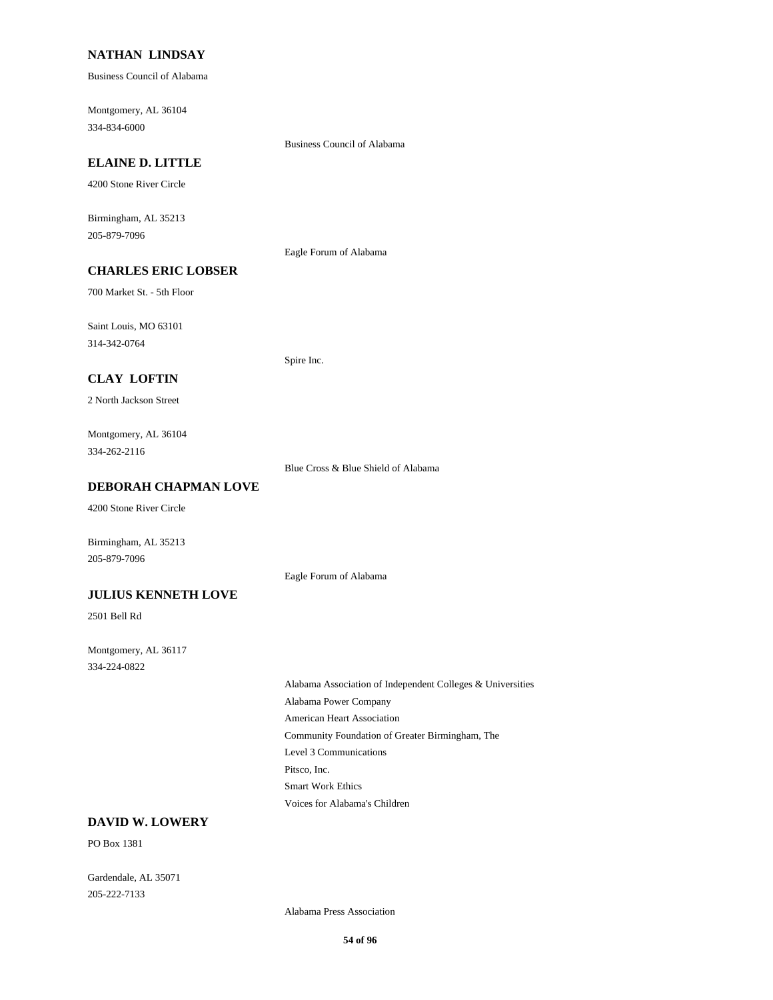## **NATHAN LINDSAY**

Business Council of Alabama

Montgomery, AL 36104 334-834-6000

#### **ELAINE D. LITTLE**

4200 Stone River Circle

Birmingham, AL 35213 205-879-7096

Eagle Forum of Alabama

Business Council of Alabama

# **CHARLES ERIC LOBSER**

700 Market St. - 5th Floor

Saint Louis, MO 63101 314-342-0764

Spire Inc.

## **CLAY LOFTIN**

2 North Jackson Street

Montgomery, AL 36104 334-262-2116

Blue Cross & Blue Shield of Alabama

Eagle Forum of Alabama

#### **DEBORAH CHAPMAN LOVE**

4200 Stone River Circle

Birmingham, AL 35213 205-879-7096

#### **JULIUS KENNETH LOVE**

2501 Bell Rd

Montgomery, AL 36117 334-224-0822

> Alabama Association of Independent Colleges & Universities Alabama Power Company American Heart Association Community Foundation of Greater Birmingham, The Level 3 Communications Pitsco, Inc. Smart Work Ethics Voices for Alabama's Children

# **DAVID W. LOWERY**

PO Box 1381

Gardendale, AL 35071 205-222-7133

Alabama Press Association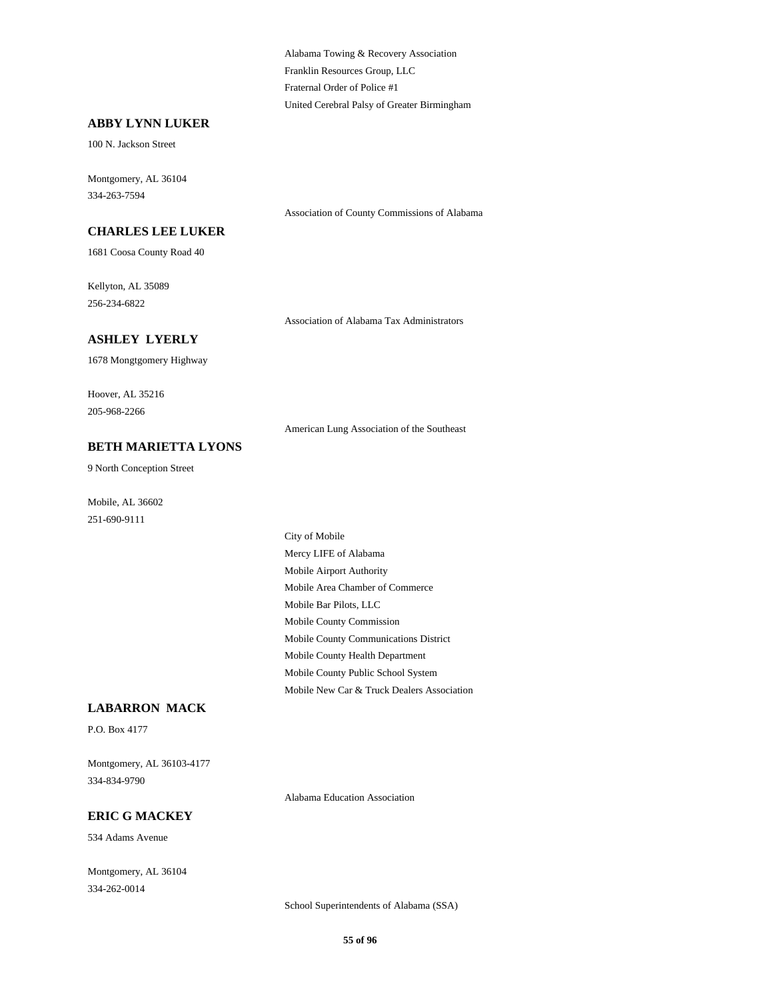Alabama Towing & Recovery Association Franklin Resources Group, LLC Fraternal Order of Police #1 United Cerebral Palsy of Greater Birmingham

Association of County Commissions of Alabama

#### **ABBY LYNN LUKER**

100 N. Jackson Street

Montgomery, AL 36104 334-263-7594

**CHARLES LEE LUKER**

1681 Coosa County Road 40

Kellyton, AL 35089 256-234-6822

Association of Alabama Tax Administrators

#### **ASHLEY LYERLY**

1678 Mongtgomery Highway

Hoover, AL 35216 205-968-2266

American Lung Association of the Southeast

# **BETH MARIETTA LYONS**

9 North Conception Street

Mobile, AL 36602 251-690-9111

> City of Mobile Mercy LIFE of Alabama Mobile Airport Authority Mobile Area Chamber of Commerce Mobile Bar Pilots, LLC Mobile County Commission Mobile County Communications District Mobile County Health Department Mobile County Public School System Mobile New Car & Truck Dealers Association

## **LABARRON MACK**

P.O. Box 4177

Montgomery, AL 36103-4177 334-834-9790

Alabama Education Association

## **ERIC G MACKEY**

534 Adams Avenue

Montgomery, AL 36104 334-262-0014

School Superintendents of Alabama (SSA)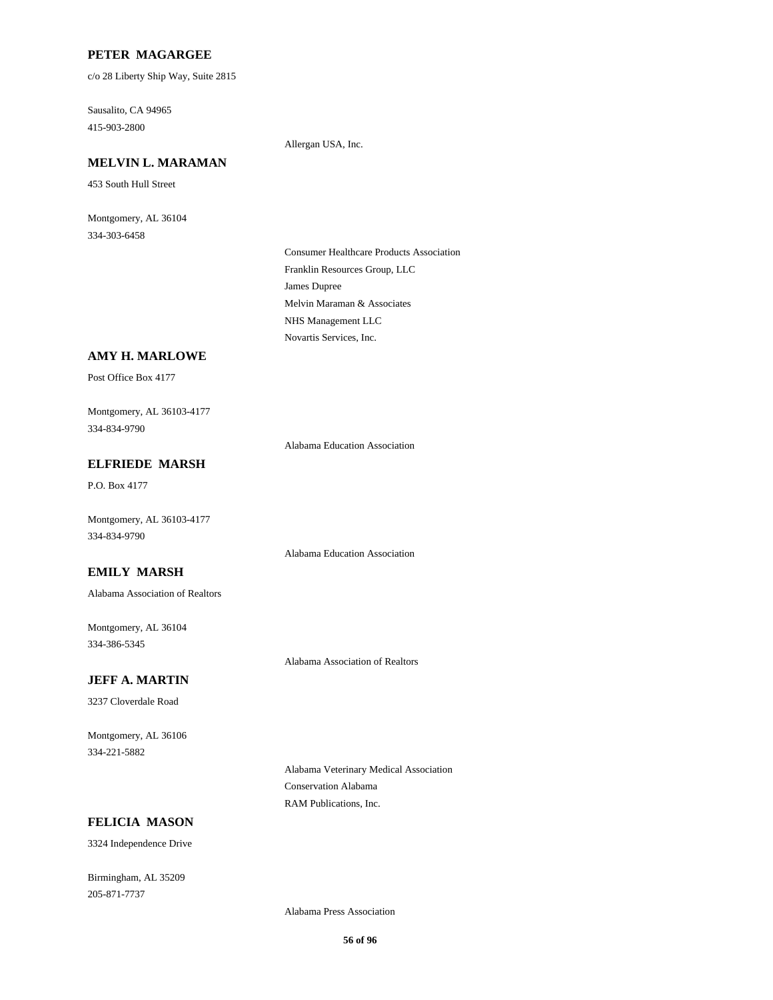## **PETER MAGARGEE**

c/o 28 Liberty Ship Way, Suite 2815

Sausalito, CA 94965 415-903-2800

Allergan USA, Inc.

# **MELVIN L. MARAMAN**

453 South Hull Street

Montgomery, AL 36104 334-303-6458

> Consumer Healthcare Products Association Franklin Resources Group, LLC James Dupree Melvin Maraman & Associates NHS Management LLC Novartis Services, Inc.

#### **AMY H. MARLOWE**

Post Office Box 4177

Montgomery, AL 36103-4177 334-834-9790

Alabama Education Association

Alabama Education Association

# **ELFRIEDE MARSH**

P.O. Box 4177

Montgomery, AL 36103-4177 334-834-9790

**EMILY MARSH**

Alabama Association of Realtors

Montgomery, AL 36104 334-386-5345

Alabama Association of Realtors

## **JEFF A. MARTIN**

3237 Cloverdale Road

Montgomery, AL 36106 334-221-5882

> Alabama Veterinary Medical Association Conservation Alabama RAM Publications, Inc.

## **FELICIA MASON**

3324 Independence Drive

Birmingham, AL 35209 205-871-7737

Alabama Press Association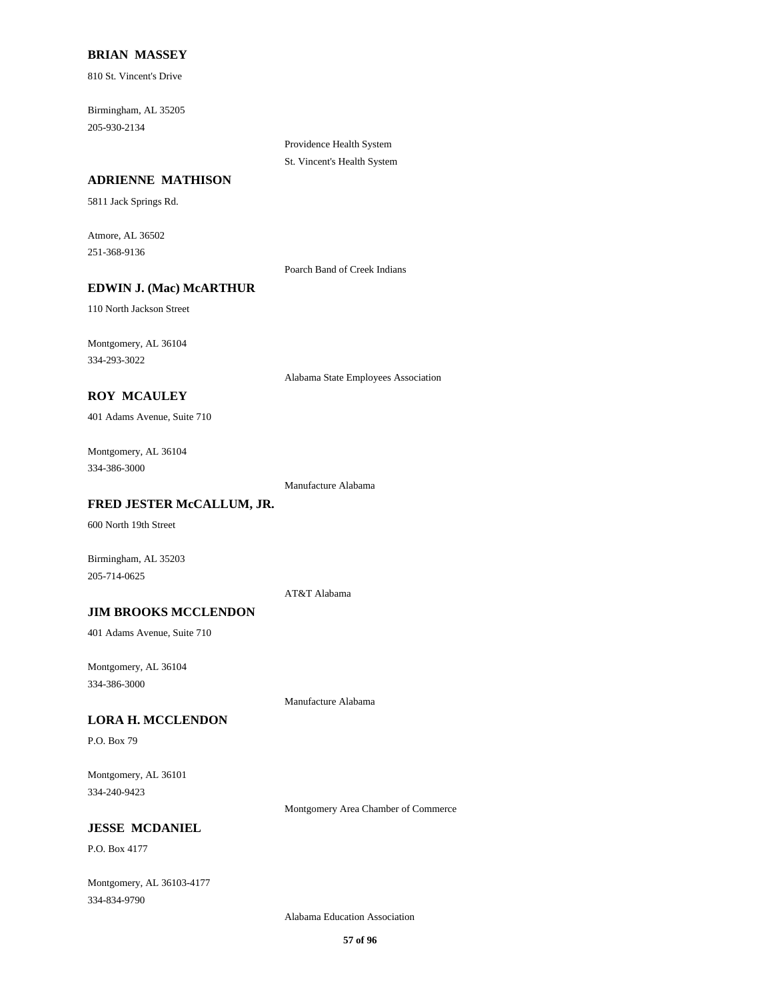## **BRIAN MASSEY**

810 St. Vincent's Drive

Birmingham, AL 35205 205-930-2134

#### **ADRIENNE MATHISON**

5811 Jack Springs Rd.

Atmore, AL 36502 251-368-9136

Poarch Band of Creek Indians

Providence Health System St. Vincent's Health System

# **EDWIN J. (Mac) McARTHUR**

110 North Jackson Street

Montgomery, AL 36104 334-293-3022

Alabama State Employees Association

# **ROY MCAULEY**

401 Adams Avenue, Suite 710

Montgomery, AL 36104 334-386-3000

Manufacture Alabama

## **FRED JESTER McCALLUM, JR.**

600 North 19th Street

Birmingham, AL 35203 205-714-0625

AT&T Alabama

## **JIM BROOKS MCCLENDON**

401 Adams Avenue, Suite 710

Montgomery, AL 36104 334-386-3000

Manufacture Alabama

#### **LORA H. MCCLENDON**

P.O. Box 79

Montgomery, AL 36101 334-240-9423

Montgomery Area Chamber of Commerce

## **JESSE MCDANIEL**

P.O. Box 4177

Montgomery, AL 36103-4177 334-834-9790

Alabama Education Association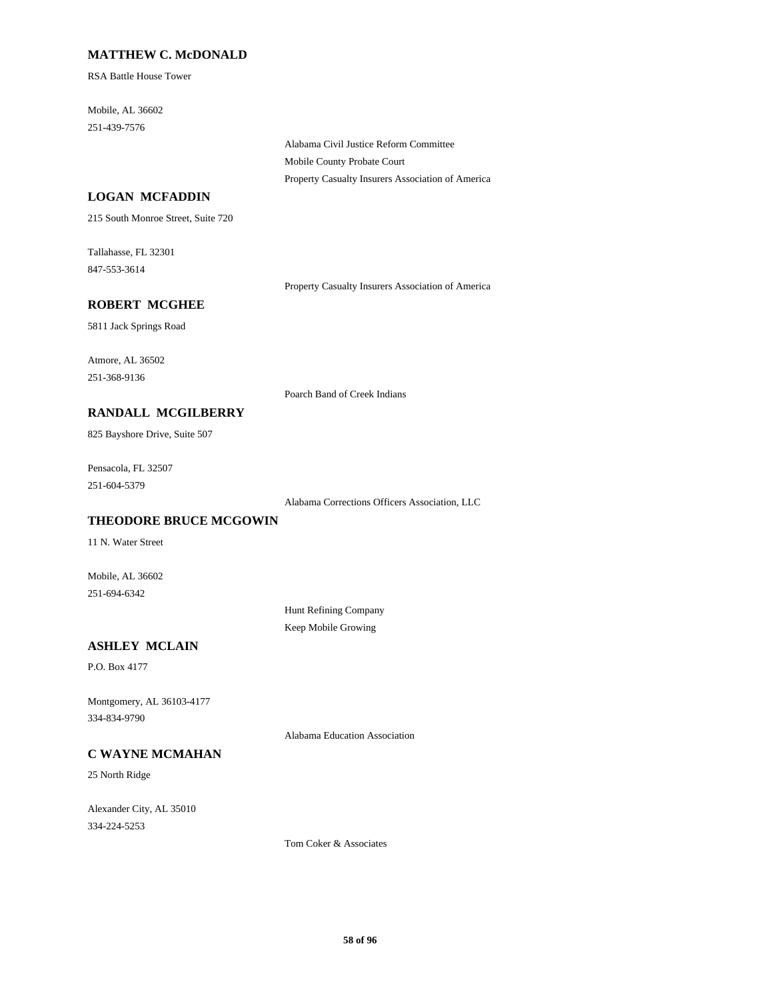## **MATTHEW C. McDONALD**

RSA Battle House Tower

Mobile, AL 36602 251-439-7576

> Alabama Civil Justice Reform Committee Mobile County Probate Court Property Casualty Insurers Association of America

## **LOGAN MCFADDIN**

215 South Monroe Street, Suite 720

Tallahasse, FL 32301 847-553-3614

Property Casualty Insurers Association of America

# **ROBERT MCGHEE**

5811 Jack Springs Road

Atmore, AL 36502 251-368-9136

Poarch Band of Creek Indians

#### **RANDALL MCGILBERRY**

825 Bayshore Drive, Suite 507

Pensacola, FL 32507 251-604-5379

Alabama Corrections Officers Association, LLC

## **THEODORE BRUCE MCGOWIN**

11 N. Water Street

Mobile, AL 36602 251-694-6342

> Hunt Refining Company Keep Mobile Growing

# **ASHLEY MCLAIN**

P.O. Box 4177

Montgomery, AL 36103-4177 334-834-9790

Alabama Education Association

# **C WAYNE MCMAHAN**

25 North Ridge

Alexander City, AL 35010 334-224-5253

Tom Coker & Associates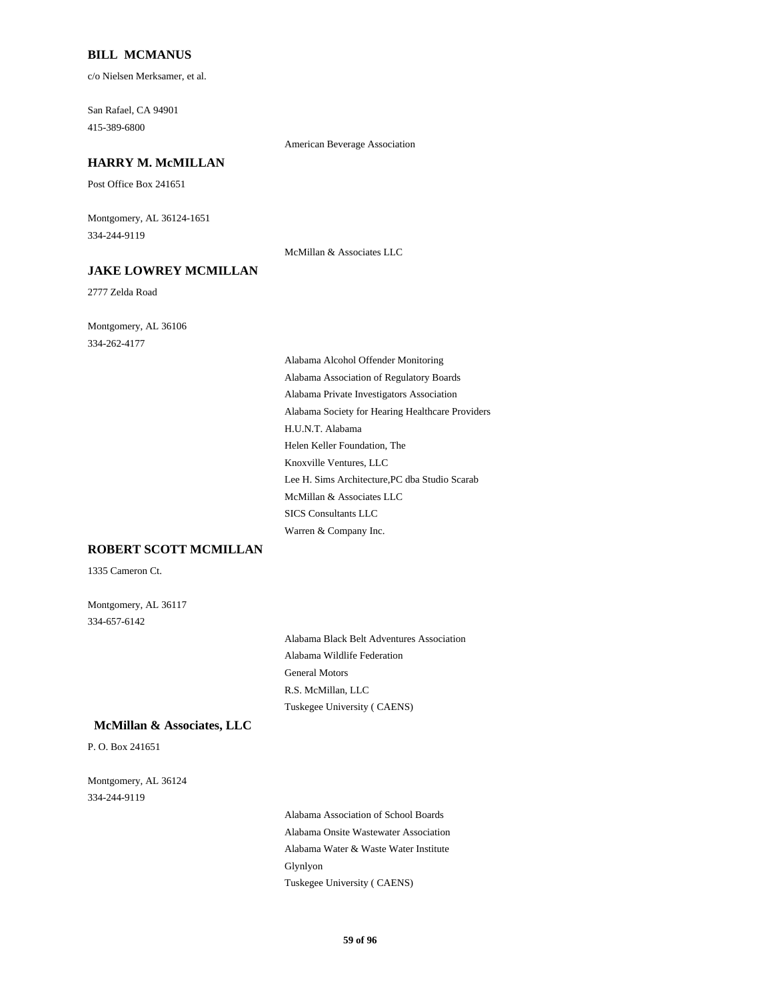#### **BILL MCMANUS**

c/o Nielsen Merksamer, et al.

San Rafael, CA 94901 415-389-6800

#### American Beverage Association

#### **HARRY M. McMILLAN**

Post Office Box 241651

Montgomery, AL 36124-1651 334-244-9119

#### **JAKE LOWREY MCMILLAN**

2777 Zelda Road

Montgomery, AL 36106 334-262-4177

McMillan & Associates LLC

Alabama Alcohol Offender Monitoring Alabama Association of Regulatory Boards Alabama Private Investigators Association Alabama Society for Hearing Healthcare Providers H.U.N.T. Alabama Helen Keller Foundation, The Knoxville Ventures, LLC Lee H. Sims Architecture,PC dba Studio Scarab McMillan & Associates LLC SICS Consultants LLC Warren & Company Inc.

## **ROBERT SCOTT MCMILLAN**

1335 Cameron Ct.

Montgomery, AL 36117 334-657-6142

> Alabama Black Belt Adventures Association Alabama Wildlife Federation General Motors R.S. McMillan, LLC Tuskegee University ( CAENS)

#### **McMillan & Associates, LLC**

P. O. Box 241651

Montgomery, AL 36124 334-244-9119

> Alabama Association of School Boards Alabama Onsite Wastewater Association Alabama Water & Waste Water Institute Glynlyon Tuskegee University ( CAENS)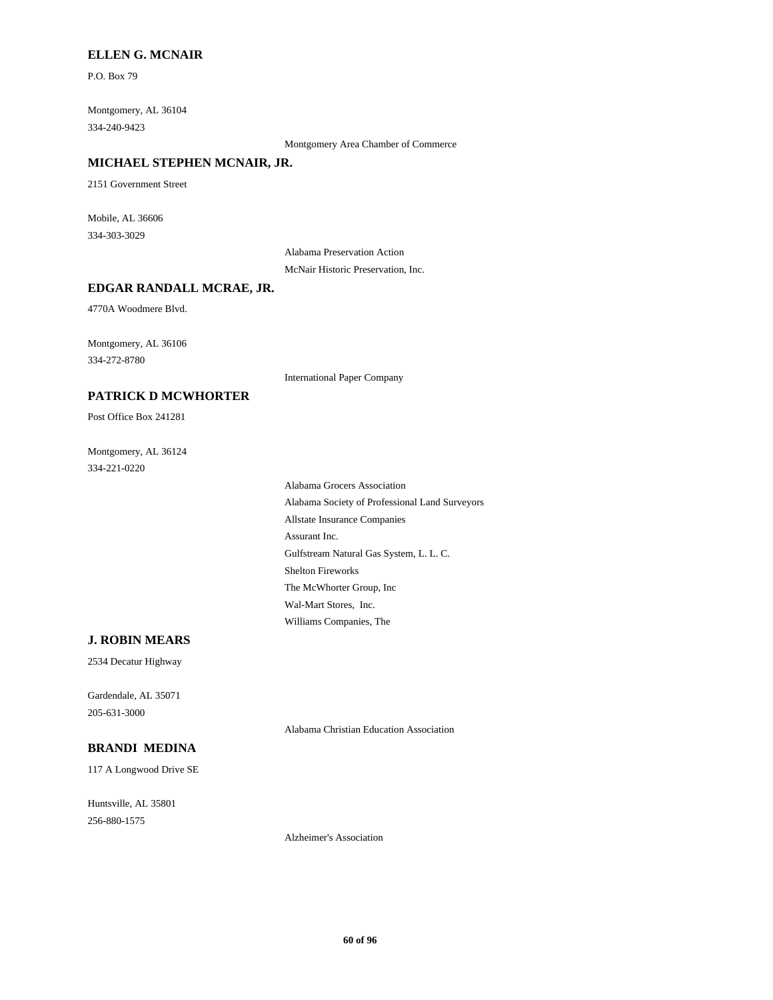#### **ELLEN G. MCNAIR**

P.O. Box 79

Montgomery, AL 36104 334-240-9423

Montgomery Area Chamber of Commerce

#### **MICHAEL STEPHEN MCNAIR, JR.**

2151 Government Street

Mobile, AL 36606 334-303-3029

> Alabama Preservation Action McNair Historic Preservation, Inc.

#### **EDGAR RANDALL MCRAE, JR.**

4770A Woodmere Blvd.

Montgomery, AL 36106 334-272-8780

International Paper Company

# **PATRICK D MCWHORTER**

Post Office Box 241281

Montgomery, AL 36124 334-221-0220

> Alabama Grocers Association Alabama Society of Professional Land Surveyors Allstate Insurance Companies Assurant Inc. Gulfstream Natural Gas System, L. L. C. Shelton Fireworks The McWhorter Group, Inc Wal-Mart Stores, Inc. Williams Companies, The

#### **J. ROBIN MEARS**

2534 Decatur Highway

Gardendale, AL 35071 205-631-3000

Alabama Christian Education Association

#### **BRANDI MEDINA**

117 A Longwood Drive SE

Huntsville, AL 35801 256-880-1575

Alzheimer's Association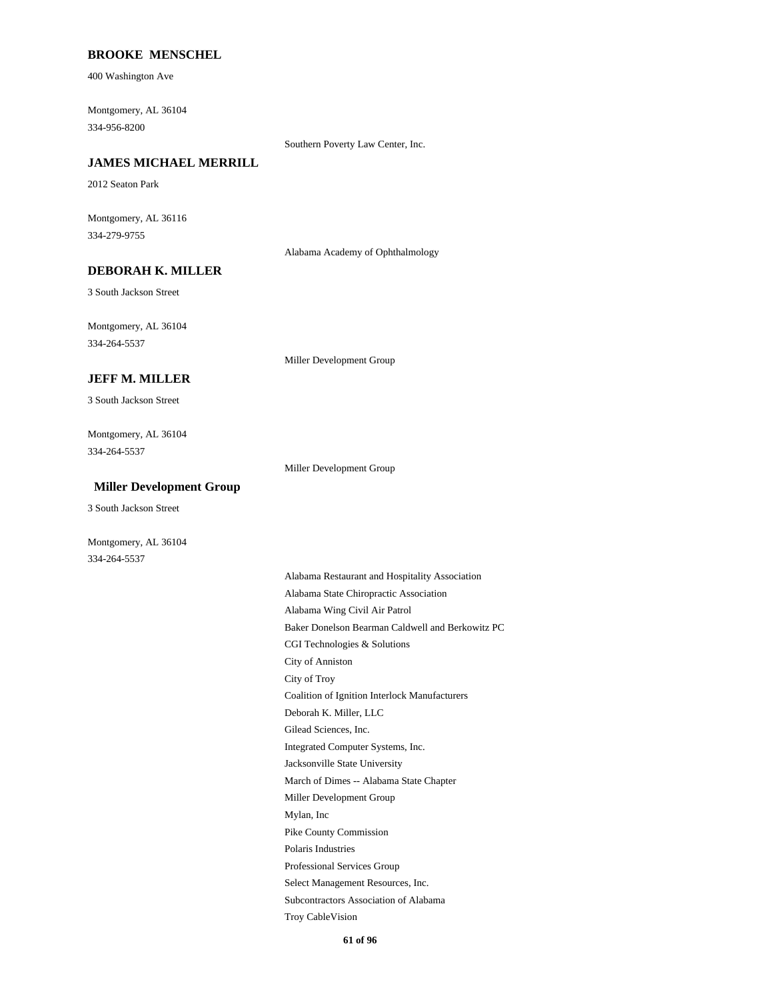#### **BROOKE MENSCHEL**

400 Washington Ave

Montgomery, AL 36104 334-956-8200

Southern Poverty Law Center, Inc.

#### **JAMES MICHAEL MERRILL**

2012 Seaton Park

Montgomery, AL 36116 334-279-9755

Alabama Academy of Ophthalmology

# **DEBORAH K. MILLER**

3 South Jackson Street

Montgomery, AL 36104 334-264-5537

Miller Development Group

#### **JEFF M. MILLER**

3 South Jackson Street

Montgomery, AL 36104 334-264-5537

Miller Development Group

#### **Miller Development Group**

3 South Jackson Street

Montgomery, AL 36104 334-264-5537

> Alabama Restaurant and Hospitality Association Alabama State Chiropractic Association Alabama Wing Civil Air Patrol Baker Donelson Bearman Caldwell and Berkowitz PC CGI Technologies & Solutions City of Anniston City of Troy Coalition of Ignition Interlock Manufacturers Deborah K. Miller, LLC Gilead Sciences, Inc. Integrated Computer Systems, Inc. Jacksonville State University March of Dimes -- Alabama State Chapter Miller Development Group Mylan, Inc Pike County Commission Polaris Industries Professional Services Group Select Management Resources, Inc. Subcontractors Association of Alabama Troy CableVision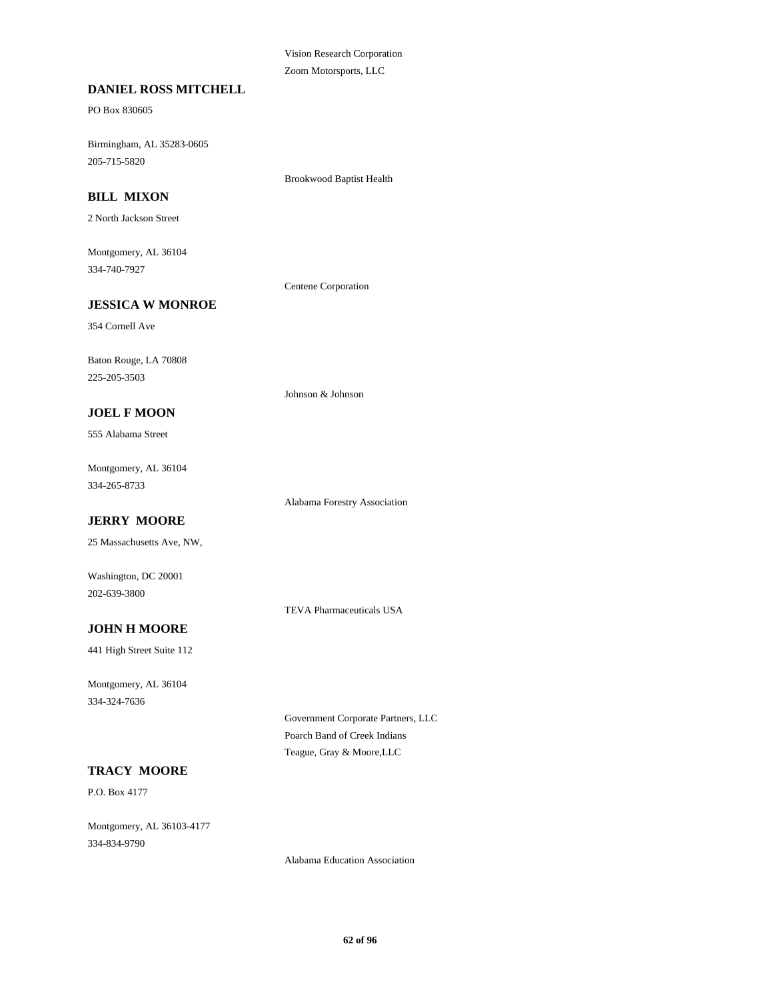Vision Research Corporation Zoom Motorsports, LLC

#### **DANIEL ROSS MITCHELL**

PO Box 830605

Birmingham, AL 35283-0605 205-715-5820

Brookwood Baptist Health

## **BILL MIXON**

2 North Jackson Street

Montgomery, AL 36104 334-740-7927

Centene Corporation

Johnson & Johnson

# **JESSICA W MONROE**

354 Cornell Ave

Baton Rouge, LA 70808 225-205-3503

#### **JOEL F MOON**

555 Alabama Street

Montgomery, AL 36104 334-265-8733

Alabama Forestry Association

# **JERRY MOORE**

25 Massachusetts Ave, NW,

Washington, DC 20001 202-639-3800

TEVA Pharmaceuticals USA

## **JOHN H MOORE**

441 High Street Suite 112

Montgomery, AL 36104 334-324-7636

> Government Corporate Partners, LLC Poarch Band of Creek Indians Teague, Gray & Moore,LLC

## **TRACY MOORE**

P.O. Box 4177

Montgomery, AL 36103-4177 334-834-9790

Alabama Education Association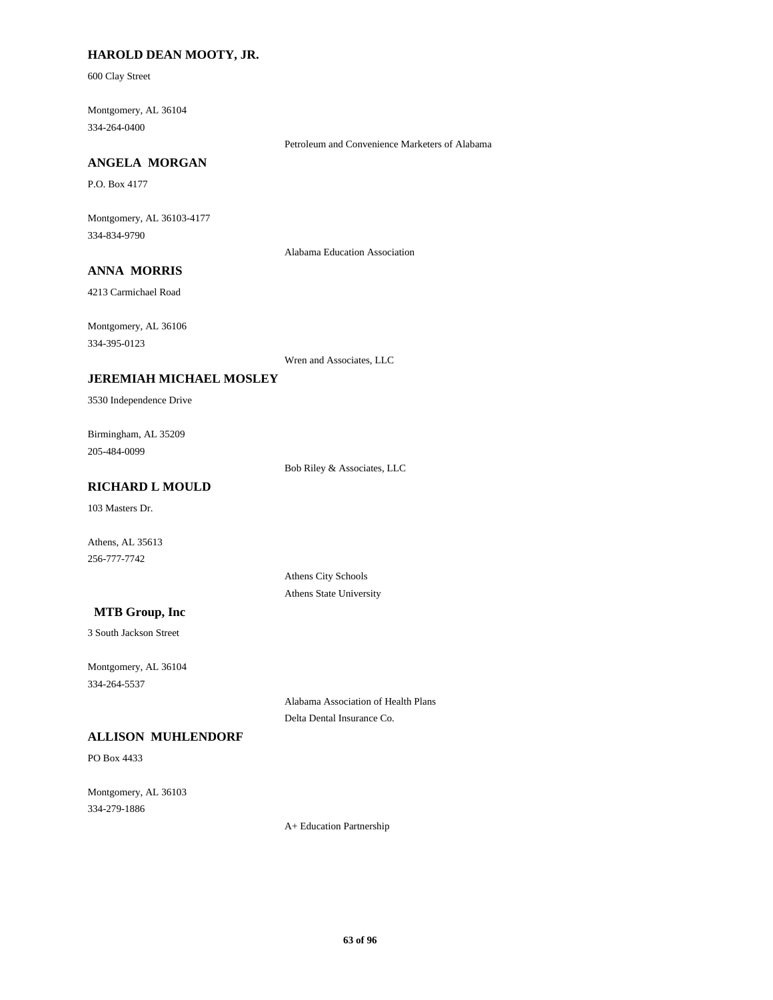## **HAROLD DEAN MOOTY, JR.**

600 Clay Street

Montgomery, AL 36104 334-264-0400

Petroleum and Convenience Marketers of Alabama

## **ANGELA MORGAN**

P.O. Box 4177

Montgomery, AL 36103-4177 334-834-9790

Alabama Education Association

# **ANNA MORRIS**

4213 Carmichael Road

Montgomery, AL 36106

334-395-0123

Wren and Associates, LLC

#### **JEREMIAH MICHAEL MOSLEY**

3530 Independence Drive

Birmingham, AL 35209 205-484-0099

Bob Riley & Associates, LLC

# **RICHARD L MOULD**

103 Masters Dr.

Athens, AL 35613 256-777-7742

> Athens City Schools Athens State University

## **MTB Group, Inc**

3 South Jackson Street

Montgomery, AL 36104 334-264-5537

> Alabama Association of Health Plans Delta Dental Insurance Co.

## **ALLISON MUHLENDORF**

PO Box 4433

Montgomery, AL 36103 334-279-1886

A+ Education Partnership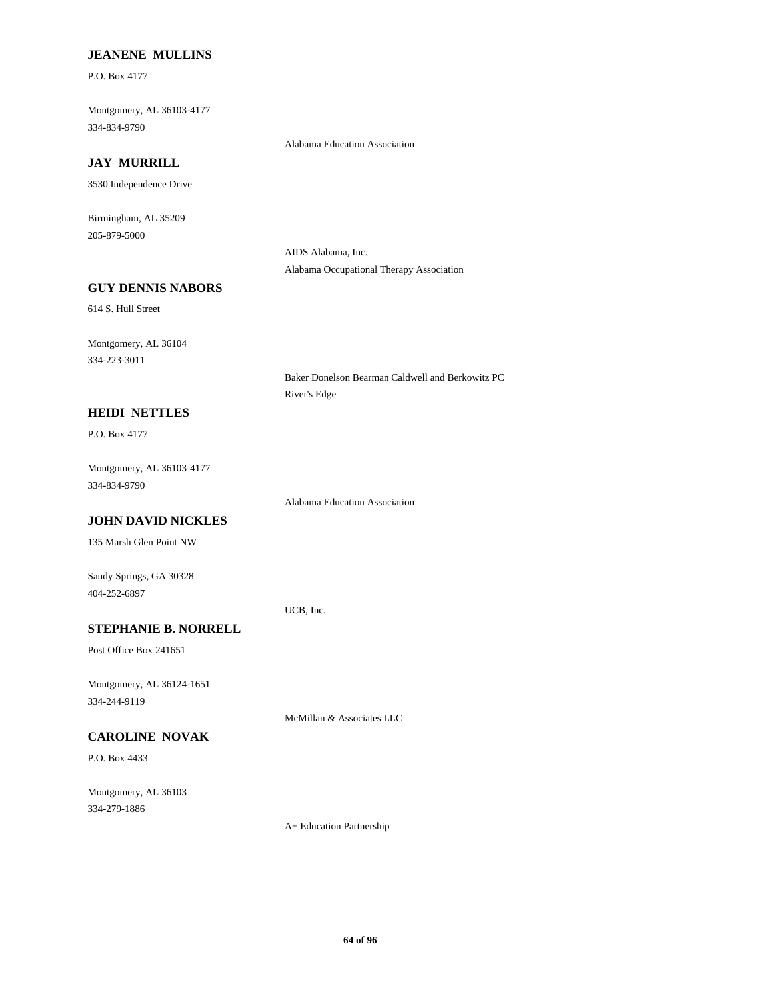#### **JEANENE MULLINS**

P.O. Box 4177

Montgomery, AL 36103-4177 334-834-9790

#### **JAY MURRILL**

3530 Independence Drive

Birmingham, AL 35209 205-879-5000

> AIDS Alabama, Inc. Alabama Occupational Therapy Association

Alabama Education Association

## **GUY DENNIS NABORS**

614 S. Hull Street

Montgomery, AL 36104 334-223-3011

> Baker Donelson Bearman Caldwell and Berkowitz PC River's Edge

#### **HEIDI NETTLES**

P.O. Box 4177

Montgomery, AL 36103-4177 334-834-9790

Alabama Education Association

# **JOHN DAVID NICKLES**

135 Marsh Glen Point NW

Sandy Springs, GA 30328 404-252-6897

UCB, Inc.

# **STEPHANIE B. NORRELL**

Post Office Box 241651

Montgomery, AL 36124-1651 334-244-9119

McMillan & Associates LLC

# **CAROLINE NOVAK**

P.O. Box 4433

Montgomery, AL 36103 334-279-1886

A+ Education Partnership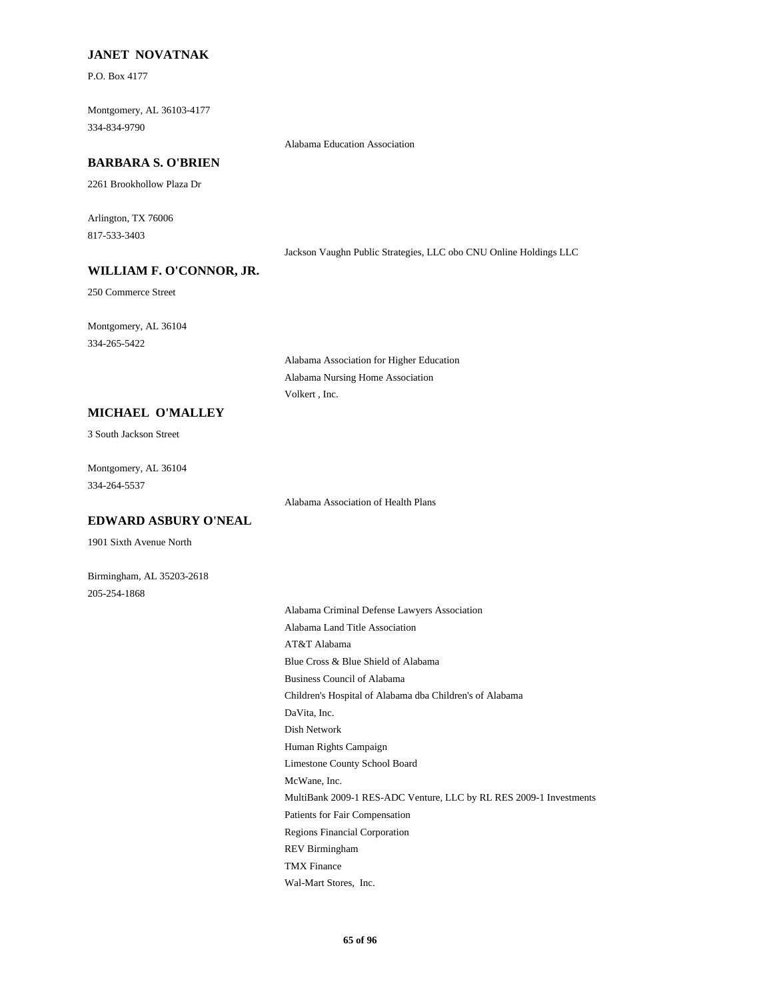#### **JANET NOVATNAK**

P.O. Box 4177

Montgomery, AL 36103-4177 334-834-9790

#### **BARBARA S. O'BRIEN**

2261 Brookhollow Plaza Dr

Arlington, TX 76006 817-533-3403

Jackson Vaughn Public Strategies, LLC obo CNU Online Holdings LLC

## **WILLIAM F. O'CONNOR, JR.**

250 Commerce Street

Montgomery, AL 36104 334-265-5422

> Alabama Association for Higher Education Alabama Nursing Home Association Volkert , Inc.

Alabama Education Association

#### **MICHAEL O'MALLEY**

3 South Jackson Street

Montgomery, AL 36104 334-264-5537

Alabama Association of Health Plans

# **EDWARD ASBURY O'NEAL**

1901 Sixth Avenue North

Birmingham, AL 35203-2618 205-254-1868

> Alabama Criminal Defense Lawyers Association Alabama Land Title Association AT&T Alabama Blue Cross & Blue Shield of Alabama Business Council of Alabama Children's Hospital of Alabama dba Children's of Alabama DaVita, Inc. Dish Network Human Rights Campaign Limestone County School Board McWane, Inc. MultiBank 2009-1 RES-ADC Venture, LLC by RL RES 2009-1 Investments Patients for Fair Compensation Regions Financial Corporation REV Birmingham TMX Finance Wal-Mart Stores, Inc.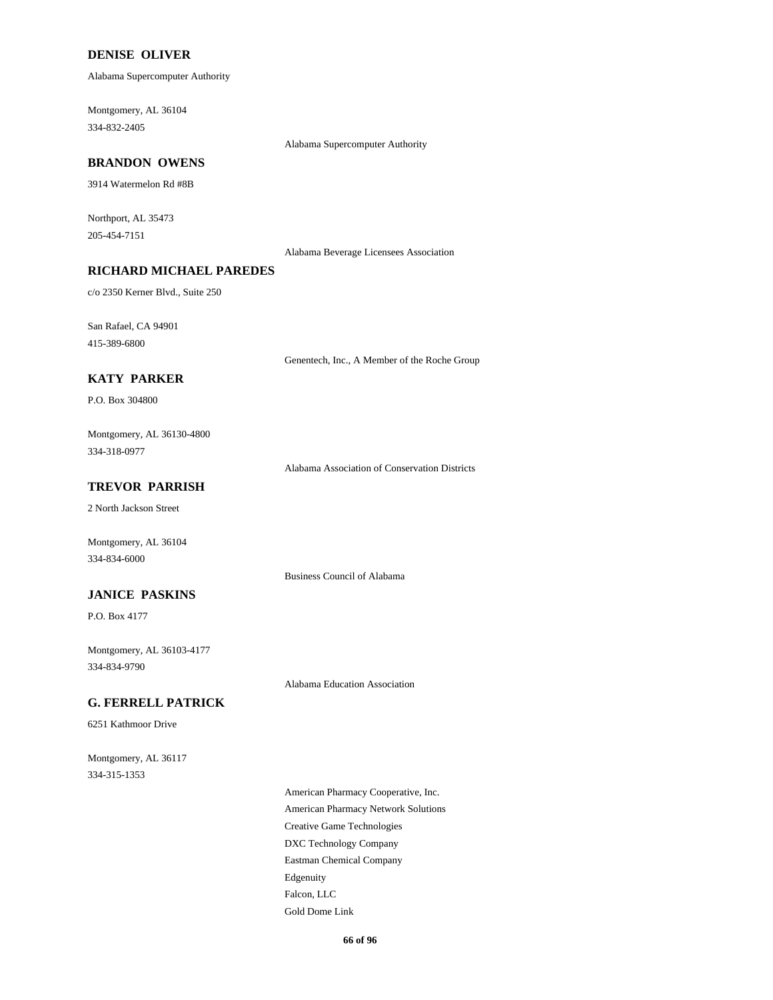#### **DENISE OLIVER**

Alabama Supercomputer Authority

Montgomery, AL 36104 334-832-2405

#### **BRANDON OWENS**

3914 Watermelon Rd #8B

Northport, AL 35473 205-454-7151

Alabama Beverage Licensees Association

Alabama Supercomputer Authority

## **RICHARD MICHAEL PAREDES**

c/o 2350 Kerner Blvd., Suite 250

San Rafael, CA 94901 415-389-6800

Genentech, Inc., A Member of the Roche Group

#### **KATY PARKER**

P.O. Box 304800

Montgomery, AL 36130-4800 334-318-0977

Alabama Association of Conservation Districts

#### **TREVOR PARRISH**

2 North Jackson Street

Montgomery, AL 36104 334-834-6000

Business Council of Alabama

## **JANICE PASKINS**

P.O. Box 4177

Montgomery, AL 36103-4177 334-834-9790

Alabama Education Association

## **G. FERRELL PATRICK**

6251 Kathmoor Drive

Montgomery, AL 36117 334-315-1353

> American Pharmacy Cooperative, Inc. American Pharmacy Network Solutions Creative Game Technologies DXC Technology Company Eastman Chemical Company Edgenuity Falcon, LLC Gold Dome Link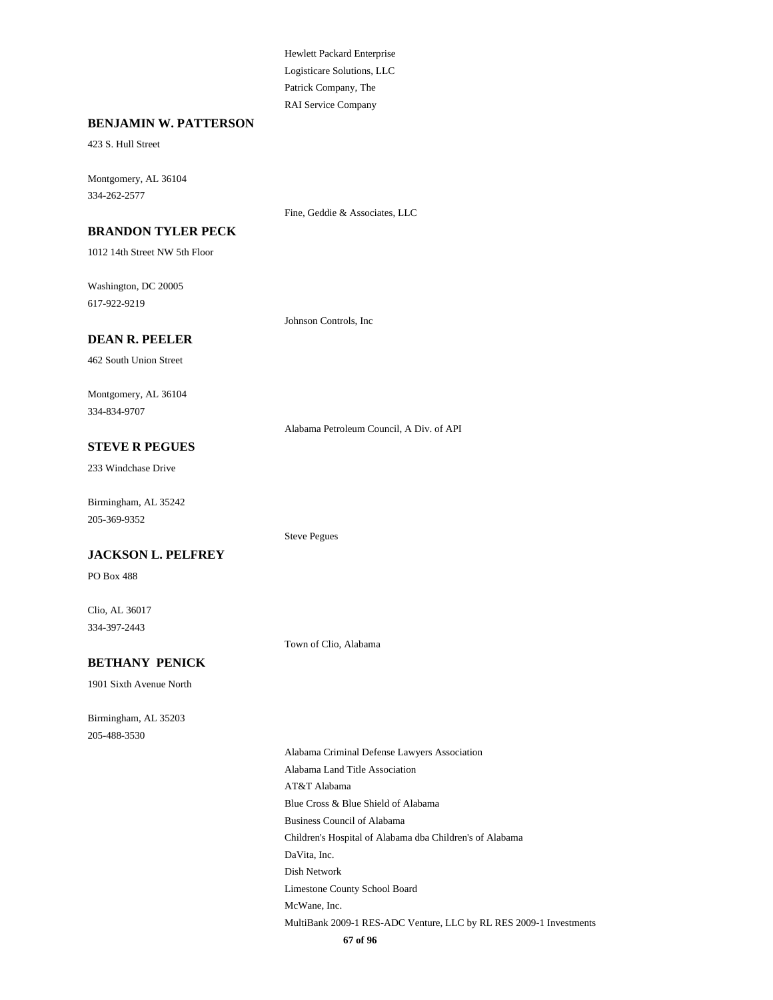Hewlett Packard Enterprise Logisticare Solutions, LLC Patrick Company, The RAI Service Company

#### **BENJAMIN W. PATTERSON**

423 S. Hull Street

Montgomery, AL 36104 334-262-2577

Fine, Geddie & Associates, LLC

## **BRANDON TYLER PECK**

1012 14th Street NW 5th Floor

Washington, DC 20005 617-922-9219

Johnson Controls, Inc

#### **DEAN R. PEELER**

462 South Union Street

Montgomery, AL 36104 334-834-9707

Alabama Petroleum Council, A Div. of API

## **STEVE R PEGUES**

233 Windchase Drive

Birmingham, AL 35242 205-369-9352

#### **JACKSON L. PELFREY**

PO Box 488

Clio, AL 36017 334-397-2443

Town of Clio, Alabama

Steve Pegues

#### **BETHANY PENICK**

1901 Sixth Avenue North

Birmingham, AL 35203 205-488-3530

Alabama Criminal Defense Lawyers Association Alabama Land Title Association AT&T Alabama Blue Cross & Blue Shield of Alabama Business Council of Alabama Children's Hospital of Alabama dba Children's of Alabama DaVita, Inc. Dish Network Limestone County School Board McWane, Inc. MultiBank 2009-1 RES-ADC Venture, LLC by RL RES 2009-1 Investments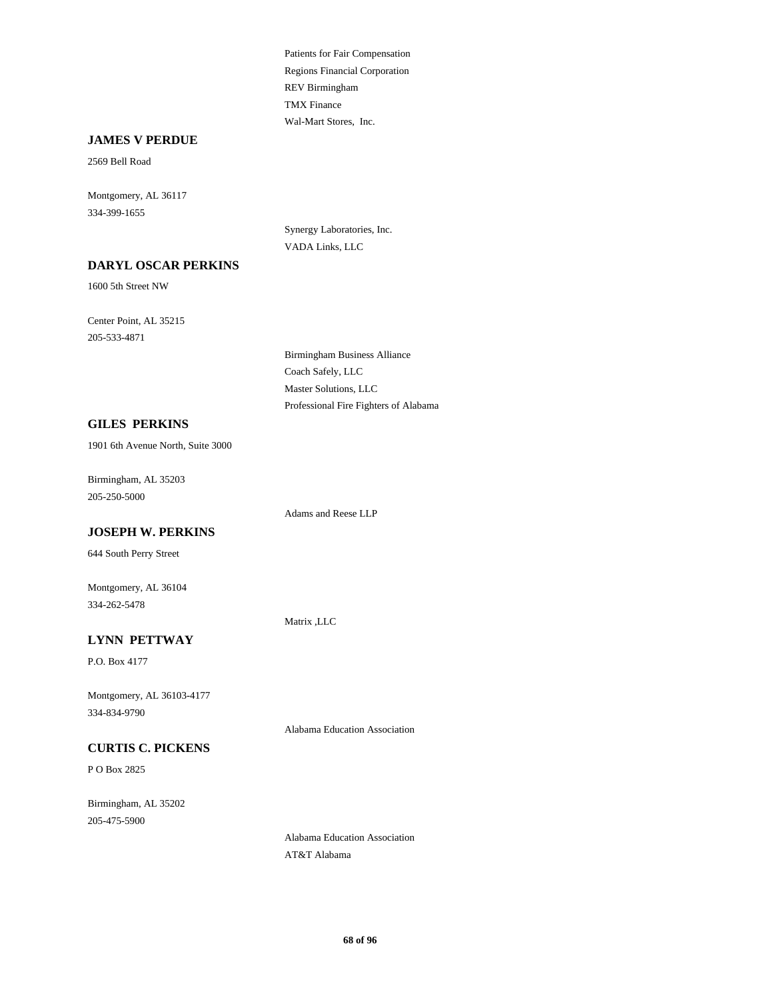Patients for Fair Compensation Regions Financial Corporation REV Birmingham TMX Finance Wal-Mart Stores, Inc.

#### **JAMES V PERDUE**

2569 Bell Road

Montgomery, AL 36117 334-399-1655

> Synergy Laboratories, Inc. VADA Links, LLC

## **DARYL OSCAR PERKINS**

1600 5th Street NW

Center Point, AL 35215 205-533-4871

> Birmingham Business Alliance Coach Safely, LLC Master Solutions, LLC Professional Fire Fighters of Alabama

## **GILES PERKINS**

1901 6th Avenue North, Suite 3000

Birmingham, AL 35203 205-250-5000

Adams and Reese LLP

#### **JOSEPH W. PERKINS**

644 South Perry Street

Montgomery, AL 36104 334-262-5478

Matrix ,LLC

#### **LYNN PETTWAY**

P.O. Box 4177

Montgomery, AL 36103-4177 334-834-9790

Alabama Education Association

## **CURTIS C. PICKENS**

P O Box 2825

Birmingham, AL 35202 205-475-5900

> Alabama Education Association AT&T Alabama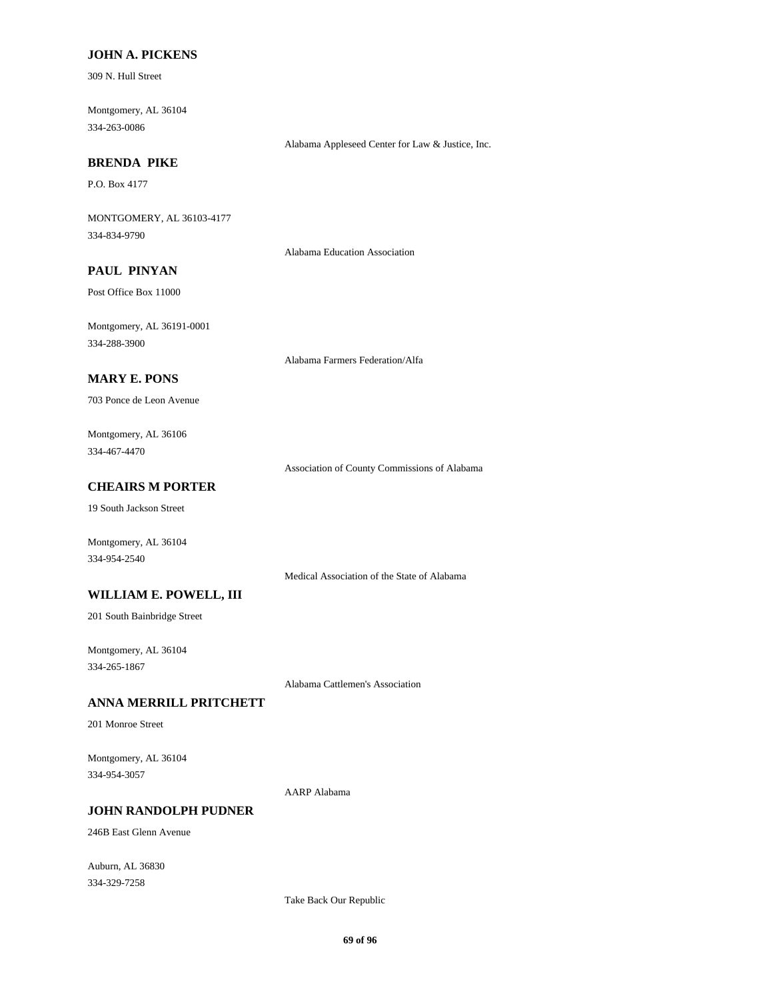#### **JOHN A. PICKENS**

309 N. Hull Street

Montgomery, AL 36104 334-263-0086

Alabama Appleseed Center for Law & Justice, Inc.

# **BRENDA PIKE**

P.O. Box 4177

MONTGOMERY, AL 36103-4177 334-834-9790

Alabama Education Association

# **PAUL PINYAN**

Post Office Box 11000

Montgomery, AL 36191-0001 334-288-3900

Alabama Farmers Federation/Alfa

#### **MARY E. PONS**

703 Ponce de Leon Avenue

Montgomery, AL 36106 334-467-4470

Association of County Commissions of Alabama

## **CHEAIRS M PORTER**

19 South Jackson Street

Montgomery, AL 36104 334-954-2540

Medical Association of the State of Alabama

#### **WILLIAM E. POWELL, III**

201 South Bainbridge Street

Montgomery, AL 36104 334-265-1867

Alabama Cattlemen's Association

#### **ANNA MERRILL PRITCHETT**

201 Monroe Street

Montgomery, AL 36104 334-954-3057

AARP Alabama

## **JOHN RANDOLPH PUDNER**

246B East Glenn Avenue

Auburn, AL 36830 334-329-7258

Take Back Our Republic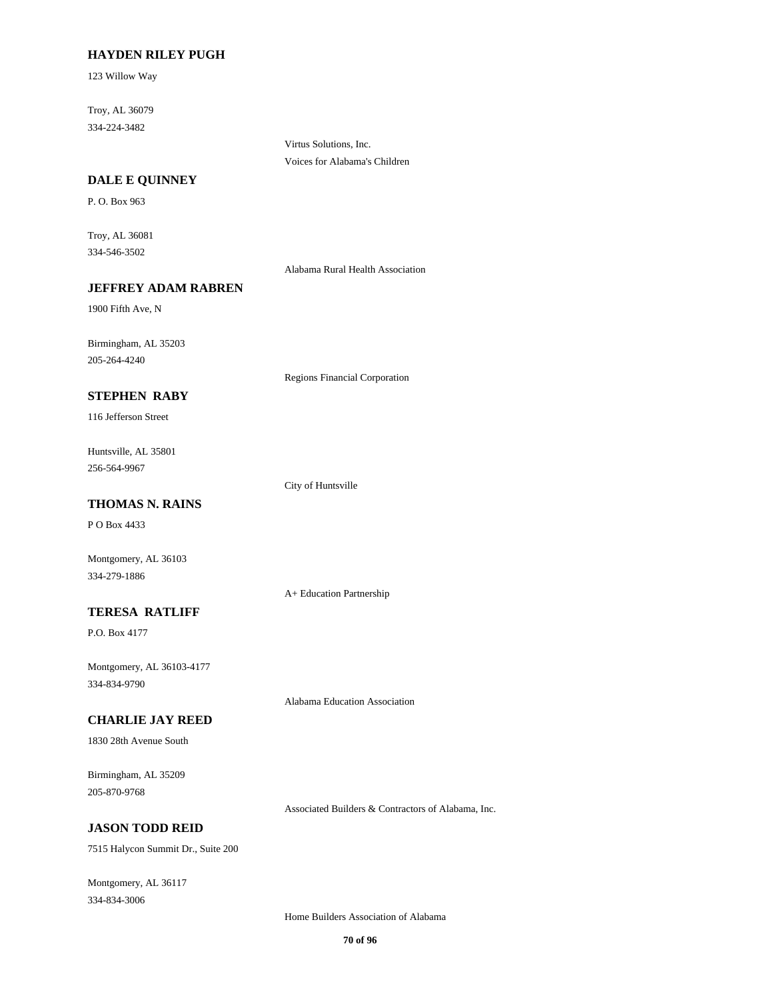#### **HAYDEN RILEY PUGH**

123 Willow Way

Troy, AL 36079 334-224-3482

> Virtus Solutions, Inc. Voices for Alabama's Children

#### **DALE E QUINNEY**

P. O. Box 963

Troy, AL 36081 334-546-3502

Alabama Rural Health Association

#### **JEFFREY ADAM RABREN**

1900 Fifth Ave, N

Birmingham, AL 35203 205-264-4240

Regions Financial Corporation

## **STEPHEN RABY**

116 Jefferson Street

Huntsville, AL 35801 256-564-9967

City of Huntsville

## **THOMAS N. RAINS**

P O Box 4433

Montgomery, AL 36103 334-279-1886

A+ Education Partnership

# **TERESA RATLIFF**

P.O. Box 4177

Montgomery, AL 36103-4177 334-834-9790

Alabama Education Association

#### **CHARLIE JAY REED**

1830 28th Avenue South

Birmingham, AL 35209 205-870-9768

Associated Builders & Contractors of Alabama, Inc.

# **JASON TODD REID**

7515 Halycon Summit Dr., Suite 200

Montgomery, AL 36117 334-834-3006

Home Builders Association of Alabama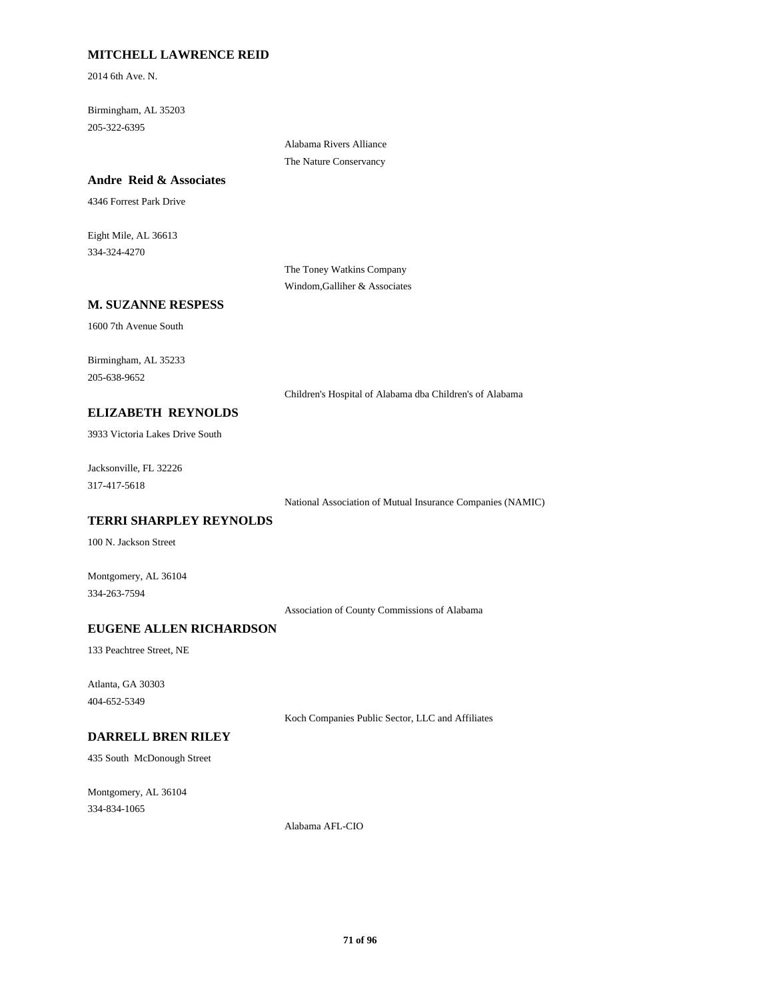## **MITCHELL LAWRENCE REID**

2014 6th Ave. N.

Birmingham, AL 35203 205-322-6395

> Alabama Rivers Alliance The Nature Conservancy

#### **Andre Reid & Associates**

4346 Forrest Park Drive

Eight Mile, AL 36613 334-324-4270

> The Toney Watkins Company Windom,Galliher & Associates

# **M. SUZANNE RESPESS**

1600 7th Avenue South

Birmingham, AL 35233 205-638-9652

Children's Hospital of Alabama dba Children's of Alabama

#### **ELIZABETH REYNOLDS**

3933 Victoria Lakes Drive South

Jacksonville, FL 32226 317-417-5618

National Association of Mutual Insurance Companies (NAMIC)

# **TERRI SHARPLEY REYNOLDS**

100 N. Jackson Street

Montgomery, AL 36104 334-263-7594

Association of County Commissions of Alabama

## **EUGENE ALLEN RICHARDSON**

133 Peachtree Street, NE

Atlanta, GA 30303 404-652-5349

Koch Companies Public Sector, LLC and Affiliates

# **DARRELL BREN RILEY**

435 South McDonough Street

Montgomery, AL 36104 334-834-1065

Alabama AFL-CIO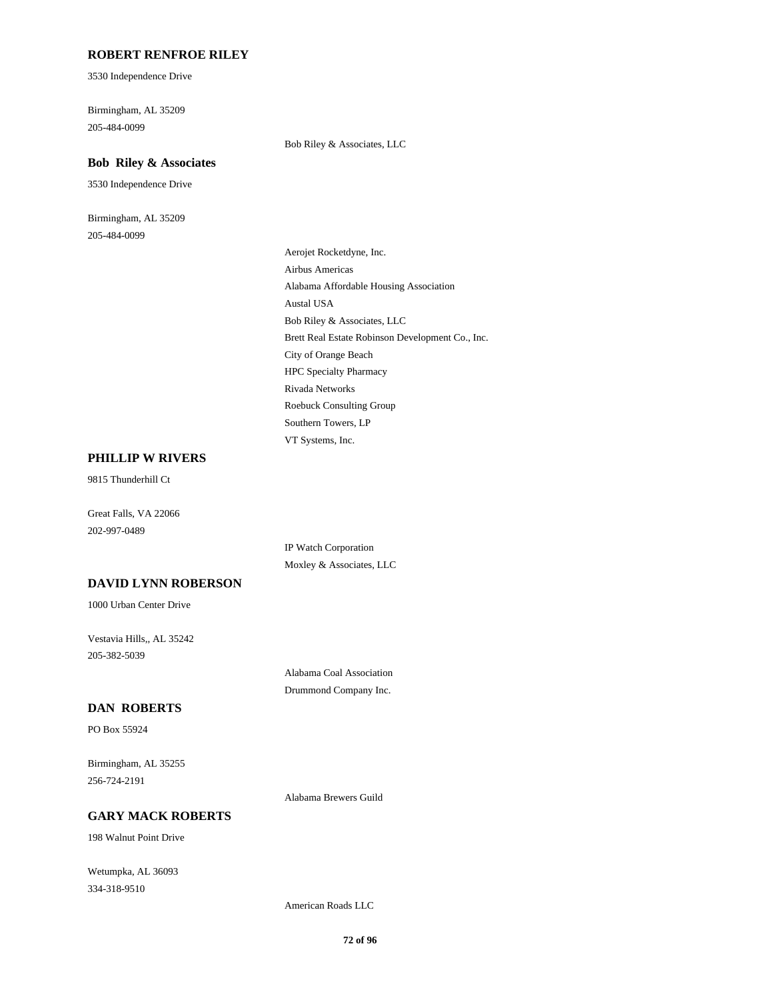#### **ROBERT RENFROE RILEY**

3530 Independence Drive

Birmingham, AL 35209 205-484-0099

Bob Riley & Associates, LLC

# **Bob Riley & Associates** 3530 Independence Drive

Birmingham, AL 35209 205-484-0099

> Aerojet Rocketdyne, Inc. Airbus Americas Alabama Affordable Housing Association Austal USA Bob Riley & Associates, LLC Brett Real Estate Robinson Development Co., Inc. City of Orange Beach HPC Specialty Pharmacy Rivada Networks Roebuck Consulting Group Southern Towers, LP VT Systems, Inc.

#### **PHILLIP W RIVERS**

9815 Thunderhill Ct

Great Falls, VA 22066 202-997-0489

> IP Watch Corporation Moxley & Associates, LLC

## **DAVID LYNN ROBERSON**

1000 Urban Center Drive

Vestavia Hills,, AL 35242 205-382-5039

> Alabama Coal Association Drummond Company Inc.

#### **DAN ROBERTS**

PO Box 55924

Birmingham, AL 35255 256-724-2191

Alabama Brewers Guild

## **GARY MACK ROBERTS**

198 Walnut Point Drive

Wetumpka, AL 36093 334-318-9510

American Roads LLC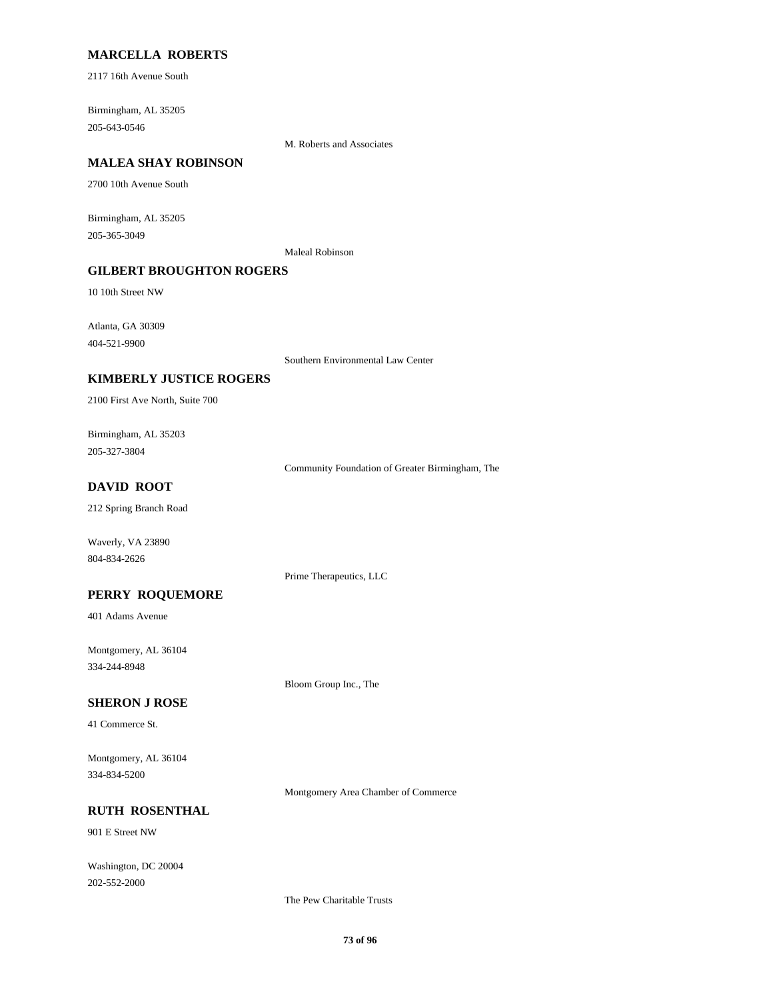## **MARCELLA ROBERTS**

2117 16th Avenue South

Birmingham, AL 35205 205-643-0546

M. Roberts and Associates

#### **MALEA SHAY ROBINSON**

2700 10th Avenue South

Birmingham, AL 35205 205-365-3049

Maleal Robinson

## **GILBERT BROUGHTON ROGERS**

10 10th Street NW

Atlanta, GA 30309 404-521-9900

Southern Environmental Law Center

### **KIMBERLY JUSTICE ROGERS**

2100 First Ave North, Suite 700

Birmingham, AL 35203 205-327-3804

Community Foundation of Greater Birmingham, The

## **DAVID ROOT**

212 Spring Branch Road

Waverly, VA 23890 804-834-2626

Prime Therapeutics, LLC

### **PERRY ROQUEMORE**

401 Adams Avenue

Montgomery, AL 36104 334-244-8948

Bloom Group Inc., The

#### **SHERON J ROSE**

41 Commerce St.

Montgomery, AL 36104 334-834-5200

Montgomery Area Chamber of Commerce

## **RUTH ROSENTHAL**

901 E Street NW

Washington, DC 20004 202-552-2000

The Pew Charitable Trusts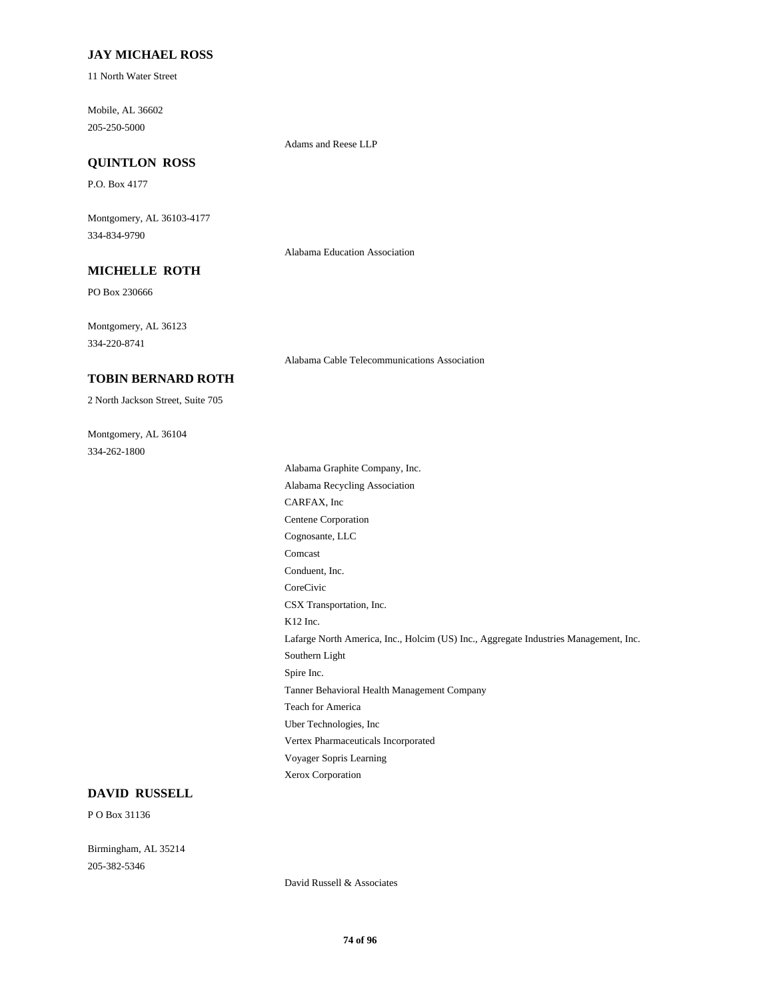### **JAY MICHAEL ROSS**

11 North Water Street

Mobile, AL 36602 205-250-5000

Adams and Reese LLP

# **QUINTLON ROSS**

P.O. Box 4177

Montgomery, AL 36103-4177 334-834-9790

Alabama Education Association

## **MICHELLE ROTH**

PO Box 230666

Montgomery, AL 36123 334-220-8741

Alabama Cable Telecommunications Association

## **TOBIN BERNARD ROTH**

2 North Jackson Street, Suite 705

Montgomery, AL 36104 334-262-1800

Alabama Graphite Company, Inc. Alabama Recycling Association CARFAX, Inc Centene Corporation Cognosante, LLC Comcast Conduent, Inc. CoreCivic CSX Transportation, Inc. K12 Inc. Lafarge North America, Inc., Holcim (US) Inc., Aggregate Industries Management, Inc. Southern Light Spire Inc. Tanner Behavioral Health Management Company Teach for America Uber Technologies, Inc Vertex Pharmaceuticals Incorporated Voyager Sopris Learning Xerox Corporation

#### **DAVID RUSSELL**

P O Box 31136

Birmingham, AL 35214 205-382-5346

David Russell & Associates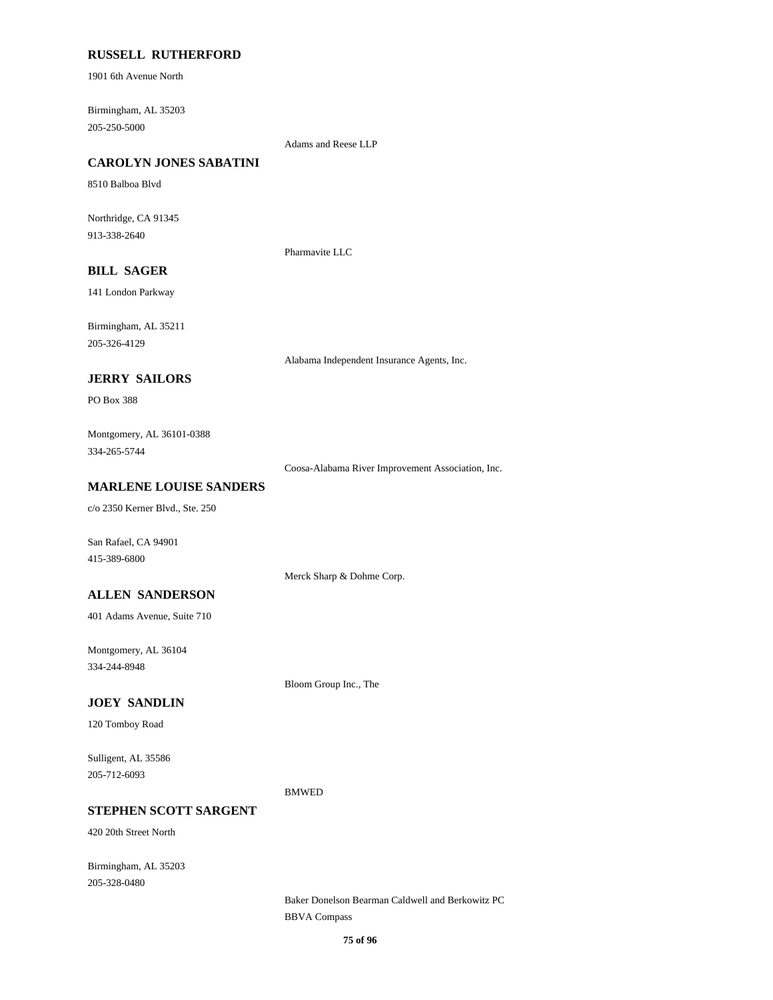### **RUSSELL RUTHERFORD**

1901 6th Avenue North

Birmingham, AL 35203 205-250-5000

Adams and Reese LLP

# **CAROLYN JONES SABATINI**

8510 Balboa Blvd

Northridge, CA 91345 913-338-2640

Pharmavite LLC

## **BILL SAGER**

141 London Parkway

Birmingham, AL 35211 205-326-4129

Alabama Independent Insurance Agents, Inc.

## **JERRY SAILORS**

PO Box 388

Montgomery, AL 36101-0388 334-265-5744

Coosa-Alabama River Improvement Association, Inc.

### **MARLENE LOUISE SANDERS**

c/o 2350 Kerner Blvd., Ste. 250

San Rafael, CA 94901 415-389-6800

Merck Sharp & Dohme Corp.

### **ALLEN SANDERSON**

401 Adams Avenue, Suite 710

Montgomery, AL 36104 334-244-8948

Bloom Group Inc., The

### **JOEY SANDLIN**

120 Tomboy Road

Sulligent, AL 35586 205-712-6093

BMWED

## **STEPHEN SCOTT SARGENT**

420 20th Street North

Birmingham, AL 35203 205-328-0480

> Baker Donelson Bearman Caldwell and Berkowitz PC BBVA Compass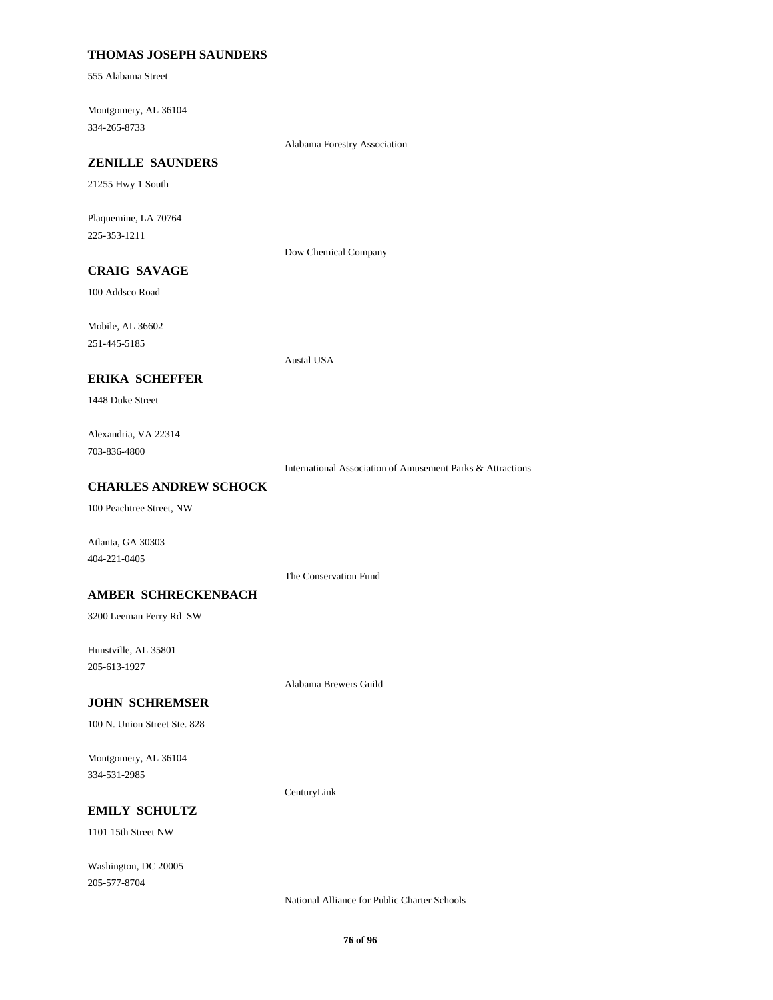## **THOMAS JOSEPH SAUNDERS**

555 Alabama Street

Montgomery, AL 36104 334-265-8733

Alabama Forestry Association

#### **ZENILLE SAUNDERS**

21255 Hwy 1 South

Plaquemine, LA 70764 225-353-1211

Dow Chemical Company

Austal USA

# **CRAIG SAVAGE**

100 Addsco Road

Mobile, AL 36602

251-445-5185

#### **ERIKA SCHEFFER**

1448 Duke Street

Alexandria, VA 22314 703-836-4800

International Association of Amusement Parks & Attractions

#### **CHARLES ANDREW SCHOCK**

100 Peachtree Street, NW

Atlanta, GA 30303 404-221-0405

The Conservation Fund

#### **AMBER SCHRECKENBACH**

3200 Leeman Ferry Rd SW

Hunstville, AL 35801 205-613-1927

Alabama Brewers Guild

#### **JOHN SCHREMSER**

100 N. Union Street Ste. 828

Montgomery, AL 36104 334-531-2985

CenturyLink

## **EMILY SCHULTZ**

1101 15th Street NW

Washington, DC 20005 205-577-8704

National Alliance for Public Charter Schools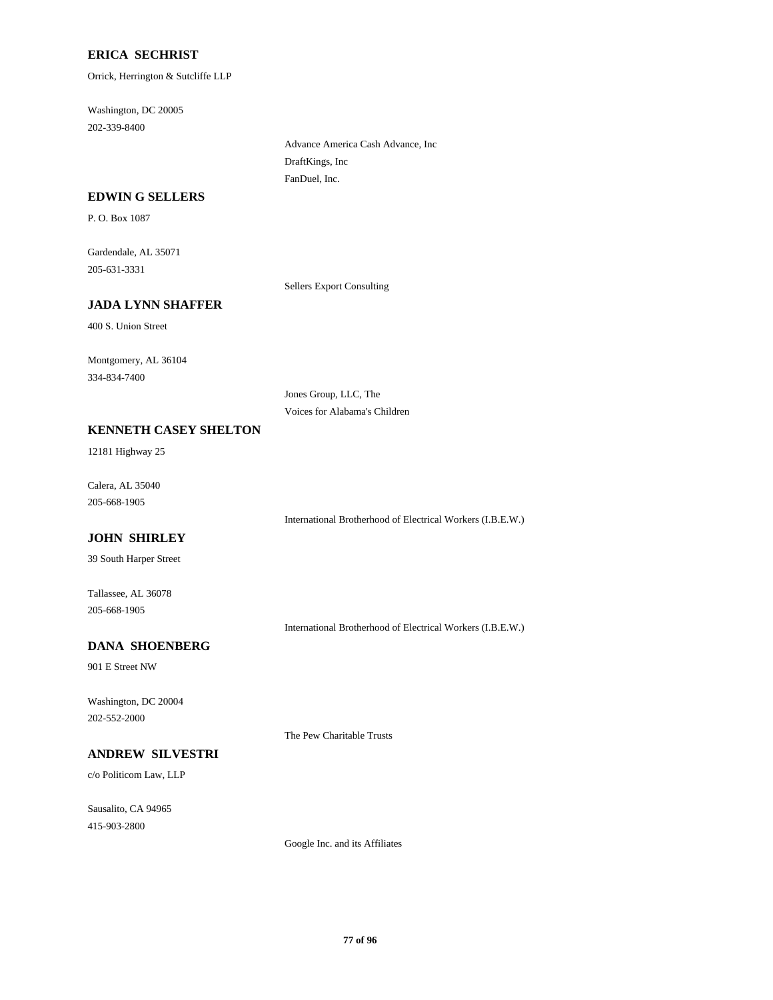## **ERICA SECHRIST**

Orrick, Herrington & Sutcliffe LLP

Washington, DC 20005 202-339-8400

> Advance America Cash Advance, Inc DraftKings, Inc FanDuel, Inc.

#### **EDWIN G SELLERS**

P. O. Box 1087

Gardendale, AL 35071 205-631-3331

Sellers Export Consulting

## **JADA LYNN SHAFFER**

400 S. Union Street

Montgomery, AL 36104 334-834-7400

> Jones Group, LLC, The Voices for Alabama's Children

## **KENNETH CASEY SHELTON**

12181 Highway 25

Calera, AL 35040 205-668-1905

International Brotherhood of Electrical Workers (I.B.E.W.)

# **JOHN SHIRLEY**

39 South Harper Street

Tallassee, AL 36078 205-668-1905

International Brotherhood of Electrical Workers (I.B.E.W.)

# **DANA SHOENBERG**

901 E Street NW

Washington, DC 20004 202-552-2000

## **ANDREW SILVESTRI**

c/o Politicom Law, LLP

Sausalito, CA 94965 415-903-2800

The Pew Charitable Trusts

Google Inc. and its Affiliates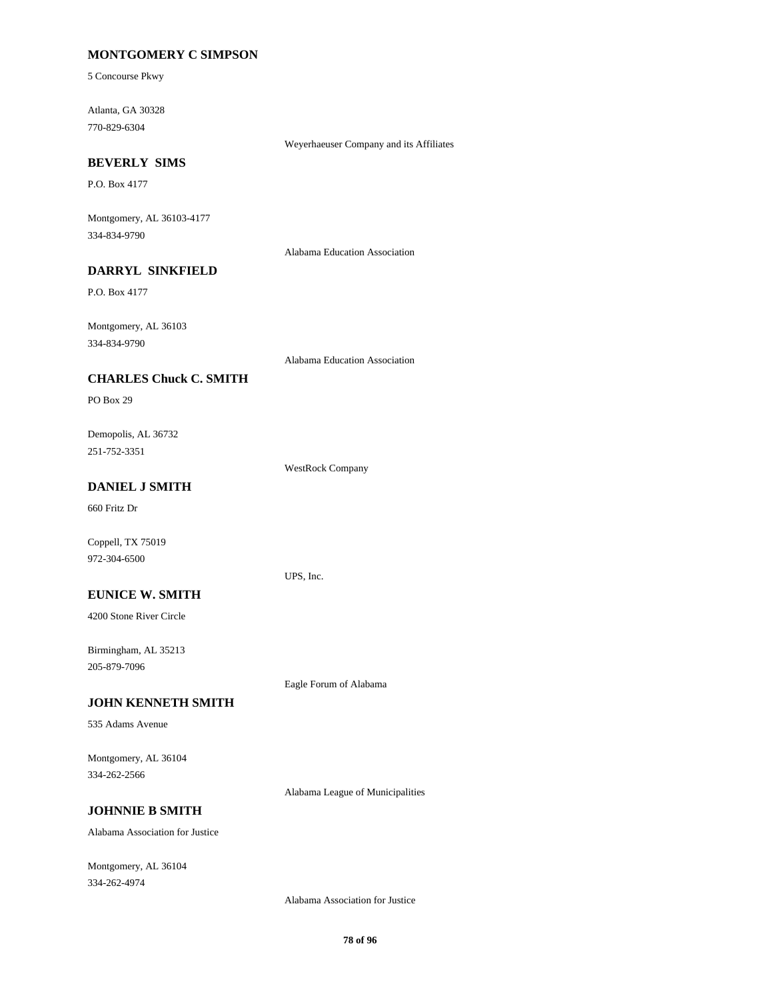## **MONTGOMERY C SIMPSON**

5 Concourse Pkwy

Atlanta, GA 30328 770-829-6304

Weyerhaeuser Company and its Affiliates

#### **BEVERLY SIMS**

P.O. Box 4177

Montgomery, AL 36103-4177 334-834-9790

Alabama Education Association

# **DARRYL SINKFIELD**

P.O. Box 4177

Montgomery, AL 36103 334-834-9790

Alabama Education Association

### **CHARLES Chuck C. SMITH**

PO Box 29

Demopolis, AL 36732 251-752-3351

WestRock Company

UPS, Inc.

## **DANIEL J SMITH**

660 Fritz Dr

Coppell, TX 75019 972-304-6500

#### **EUNICE W. SMITH**

4200 Stone River Circle

Birmingham, AL 35213 205-879-7096

Eagle Forum of Alabama

## **JOHN KENNETH SMITH**

535 Adams Avenue

Montgomery, AL 36104 334-262-2566

Alabama League of Municipalities

## **JOHNNIE B SMITH**

Alabama Association for Justice

Montgomery, AL 36104 334-262-4974

Alabama Association for Justice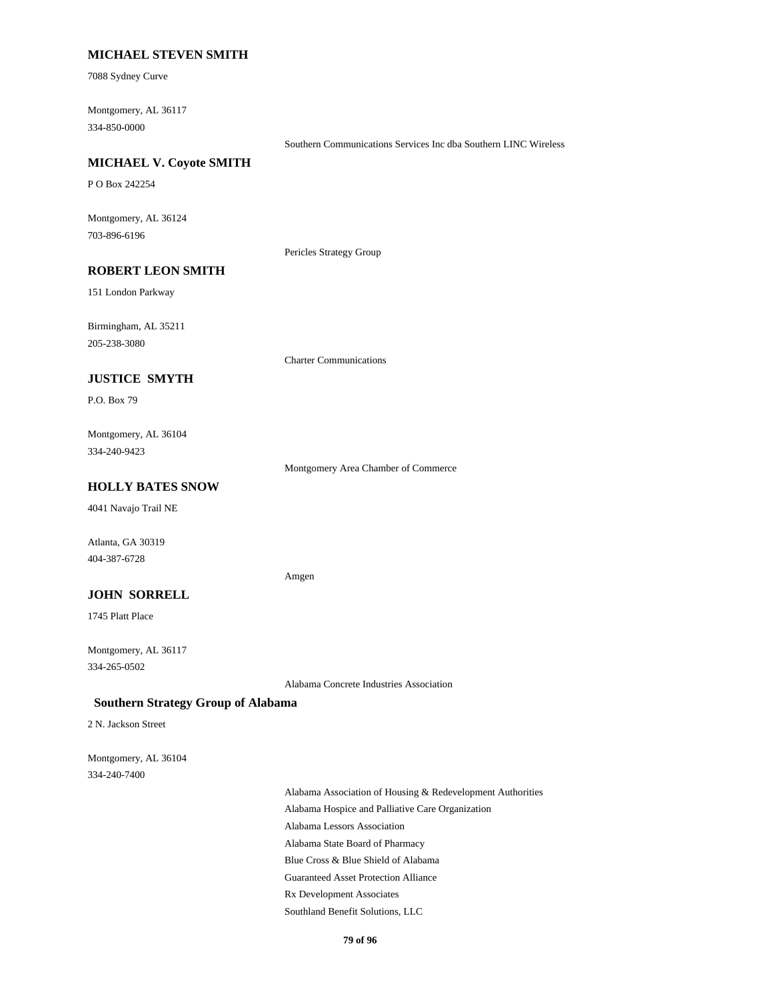## **MICHAEL STEVEN SMITH**

7088 Sydney Curve

Montgomery, AL 36117 334-850-0000

Southern Communications Services Inc dba Southern LINC Wireless

## **MICHAEL V. Coyote SMITH**

P O Box 242254

Montgomery, AL 36124 703-896-6196

Pericles Strategy Group

## **ROBERT LEON SMITH**

151 London Parkway

Birmingham, AL 35211 205-238-3080

Charter Communications

## **JUSTICE SMYTH**

P.O. Box 79

Montgomery, AL 36104 334-240-9423

Montgomery Area Chamber of Commerce

## **HOLLY BATES SNOW**

4041 Navajo Trail NE

Atlanta, GA 30319 404-387-6728

#### Amgen

### **JOHN SORRELL**

1745 Platt Place

Montgomery, AL 36117 334-265-0502

Alabama Concrete Industries Association

### **Southern Strategy Group of Alabama**

2 N. Jackson Street

Montgomery, AL 36104 334-240-7400

> Alabama Association of Housing & Redevelopment Authorities Alabama Hospice and Palliative Care Organization Alabama Lessors Association Alabama State Board of Pharmacy Blue Cross & Blue Shield of Alabama Guaranteed Asset Protection Alliance Rx Development Associates Southland Benefit Solutions, LLC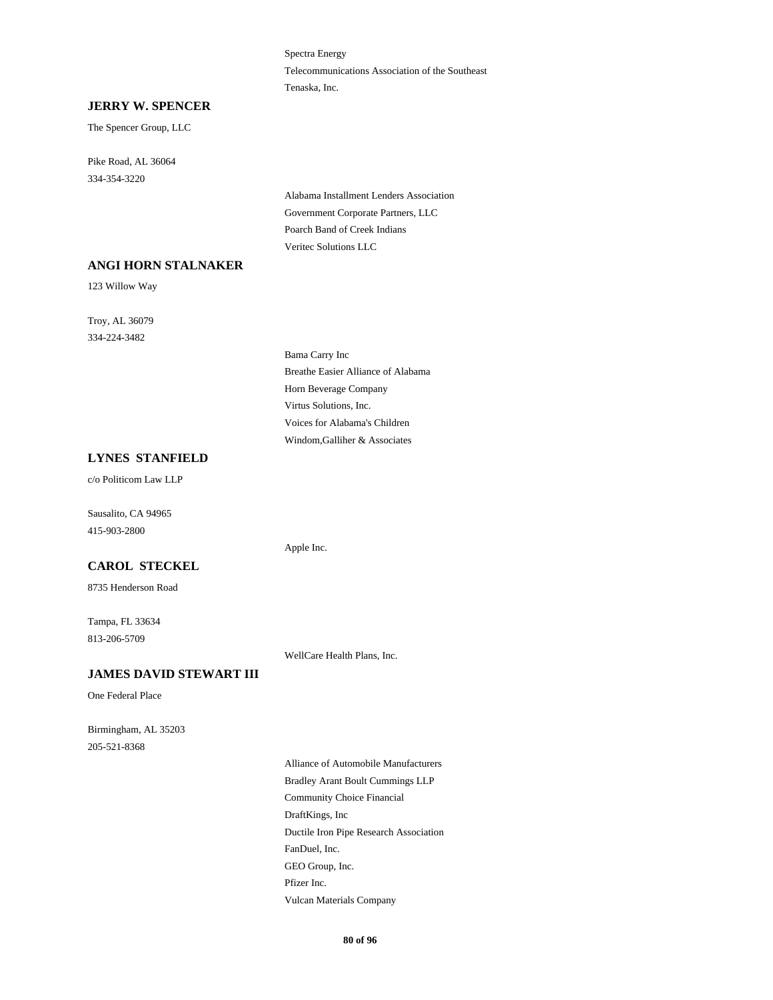Spectra Energy Telecommunications Association of the Southeast Tenaska, Inc.

#### **JERRY W. SPENCER**

The Spencer Group, LLC

Pike Road, AL 36064 334-354-3220

> Alabama Installment Lenders Association Government Corporate Partners, LLC Poarch Band of Creek Indians Veritec Solutions LLC

## **ANGI HORN STALNAKER**

123 Willow Way

Troy, AL 36079 334-224-3482

> Bama Carry Inc Breathe Easier Alliance of Alabama Horn Beverage Company Virtus Solutions, Inc. Voices for Alabama's Children Windom,Galliher & Associates

## **LYNES STANFIELD**

c/o Politicom Law LLP

Sausalito, CA 94965 415-903-2800

### **CAROL STECKEL**

8735 Henderson Road

Tampa, FL 33634 813-206-5709

WellCare Health Plans, Inc.

Apple Inc.

## **JAMES DAVID STEWART III**

One Federal Place

Birmingham, AL 35203 205-521-8368

> Alliance of Automobile Manufacturers Bradley Arant Boult Cummings LLP Community Choice Financial DraftKings, Inc Ductile Iron Pipe Research Association FanDuel, Inc. GEO Group, Inc. Pfizer Inc. Vulcan Materials Company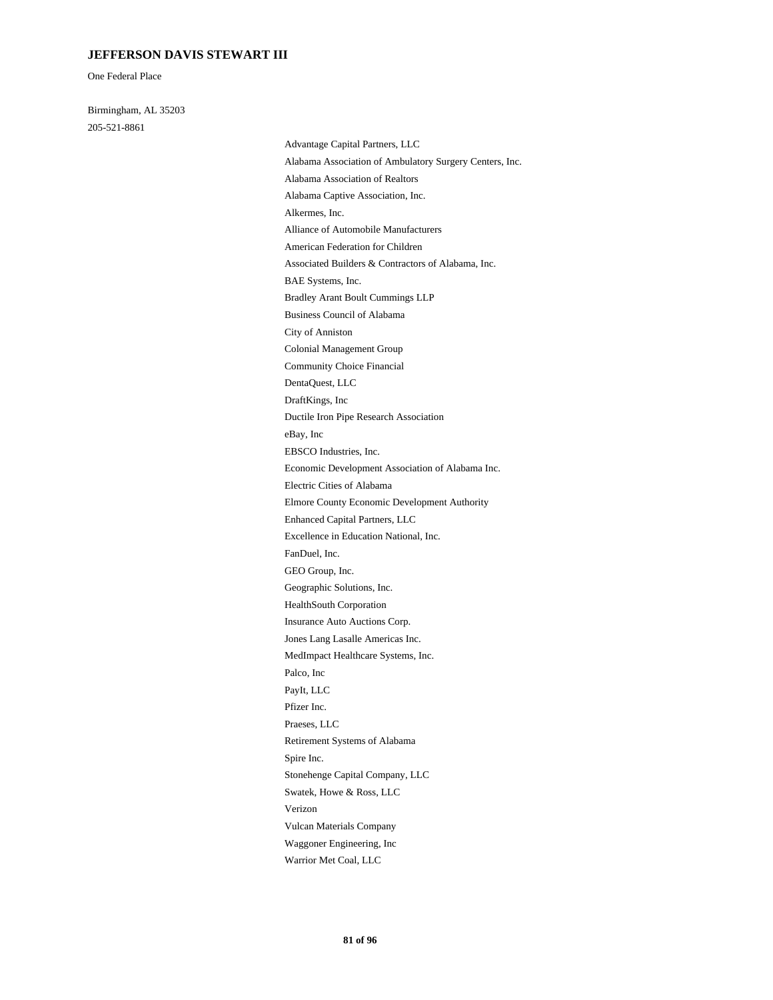## **JEFFERSON DAVIS STEWART III**

One Federal Place

Birmingham, AL 35203 205-521-8861

Advantage Capital Partners, LLC Alabama Association of Ambulatory Surgery Centers, Inc. Alabama Association of Realtors Alabama Captive Association, Inc. Alkermes, Inc. Alliance of Automobile Manufacturers American Federation for Children Associated Builders & Contractors of Alabama, Inc. BAE Systems, Inc. Bradley Arant Boult Cummings LLP Business Council of Alabama City of Anniston Colonial Management Group Community Choice Financial DentaQuest, LLC DraftKings, Inc Ductile Iron Pipe Research Association eBay, Inc EBSCO Industries, Inc. Economic Development Association of Alabama Inc. Electric Cities of Alabama Elmore County Economic Development Authority Enhanced Capital Partners, LLC Excellence in Education National, Inc. FanDuel, Inc. GEO Group, Inc. Geographic Solutions, Inc. HealthSouth Corporation Insurance Auto Auctions Corp. Jones Lang Lasalle Americas Inc. MedImpact Healthcare Systems, Inc. Palco, Inc PayIt, LLC Pfizer Inc. Praeses, LLC Retirement Systems of Alabama Spire Inc. Stonehenge Capital Company, LLC Swatek, Howe & Ross, LLC Verizon Vulcan Materials Company Waggoner Engineering, Inc Warrior Met Coal, LLC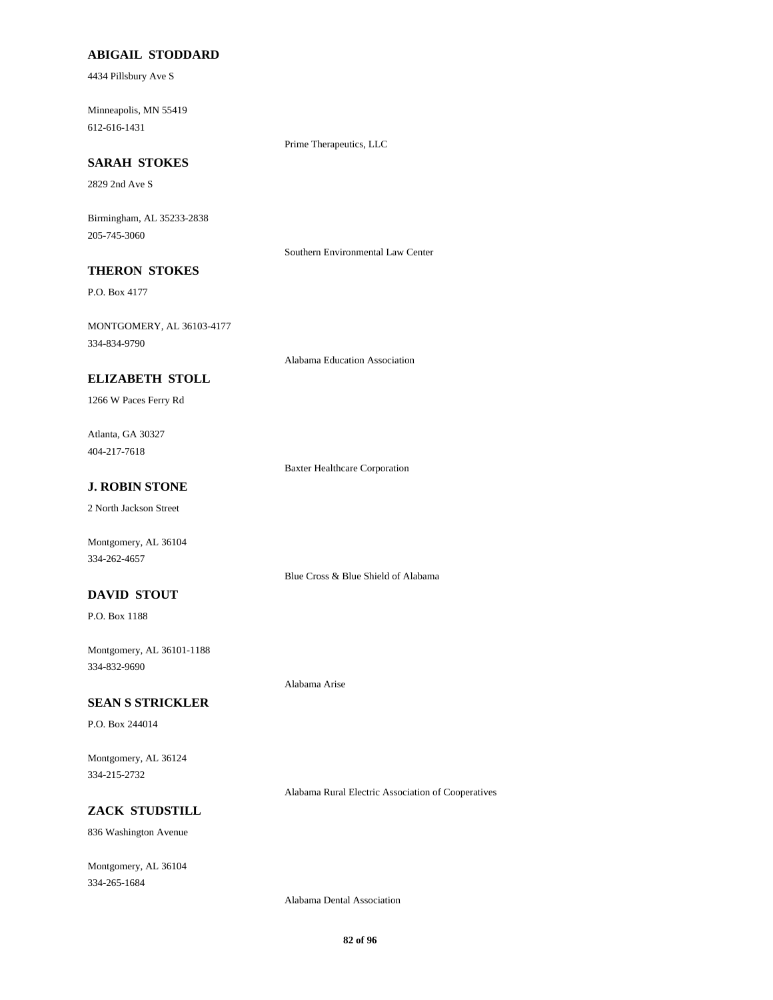## **ABIGAIL STODDARD**

4434 Pillsbury Ave S

Minneapolis, MN 55419 612-616-1431

Prime Therapeutics, LLC

## **SARAH STOKES**

2829 2nd Ave S

Birmingham, AL 35233-2838 205-745-3060

Southern Environmental Law Center

# **THERON STOKES**

P.O. Box 4177

MONTGOMERY, AL 36103-4177 334-834-9790

Alabama Education Association

### **ELIZABETH STOLL**

1266 W Paces Ferry Rd

Atlanta, GA 30327 404-217-7618

Baxter Healthcare Corporation

Blue Cross & Blue Shield of Alabama

Alabama Arise

## **J. ROBIN STONE**

2 North Jackson Street

Montgomery, AL 36104 334-262-4657

## **DAVID STOUT**

P.O. Box 1188

Montgomery, AL 36101-1188 334-832-9690

### **SEAN S STRICKLER**

P.O. Box 244014

Montgomery, AL 36124 334-215-2732

Alabama Rural Electric Association of Cooperatives

## **ZACK STUDSTILL**

836 Washington Avenue

Montgomery, AL 36104 334-265-1684

Alabama Dental Association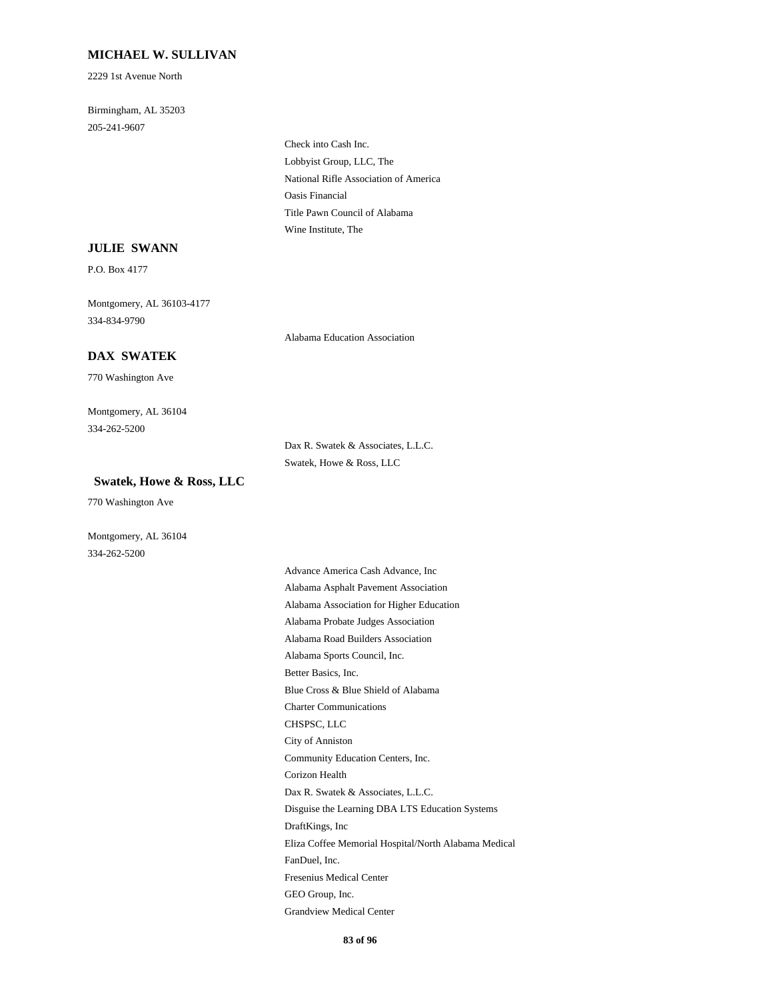## **MICHAEL W. SULLIVAN**

2229 1st Avenue North

Birmingham, AL 35203 205-241-9607

> Check into Cash Inc. Lobbyist Group, LLC, The National Rifle Association of America Oasis Financial Title Pawn Council of Alabama Wine Institute, The

#### **JULIE SWANN**

P.O. Box 4177

Montgomery, AL 36103-4177 334-834-9790

Alabama Education Association

## **DAX SWATEK**

770 Washington Ave

Montgomery, AL 36104 334-262-5200

> Dax R. Swatek & Associates, L.L.C. Swatek, Howe & Ross, LLC

### **Swatek, Howe & Ross, LLC**

770 Washington Ave

Montgomery, AL 36104 334-262-5200

> Advance America Cash Advance, Inc Alabama Asphalt Pavement Association Alabama Association for Higher Education Alabama Probate Judges Association Alabama Road Builders Association Alabama Sports Council, Inc. Better Basics, Inc. Blue Cross & Blue Shield of Alabama Charter Communications CHSPSC, LLC City of Anniston Community Education Centers, Inc. Corizon Health Dax R. Swatek & Associates, L.L.C. Disguise the Learning DBA LTS Education Systems DraftKings, Inc Eliza Coffee Memorial Hospital/North Alabama Medical FanDuel, Inc. Fresenius Medical Center GEO Group, Inc. Grandview Medical Center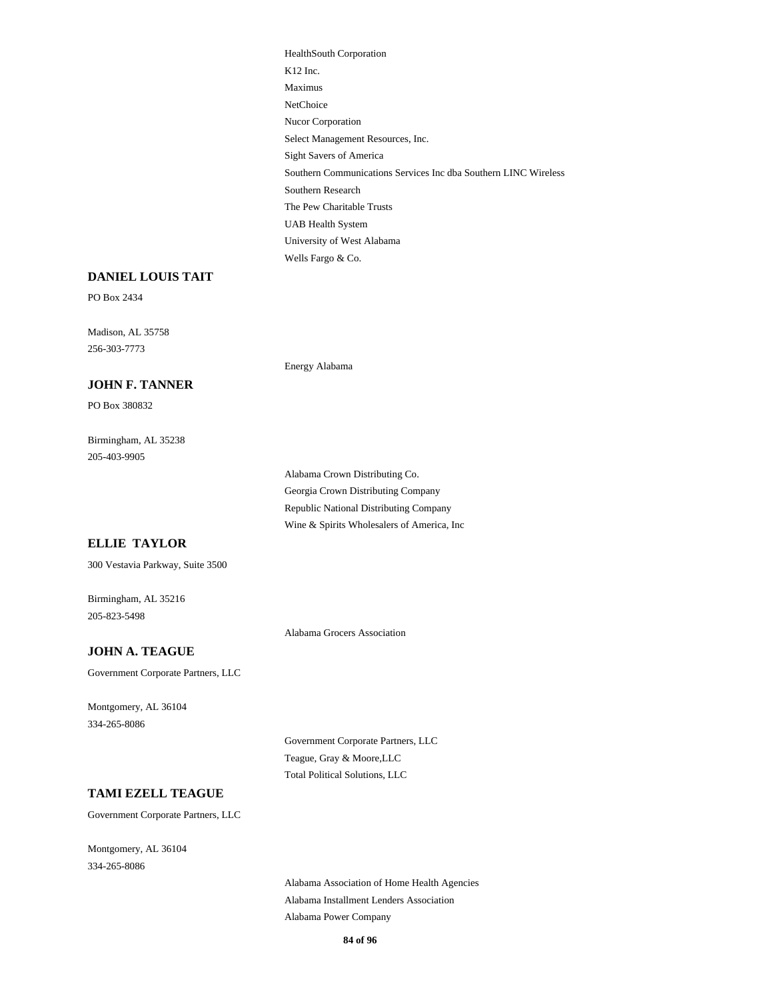HealthSouth Corporation K12 Inc. Maximus NetChoice Nucor Corporation Select Management Resources, Inc. Sight Savers of America Southern Communications Services Inc dba Southern LINC Wireless Southern Research The Pew Charitable Trusts UAB Health System University of West Alabama Wells Fargo & Co.

#### **DANIEL LOUIS TAIT**

PO Box 2434

Madison, AL 35758 256-303-7773

#### **JOHN F. TANNER**

PO Box 380832

Birmingham, AL 35238 205-403-9905

> Alabama Crown Distributing Co. Georgia Crown Distributing Company Republic National Distributing Company Wine & Spirits Wholesalers of America, Inc

## **ELLIE TAYLOR**

300 Vestavia Parkway, Suite 3500

Birmingham, AL 35216 205-823-5498

Alabama Grocers Association

Energy Alabama

#### **JOHN A. TEAGUE**

Government Corporate Partners, LLC

Montgomery, AL 36104 334-265-8086

> Government Corporate Partners, LLC Teague, Gray & Moore,LLC Total Political Solutions, LLC

#### **TAMI EZELL TEAGUE**

Government Corporate Partners, LLC

Montgomery, AL 36104 334-265-8086

> Alabama Association of Home Health Agencies Alabama Installment Lenders Association Alabama Power Company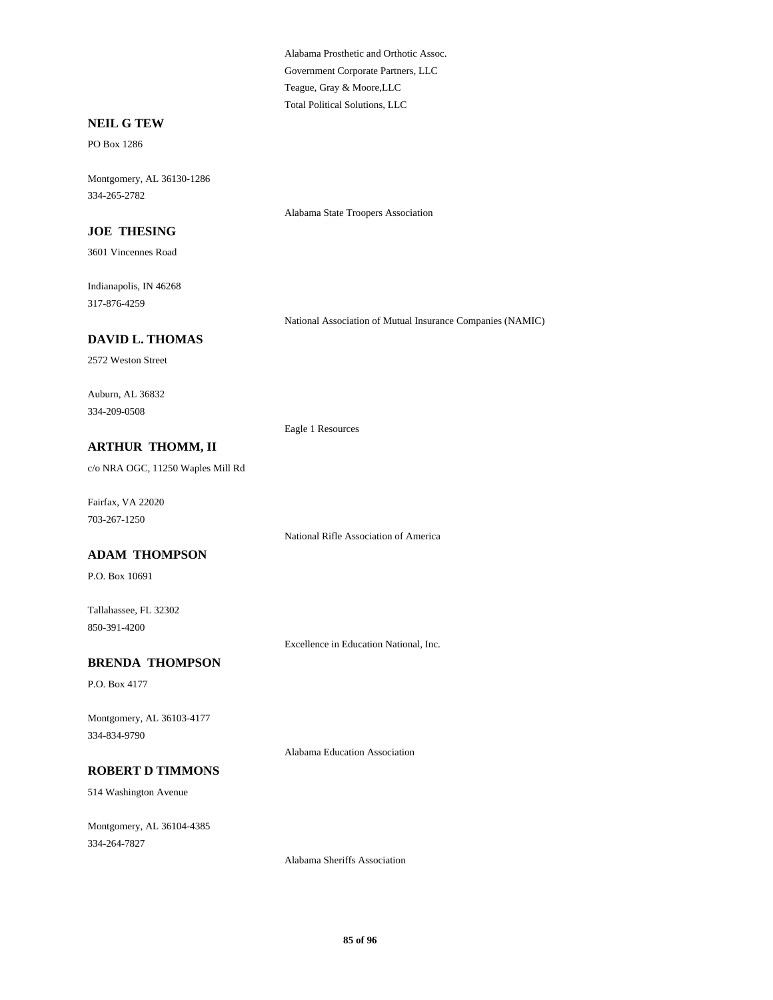Alabama Prosthetic and Orthotic Assoc. Government Corporate Partners, LLC Teague, Gray & Moore,LLC Total Political Solutions, LLC

Alabama State Troopers Association

#### **NEIL G TEW**

PO Box 1286

Montgomery, AL 36130-1286 334-265-2782

**JOE THESING**

3601 Vincennes Road

Indianapolis, IN 46268 317-876-4259

National Association of Mutual Insurance Companies (NAMIC)

## **DAVID L. THOMAS**

2572 Weston Street

Auburn, AL 36832 334-209-0508

Eagle 1 Resources

## **ARTHUR THOMM, II**

c/o NRA OGC, 11250 Waples Mill Rd

Fairfax, VA 22020 703-267-1250

National Rifle Association of America

#### **ADAM THOMPSON**

P.O. Box 10691

Tallahassee, FL 32302 850-391-4200

Excellence in Education National, Inc.

### **BRENDA THOMPSON**

P.O. Box 4177

Montgomery, AL 36103-4177 334-834-9790

Alabama Education Association

## **ROBERT D TIMMONS**

514 Washington Avenue

Montgomery, AL 36104-4385 334-264-7827

Alabama Sheriffs Association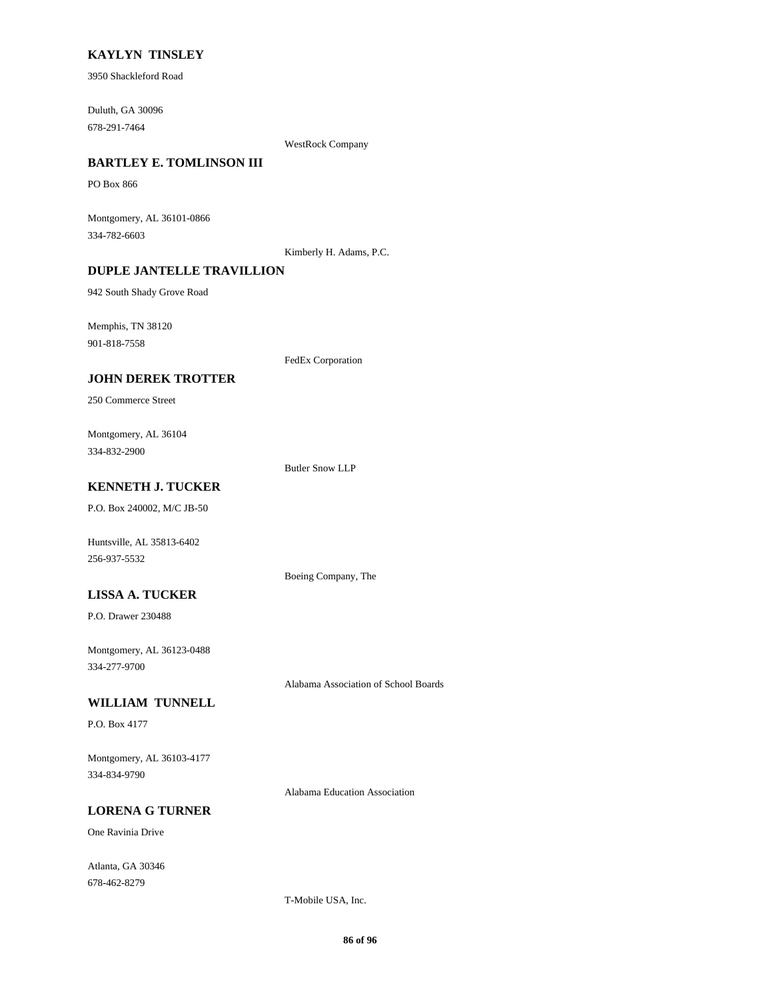## **KAYLYN TINSLEY**

3950 Shackleford Road

Duluth, GA 30096 678-291-7464

WestRock Company

## **BARTLEY E. TOMLINSON III**

PO Box 866

Montgomery, AL 36101-0866 334-782-6603

Kimberly H. Adams, P.C.

## **DUPLE JANTELLE TRAVILLION**

942 South Shady Grove Road

Memphis, TN 38120

901-818-7558

FedEx Corporation

## **JOHN DEREK TROTTER**

250 Commerce Street

Montgomery, AL 36104 334-832-2900

Butler Snow LLP

Boeing Company, The

## **KENNETH J. TUCKER**

P.O. Box 240002, M/C JB-50

Huntsville, AL 35813-6402 256-937-5532

## **LISSA A. TUCKER**

P.O. Drawer 230488

Montgomery, AL 36123-0488 334-277-9700

Alabama Association of School Boards

## **WILLIAM TUNNELL**

P.O. Box 4177

Montgomery, AL 36103-4177 334-834-9790

Alabama Education Association

## **LORENA G TURNER**

One Ravinia Drive

Atlanta, GA 30346 678-462-8279

T-Mobile USA, Inc.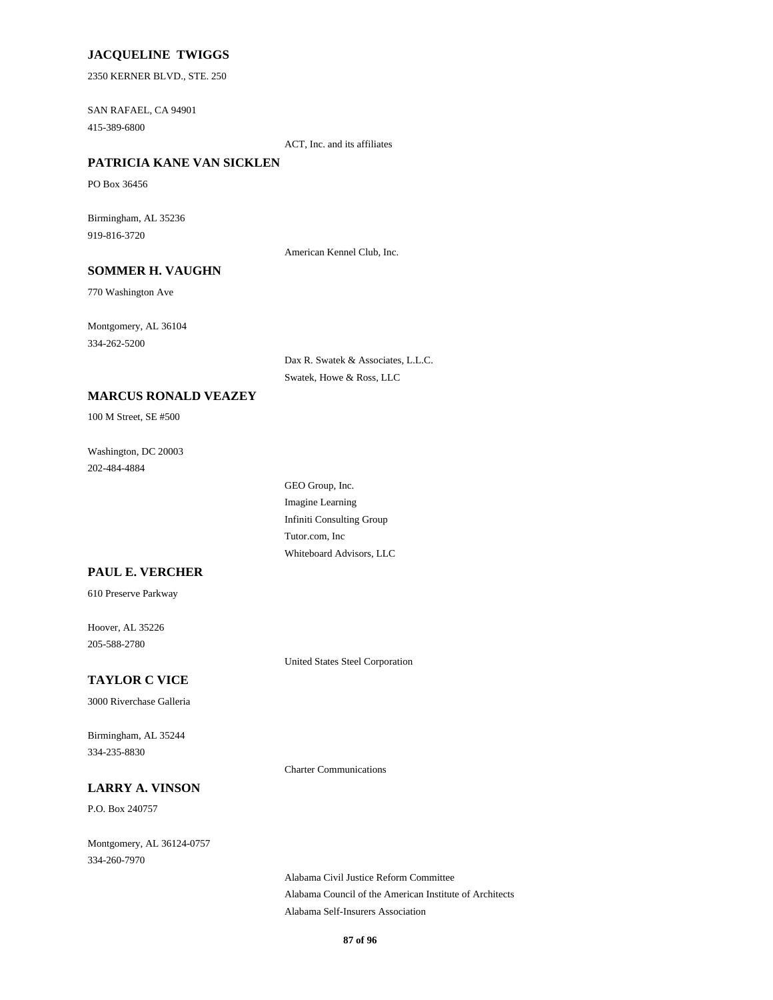## **JACQUELINE TWIGGS**

2350 KERNER BLVD., STE. 250

SAN RAFAEL, CA 94901 415-389-6800

ACT, Inc. and its affiliates

## **PATRICIA KANE VAN SICKLEN**

PO Box 36456

Birmingham, AL 35236 919-816-3720

American Kennel Club, Inc.

## **SOMMER H. VAUGHN**

770 Washington Ave

Montgomery, AL 36104 334-262-5200

> Dax R. Swatek & Associates, L.L.C. Swatek, Howe & Ross, LLC

## **MARCUS RONALD VEAZEY**

100 M Street, SE #500

Washington, DC 20003 202-484-4884

> GEO Group, Inc. Imagine Learning Infiniti Consulting Group Tutor.com, Inc Whiteboard Advisors, LLC

## **PAUL E. VERCHER**

610 Preserve Parkway

Hoover, AL 35226 205-588-2780

United States Steel Corporation

## **TAYLOR C VICE**

3000 Riverchase Galleria

Birmingham, AL 35244 334-235-8830

Charter Communications

### **LARRY A. VINSON**

P.O. Box 240757

Montgomery, AL 36124-0757 334-260-7970

> Alabama Civil Justice Reform Committee Alabama Council of the American Institute of Architects Alabama Self-Insurers Association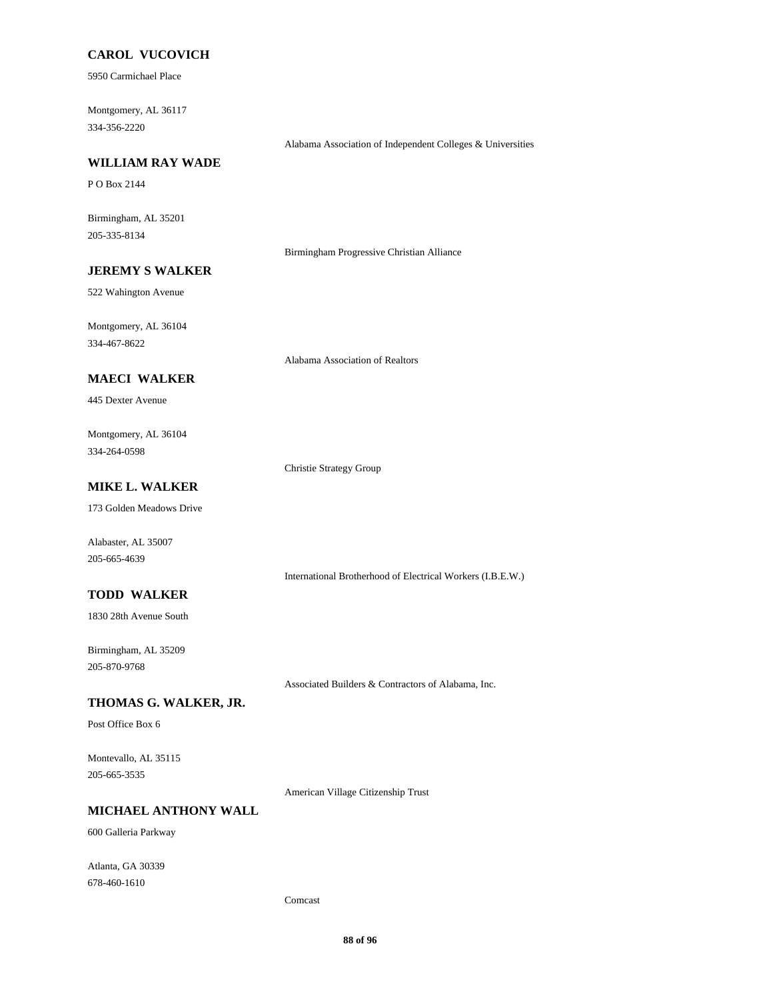## **CAROL VUCOVICH**

5950 Carmichael Place

Montgomery, AL 36117 334-356-2220

## **WILLIAM RAY WADE**

P O Box 2144

Birmingham, AL 35201 205-335-8134

Birmingham Progressive Christian Alliance

Alabama Association of Independent Colleges & Universities

# **JEREMY S WALKER**

522 Wahington Avenue

Montgomery, AL 36104 334-467-8622

Alabama Association of Realtors

## **MAECI WALKER**

445 Dexter Avenue

Montgomery, AL 36104 334-264-0598

Christie Strategy Group

## **MIKE L. WALKER**

173 Golden Meadows Drive

Alabaster, AL 35007 205-665-4639

International Brotherhood of Electrical Workers (I.B.E.W.)

## **TODD WALKER**

1830 28th Avenue South

Birmingham, AL 35209 205-870-9768

Associated Builders & Contractors of Alabama, Inc.

## **THOMAS G. WALKER, JR.**

Post Office Box 6

Montevallo, AL 35115 205-665-3535

American Village Citizenship Trust

## **MICHAEL ANTHONY WALL**

600 Galleria Parkway

Atlanta, GA 30339 678-460-1610

Comcast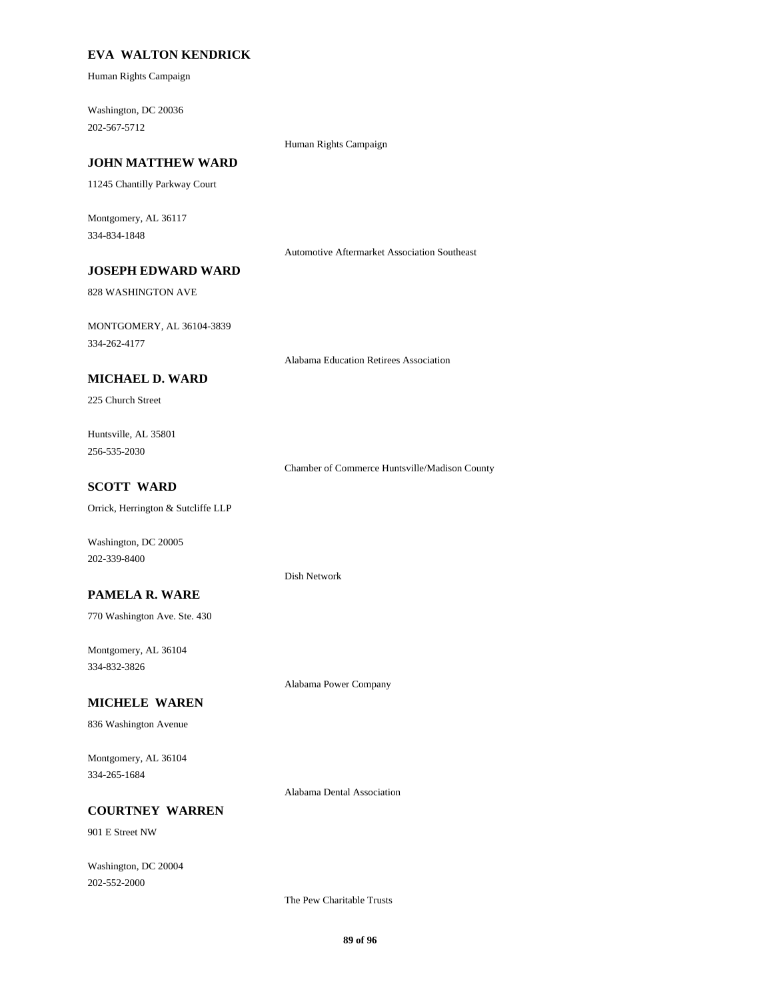## **EVA WALTON KENDRICK**

Human Rights Campaign

Washington, DC 20036 202-567-5712

## Human Rights Campaign

## **JOHN MATTHEW WARD**

11245 Chantilly Parkway Court

Montgomery, AL 36117 334-834-1848

Automotive Aftermarket Association Southeast

## **JOSEPH EDWARD WARD**

828 WASHINGTON AVE

MONTGOMERY, AL 36104-3839 334-262-4177

Alabama Education Retirees Association

#### **MICHAEL D. WARD**

225 Church Street

Huntsville, AL 35801 256-535-2030

Chamber of Commerce Huntsville/Madison County

### **SCOTT WARD**

Orrick, Herrington & Sutcliffe LLP

Washington, DC 20005 202-339-8400

#### **PAMELA R. WARE**

770 Washington Ave. Ste. 430

Montgomery, AL 36104 334-832-3826

#### **MICHELE WAREN**

836 Washington Avenue

Montgomery, AL 36104 334-265-1684

Alabama Dental Association

Alabama Power Company

Dish Network

## **COURTNEY WARREN**

901 E Street NW

Washington, DC 20004 202-552-2000

The Pew Charitable Trusts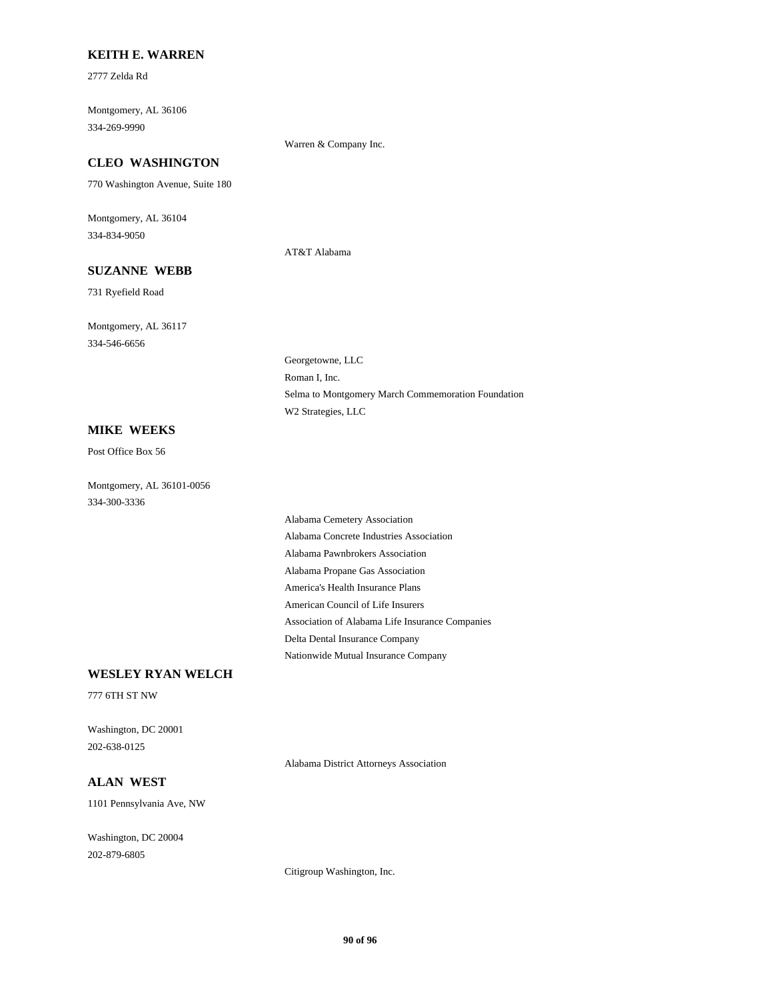### **KEITH E. WARREN**

2777 Zelda Rd

Montgomery, AL 36106 334-269-9990

Warren & Company Inc.

AT&T Alabama

Georgetowne, LLC Roman I, Inc.

W2 Strategies, LLC

## **CLEO WASHINGTON**

770 Washington Avenue, Suite 180

Montgomery, AL 36104 334-834-9050

## **SUZANNE WEBB**

731 Ryefield Road

Montgomery, AL 36117 334-546-6656

### **MIKE WEEKS**

Post Office Box 56

Montgomery, AL 36101-0056 334-300-3336

> Alabama Cemetery Association Alabama Concrete Industries Association Alabama Pawnbrokers Association Alabama Propane Gas Association America's Health Insurance Plans American Council of Life Insurers Association of Alabama Life Insurance Companies Delta Dental Insurance Company Nationwide Mutual Insurance Company

Selma to Montgomery March Commemoration Foundation

## **WESLEY RYAN WELCH**

777 6TH ST NW

Washington, DC 20001 202-638-0125

Alabama District Attorneys Association

## **ALAN WEST**

1101 Pennsylvania Ave, NW

Washington, DC 20004 202-879-6805

Citigroup Washington, Inc.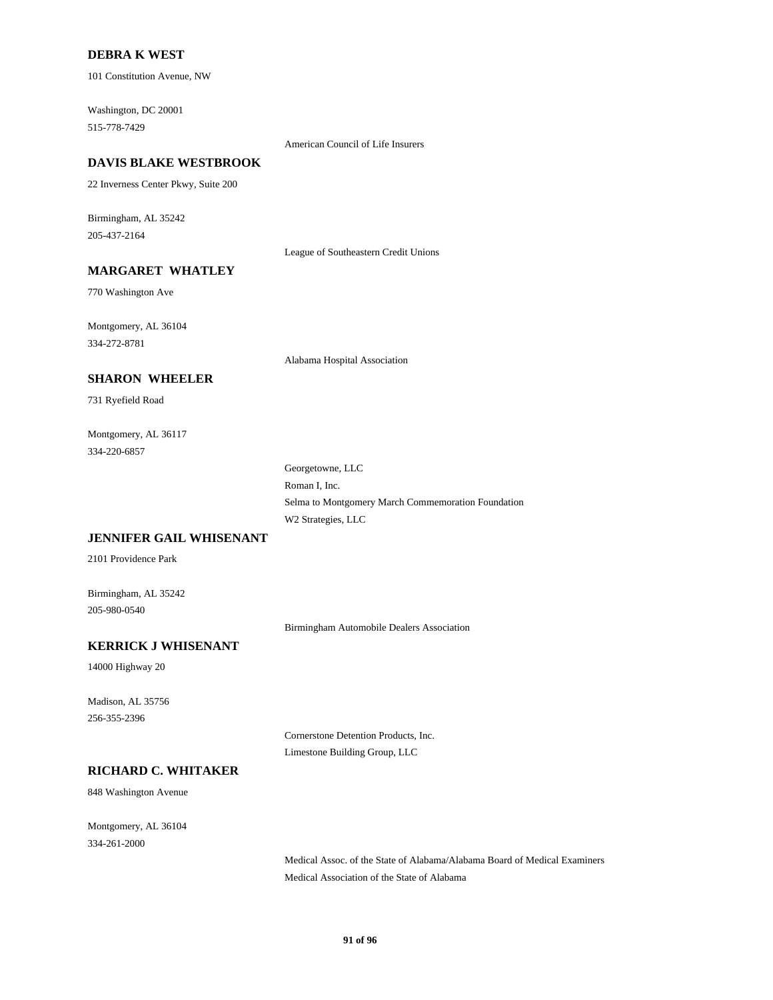### **DEBRA K WEST**

101 Constitution Avenue, NW

Washington, DC 20001 515-778-7429

American Council of Life Insurers

#### **DAVIS BLAKE WESTBROOK**

22 Inverness Center Pkwy, Suite 200

Birmingham, AL 35242 205-437-2164

League of Southeastern Credit Unions

## **MARGARET WHATLEY**

770 Washington Ave

Montgomery, AL 36104 334-272-8781

Alabama Hospital Association

### **SHARON WHEELER**

731 Ryefield Road

Montgomery, AL 36117 334-220-6857

> Georgetowne, LLC Roman I, Inc. Selma to Montgomery March Commemoration Foundation W2 Strategies, LLC

### **JENNIFER GAIL WHISENANT**

2101 Providence Park

Birmingham, AL 35242 205-980-0540

Birmingham Automobile Dealers Association

## **KERRICK J WHISENANT**

14000 Highway 20

Madison, AL 35756 256-355-2396

> Cornerstone Detention Products, Inc. Limestone Building Group, LLC

## **RICHARD C. WHITAKER**

848 Washington Avenue

Montgomery, AL 36104 334-261-2000

> Medical Assoc. of the State of Alabama/Alabama Board of Medical Examiners Medical Association of the State of Alabama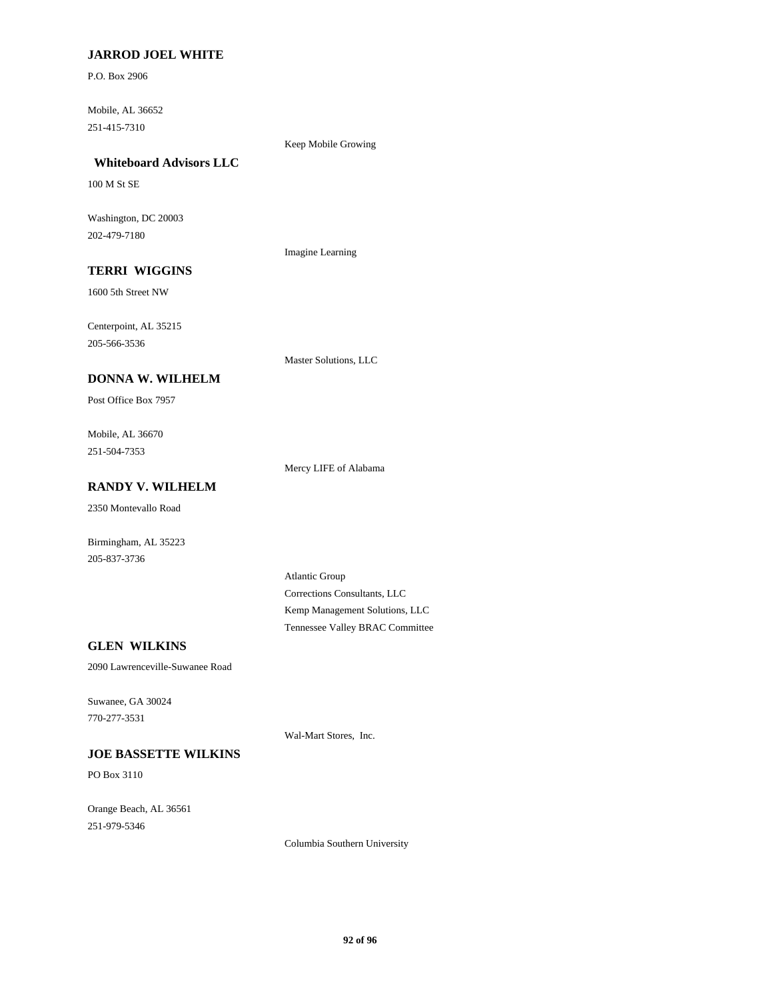## **JARROD JOEL WHITE**

P.O. Box 2906

Mobile, AL 36652 251-415-7310

Keep Mobile Growing

# **Whiteboard Advisors LLC**

100 M St SE

Washington, DC 20003 202-479-7180

Imagine Learning

# **TERRI WIGGINS**

1600 5th Street NW

Centerpoint, AL 35215 205-566-3536

Master Solutions, LLC

## **DONNA W. WILHELM**

Post Office Box 7957

Mobile, AL 36670 251-504-7353

Mercy LIFE of Alabama

## **RANDY V. WILHELM**

2350 Montevallo Road

Birmingham, AL 35223 205-837-3736

> Atlantic Group Corrections Consultants, LLC Kemp Management Solutions, LLC Tennessee Valley BRAC Committee

## **GLEN WILKINS**

2090 Lawrenceville-Suwanee Road

Suwanee, GA 30024 770-277-3531

### **JOE BASSETTE WILKINS**

PO Box 3110

Orange Beach, AL 36561 251-979-5346

Wal-Mart Stores, Inc.

Columbia Southern University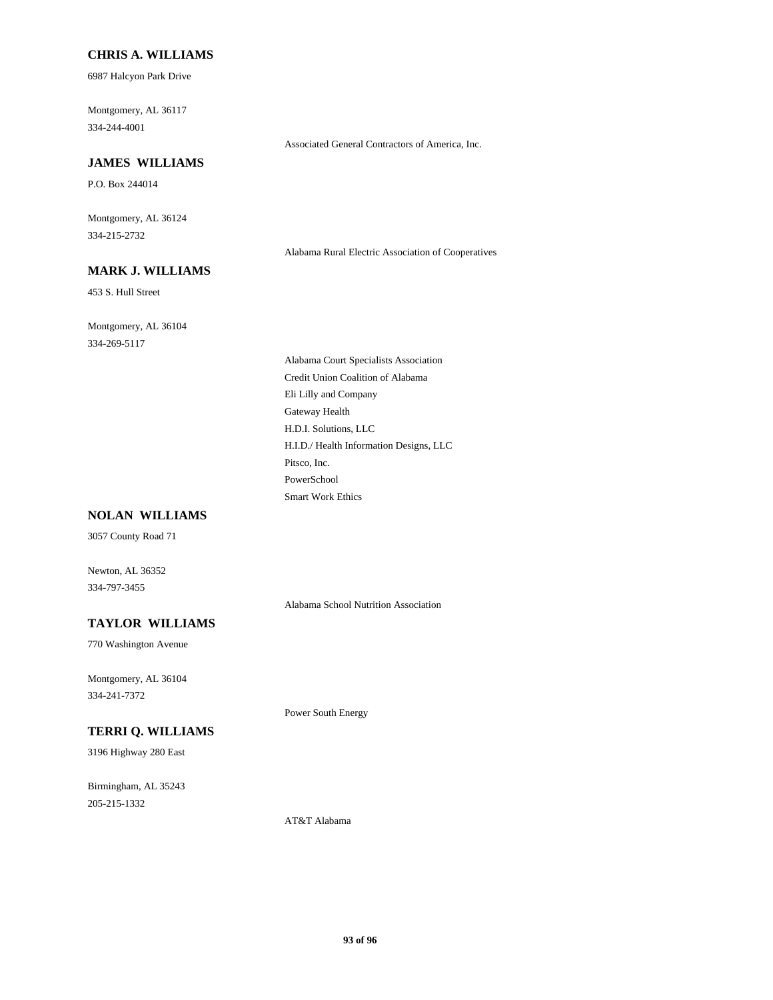### **CHRIS A. WILLIAMS**

6987 Halcyon Park Drive

Montgomery, AL 36117 334-244-4001

#### Associated General Contractors of America, Inc.

### **JAMES WILLIAMS**

P.O. Box 244014

Montgomery, AL 36124 334-215-2732

Alabama Rural Electric Association of Cooperatives

# **MARK J. WILLIAMS**

453 S. Hull Street

Montgomery, AL 36104 334-269-5117

> Alabama Court Specialists Association Credit Union Coalition of Alabama Eli Lilly and Company Gateway Health H.D.I. Solutions, LLC H.I.D./ Health Information Designs, LLC Pitsco, Inc. PowerSchool Smart Work Ethics

#### **NOLAN WILLIAMS**

3057 County Road 71

Newton, AL 36352 334-797-3455

Alabama School Nutrition Association

## **TAYLOR WILLIAMS**

770 Washington Avenue

Montgomery, AL 36104 334-241-7372

Power South Energy

# **TERRI Q. WILLIAMS**

3196 Highway 280 East

Birmingham, AL 35243 205-215-1332

AT&T Alabama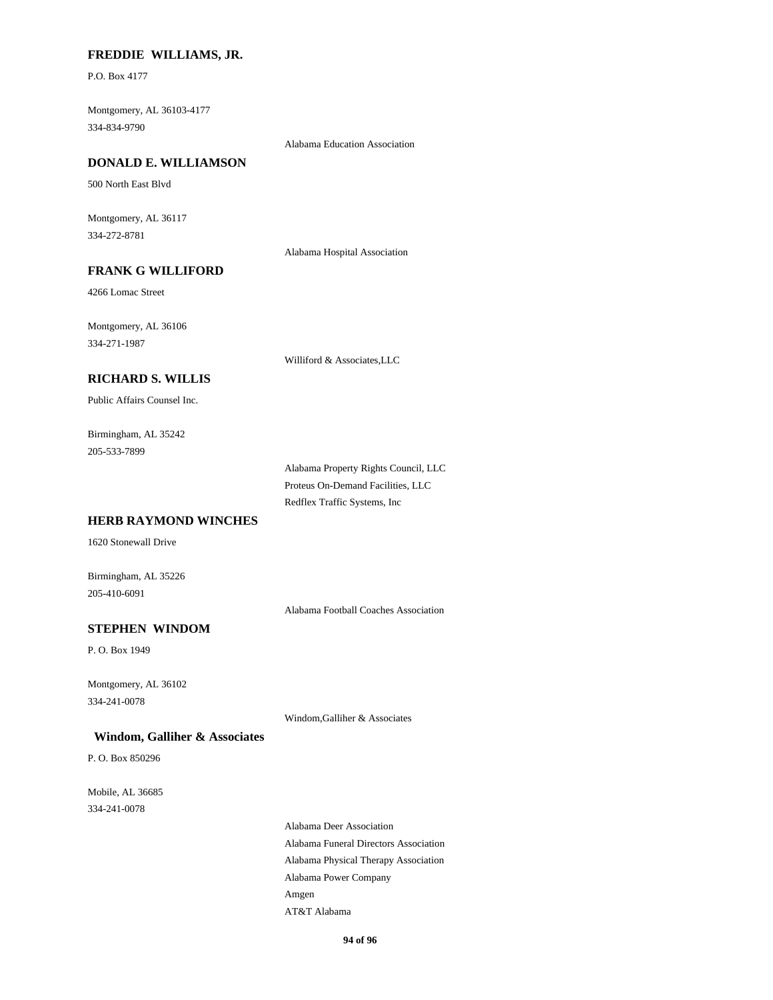## **FREDDIE WILLIAMS, JR.**

P.O. Box 4177

Montgomery, AL 36103-4177 334-834-9790

Alabama Education Association

#### **DONALD E. WILLIAMSON**

500 North East Blvd

Montgomery, AL 36117 334-272-8781

Alabama Hospital Association

## **FRANK G WILLIFORD**

4266 Lomac Street

Montgomery, AL 36106 334-271-1987

Williford & Associates,LLC

## **RICHARD S. WILLIS**

Public Affairs Counsel Inc.

Birmingham, AL 35242 205-533-7899

> Alabama Property Rights Council, LLC Proteus On-Demand Facilities, LLC Redflex Traffic Systems, Inc

## **HERB RAYMOND WINCHES**

1620 Stonewall Drive

Birmingham, AL 35226 205-410-6091

Alabama Football Coaches Association

## **STEPHEN WINDOM**

P. O. Box 1949

Montgomery, AL 36102 334-241-0078

Windom,Galliher & Associates

#### **Windom, Galliher & Associates**

P. O. Box 850296

Mobile, AL 36685 334-241-0078

> Alabama Deer Association Alabama Funeral Directors Association Alabama Physical Therapy Association Alabama Power Company Amgen AT&T Alabama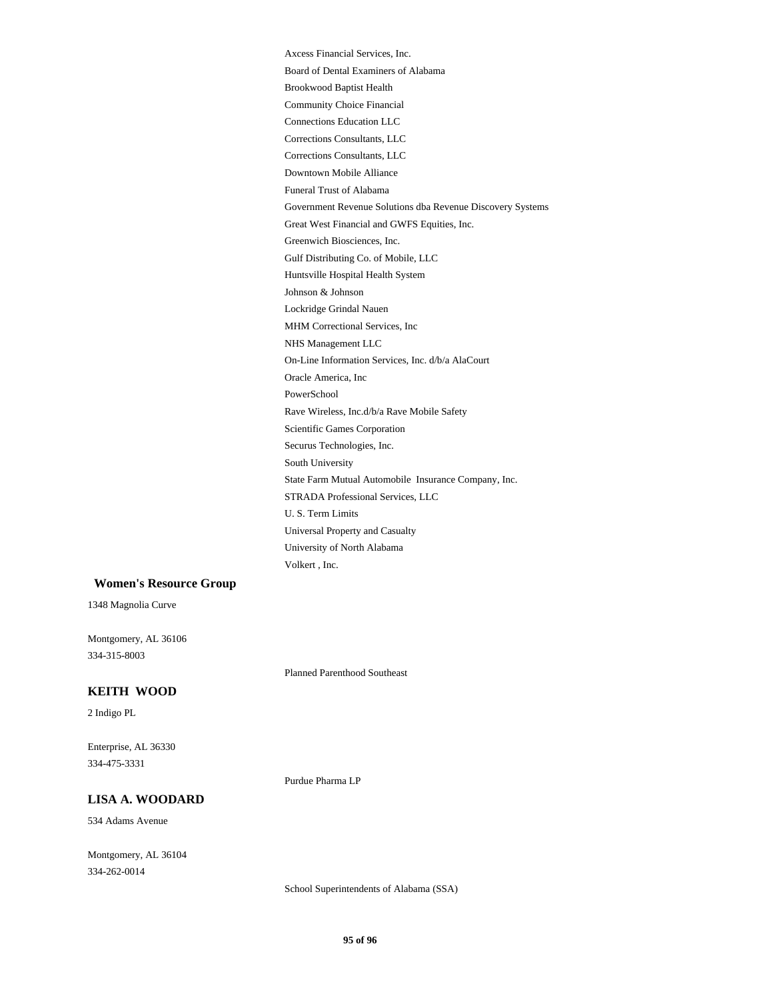Axcess Financial Services, Inc. Board of Dental Examiners of Alabama Brookwood Baptist Health Community Choice Financial Connections Education LLC Corrections Consultants, LLC Corrections Consultants, LLC Downtown Mobile Alliance Funeral Trust of Alabama Government Revenue Solutions dba Revenue Discovery Systems Great West Financial and GWFS Equities, Inc. Greenwich Biosciences, Inc. Gulf Distributing Co. of Mobile, LLC Huntsville Hospital Health System Johnson & Johnson Lockridge Grindal Nauen MHM Correctional Services, Inc NHS Management LLC On-Line Information Services, Inc. d/b/a AlaCourt Oracle America, Inc PowerSchool Rave Wireless, Inc.d/b/a Rave Mobile Safety Scientific Games Corporation Securus Technologies, Inc. South University State Farm Mutual Automobile Insurance Company, Inc. STRADA Professional Services, LLC U. S. Term Limits Universal Property and Casualty University of North Alabama Volkert , Inc.

#### **Women's Resource Group**

1348 Magnolia Curve

Montgomery, AL 36106 334-315-8003

Planned Parenthood Southeast

## **KEITH WOOD**

2 Indigo PL

Enterprise, AL 36330 334-475-3331

Purdue Pharma LP

### **LISA A. WOODARD**

534 Adams Avenue

Montgomery, AL 36104 334-262-0014

School Superintendents of Alabama (SSA)